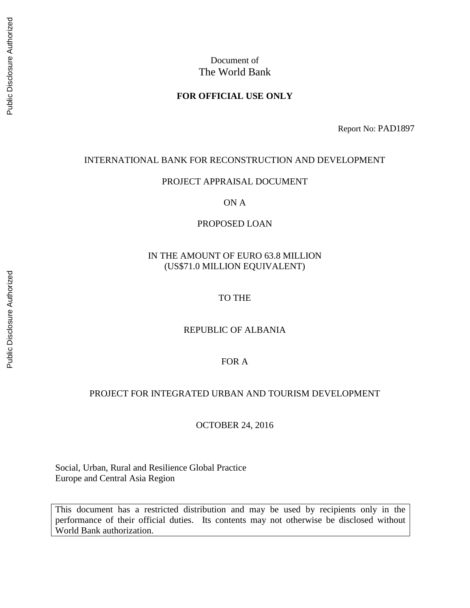#### **FOR OFFICIAL USE ONLY**

Report No: PAD1897

#### INTERNATIONAL BANK FOR RECONSTRUCTION AND DEVELOPMENT

#### PROJECT APPRAISAL DOCUMENT

ON A

#### PROPOSED LOAN

#### IN THE AMOUNT OF EURO 63.8 MILLION (US\$71.0 MILLION EQUIVALENT)

#### TO THE

#### REPUBLIC OF ALBANIA

#### FOR A

#### PROJECT FOR INTEGRATED URBAN AND TOURISM DEVELOPMENT

OCTOBER 24, 2016

Social, Urban, Rural and Resilience Global Practice Europe and Central Asia Region

This document has a restricted distribution and may be used by recipients only in the performance of their official duties. Its contents may not otherwise be disclosed without World Bank authorization.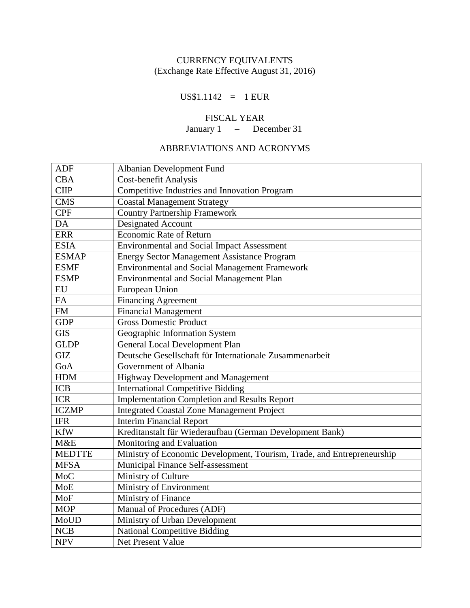## CURRENCY EQUIVALENTS (Exchange Rate Effective August 31, 2016)

### $US$1.1142 = 1 EUR$

# FISCAL YEAR

January 1 – December 31

# ABBREVIATIONS AND ACRONYMS

| <b>ADF</b>    | Albanian Development Fund                                              |
|---------------|------------------------------------------------------------------------|
| <b>CBA</b>    | <b>Cost-benefit Analysis</b>                                           |
| <b>CIIP</b>   | <b>Competitive Industries and Innovation Program</b>                   |
| <b>CMS</b>    | <b>Coastal Management Strategy</b>                                     |
| <b>CPF</b>    | <b>Country Partnership Framework</b>                                   |
| DA            | Designated Account                                                     |
| <b>ERR</b>    | <b>Economic Rate of Return</b>                                         |
| <b>ESIA</b>   | <b>Environmental and Social Impact Assessment</b>                      |
| <b>ESMAP</b>  | <b>Energy Sector Management Assistance Program</b>                     |
| <b>ESMF</b>   | Environmental and Social Management Framework                          |
| <b>ESMP</b>   | <b>Environmental and Social Management Plan</b>                        |
| EU            | European Union                                                         |
| <b>FA</b>     | <b>Financing Agreement</b>                                             |
| FM            | <b>Financial Management</b>                                            |
| <b>GDP</b>    | <b>Gross Domestic Product</b>                                          |
| <b>GIS</b>    | Geographic Information System                                          |
| <b>GLDP</b>   | <b>General Local Development Plan</b>                                  |
| <b>GIZ</b>    | Deutsche Gesellschaft für Internationale Zusammenarbeit                |
| GoA           | Government of Albania                                                  |
| <b>HDM</b>    | Highway Development and Management                                     |
| <b>ICB</b>    | <b>International Competitive Bidding</b>                               |
| <b>ICR</b>    | <b>Implementation Completion and Results Report</b>                    |
| <b>ICZMP</b>  | <b>Integrated Coastal Zone Management Project</b>                      |
| <b>IFR</b>    | <b>Interim Financial Report</b>                                        |
| <b>KfW</b>    | Kreditanstalt für Wiederaufbau (German Development Bank)               |
| M&E           | Monitoring and Evaluation                                              |
| <b>MEDTTE</b> | Ministry of Economic Development, Tourism, Trade, and Entrepreneurship |
| <b>MFSA</b>   | Municipal Finance Self-assessment                                      |
| <b>MoC</b>    | Ministry of Culture                                                    |
| <b>MoE</b>    | Ministry of Environment                                                |
| MoF           | Ministry of Finance                                                    |
| <b>MOP</b>    | Manual of Procedures (ADF)                                             |
| MoUD          | Ministry of Urban Development                                          |
| <b>NCB</b>    | <b>National Competitive Bidding</b>                                    |
| <b>NPV</b>    | Net Present Value                                                      |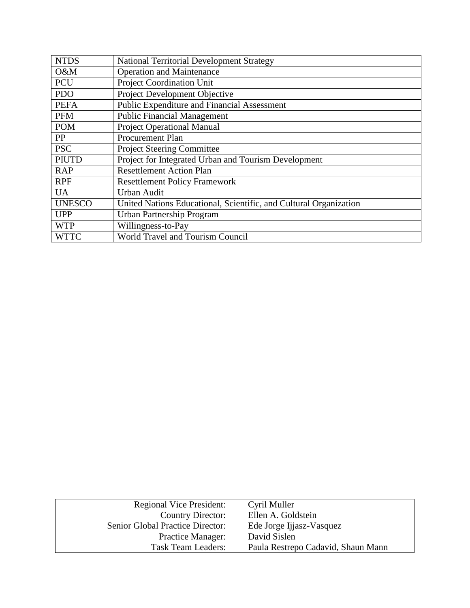| <b>NTDS</b>   | National Territorial Development Strategy                         |
|---------------|-------------------------------------------------------------------|
| O&M           | <b>Operation and Maintenance</b>                                  |
| <b>PCU</b>    | <b>Project Coordination Unit</b>                                  |
| <b>PDO</b>    | Project Development Objective                                     |
| <b>PEFA</b>   | Public Expenditure and Financial Assessment                       |
| <b>PFM</b>    | <b>Public Financial Management</b>                                |
| <b>POM</b>    | <b>Project Operational Manual</b>                                 |
| PP            | Procurement Plan                                                  |
| <b>PSC</b>    | <b>Project Steering Committee</b>                                 |
| <b>PIUTD</b>  | Project for Integrated Urban and Tourism Development              |
| <b>RAP</b>    | <b>Resettlement Action Plan</b>                                   |
| <b>RPF</b>    | <b>Resettlement Policy Framework</b>                              |
| <b>UA</b>     | <b>Urban Audit</b>                                                |
| <b>UNESCO</b> | United Nations Educational, Scientific, and Cultural Organization |
| <b>UPP</b>    | Urban Partnership Program                                         |
| <b>WTP</b>    | Willingness-to-Pay                                                |
| <b>WTTC</b>   | <b>World Travel and Tourism Council</b>                           |

| <b>Regional Vice President:</b>  | Cyril Muller                       |
|----------------------------------|------------------------------------|
| <b>Country Director:</b>         | Ellen A. Goldstein                 |
| Senior Global Practice Director: | Ede Jorge Ijjasz-Vasquez           |
| <b>Practice Manager:</b>         | David Sislen                       |
| <b>Task Team Leaders:</b>        | Paula Restrepo Cadavid, Shaun Mann |
|                                  |                                    |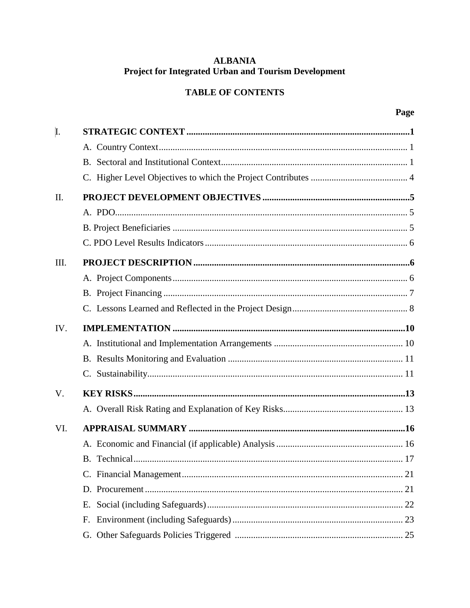# **ALBANIA Project for Integrated Urban and Tourism Development**

# **TABLE OF CONTENTS**

| I.   |    |
|------|----|
|      |    |
|      |    |
|      |    |
| II.  |    |
|      |    |
|      |    |
|      |    |
| III. |    |
|      |    |
|      |    |
|      |    |
| IV.  |    |
|      |    |
|      |    |
|      |    |
| V.   |    |
|      |    |
| VI.  |    |
|      |    |
|      |    |
|      |    |
|      |    |
|      | Е. |
|      | F. |
|      |    |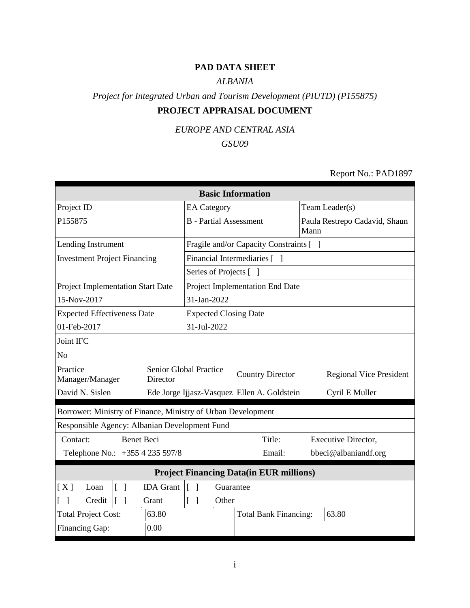# **PAD DATA SHEET**

### *ALBANIA*

# *Project for Integrated Urban and Tourism Development (PIUTD) (P155875)* **PROJECT APPRAISAL DOCUMENT**

## *EUROPE AND CENTRAL ASIA*

# *GSU09*

### Report No.: PAD1897

| <b>Basic Information</b>                                     |                                 |                                             |                                       |  |  |  |  |
|--------------------------------------------------------------|---------------------------------|---------------------------------------------|---------------------------------------|--|--|--|--|
| Project ID                                                   | <b>EA</b> Category              | Team Leader(s)                              |                                       |  |  |  |  |
| P155875                                                      | <b>B</b> - Partial Assessment   |                                             | Paula Restrepo Cadavid, Shaun<br>Mann |  |  |  |  |
| Lending Instrument                                           |                                 | Fragile and/or Capacity Constraints [ ]     |                                       |  |  |  |  |
| <b>Investment Project Financing</b>                          |                                 | Financial Intermediaries [ ]                |                                       |  |  |  |  |
|                                                              | Series of Projects [ ]          |                                             |                                       |  |  |  |  |
| Project Implementation Start Date                            |                                 | Project Implementation End Date             |                                       |  |  |  |  |
| 15-Nov-2017                                                  | 31-Jan-2022                     |                                             |                                       |  |  |  |  |
| <b>Expected Effectiveness Date</b>                           | <b>Expected Closing Date</b>    |                                             |                                       |  |  |  |  |
| 01-Feb-2017                                                  | 31-Jul-2022                     |                                             |                                       |  |  |  |  |
| Joint IFC                                                    |                                 |                                             |                                       |  |  |  |  |
| N <sub>o</sub>                                               |                                 |                                             |                                       |  |  |  |  |
| Practice<br>Manager/Manager<br>Director                      | Senior Global Practice          | <b>Country Director</b>                     | <b>Regional Vice President</b>        |  |  |  |  |
| David N. Sislen                                              |                                 | Ede Jorge Ijjasz-Vasquez Ellen A. Goldstein | Cyril E Muller                        |  |  |  |  |
| Borrower: Ministry of Finance, Ministry of Urban Development |                                 |                                             |                                       |  |  |  |  |
| Responsible Agency: Albanian Development Fund                |                                 |                                             |                                       |  |  |  |  |
| <b>Benet Beci</b><br>Contact:                                |                                 | Title:                                      | <b>Executive Director,</b>            |  |  |  |  |
| Telephone No.: +355 4 235 597/8                              |                                 | Email:                                      | bbeci@albaniandf.org                  |  |  |  |  |
| <b>Project Financing Data(in EUR millions)</b>               |                                 |                                             |                                       |  |  |  |  |
| <b>IDA</b> Grant<br>[X]<br>$\lceil \; \rceil$<br>Loan        | $\lceil \; \rceil$<br>Guarantee |                                             |                                       |  |  |  |  |
| Credit<br>$\lceil \; \rceil$<br>Grant                        | Other<br>L<br>$\lceil$          |                                             |                                       |  |  |  |  |
| <b>Total Project Cost:</b><br>63.80                          |                                 | <b>Total Bank Financing:</b>                | 63.80                                 |  |  |  |  |
| Financing Gap:<br>0.00                                       |                                 |                                             |                                       |  |  |  |  |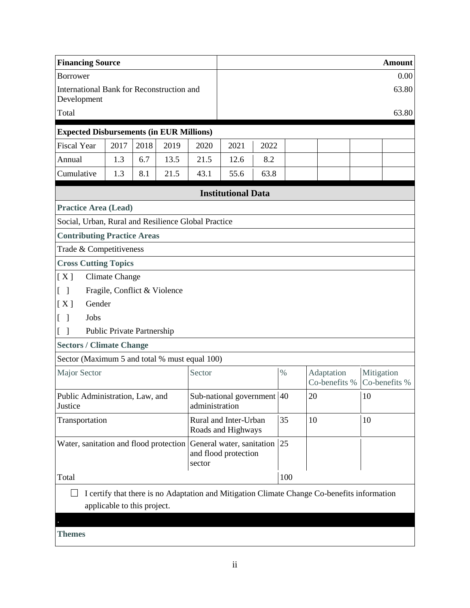| <b>Financing Source</b>                                  |                                                   |      |      |                |                                             |      |      |        |                                                                                             |            | <b>Amount</b> |
|----------------------------------------------------------|---------------------------------------------------|------|------|----------------|---------------------------------------------|------|------|--------|---------------------------------------------------------------------------------------------|------------|---------------|
| <b>Borrower</b>                                          |                                                   |      |      |                |                                             |      |      |        |                                                                                             |            | 0.00          |
| International Bank for Reconstruction and<br>Development |                                                   |      |      |                |                                             |      |      |        | 63.80                                                                                       |            |               |
| Total                                                    |                                                   |      |      |                |                                             |      |      | 63.80  |                                                                                             |            |               |
| <b>Expected Disbursements (in EUR Millions)</b>          |                                                   |      |      |                |                                             |      |      |        |                                                                                             |            |               |
| <b>Fiscal Year</b>                                       | 2017                                              | 2018 | 2019 | 2020           | 2021                                        | 2022 |      |        |                                                                                             |            |               |
| Annual                                                   | 1.3                                               | 6.7  | 13.5 | 21.5           | 12.6                                        | 8.2  |      |        |                                                                                             |            |               |
| Cumulative                                               | 1.3                                               | 8.1  | 21.5 | 43.1           | 55.6                                        | 63.8 |      |        |                                                                                             |            |               |
|                                                          |                                                   |      |      |                | <b>Institutional Data</b>                   |      |      |        |                                                                                             |            |               |
| <b>Practice Area (Lead)</b>                              |                                                   |      |      |                |                                             |      |      |        |                                                                                             |            |               |
| Social, Urban, Rural and Resilience Global Practice      |                                                   |      |      |                |                                             |      |      |        |                                                                                             |            |               |
| <b>Contributing Practice Areas</b>                       |                                                   |      |      |                |                                             |      |      |        |                                                                                             |            |               |
| Trade & Competitiveness                                  |                                                   |      |      |                |                                             |      |      |        |                                                                                             |            |               |
| <b>Cross Cutting Topics</b>                              |                                                   |      |      |                |                                             |      |      |        |                                                                                             |            |               |
| [X]                                                      | <b>Climate Change</b>                             |      |      |                |                                             |      |      |        |                                                                                             |            |               |
|                                                          | Fragile, Conflict & Violence                      |      |      |                |                                             |      |      |        |                                                                                             |            |               |
| [X]<br>Gender                                            |                                                   |      |      |                |                                             |      |      |        |                                                                                             |            |               |
| Jobs                                                     |                                                   |      |      |                |                                             |      |      |        |                                                                                             |            |               |
|                                                          | Public Private Partnership                        |      |      |                |                                             |      |      |        |                                                                                             |            |               |
| <b>Sectors / Climate Change</b>                          |                                                   |      |      |                |                                             |      |      |        |                                                                                             |            |               |
| Sector (Maximum 5 and total % must equal 100)            |                                                   |      |      |                |                                             |      |      |        |                                                                                             |            |               |
| Major Sector                                             |                                                   |      |      | Sector         |                                             |      | $\%$ |        | Adaptation<br>Co-benefits %                                                                 | Mitigation | Co-benefits % |
| Public Administration, Law, and<br>Justice               |                                                   |      |      | administration | Sub-national government 40                  |      |      | $20\,$ |                                                                                             | 10         |               |
| Transportation                                           |                                                   |      |      |                | Rural and Inter-Urban<br>Roads and Highways |      | 35   | 10     |                                                                                             | 10         |               |
| Water, sanitation and flood protection                   | General water, sanitation<br>and flood protection |      | 25   |                |                                             |      |      |        |                                                                                             |            |               |
| Total                                                    |                                                   |      |      |                |                                             |      | 100  |        |                                                                                             |            |               |
|                                                          |                                                   |      |      |                |                                             |      |      |        | I certify that there is no Adaptation and Mitigation Climate Change Co-benefits information |            |               |
|                                                          | applicable to this project.                       |      |      |                |                                             |      |      |        |                                                                                             |            |               |
|                                                          |                                                   |      |      |                |                                             |      |      |        |                                                                                             |            |               |
| <b>Themes</b>                                            |                                                   |      |      |                |                                             |      |      |        |                                                                                             |            |               |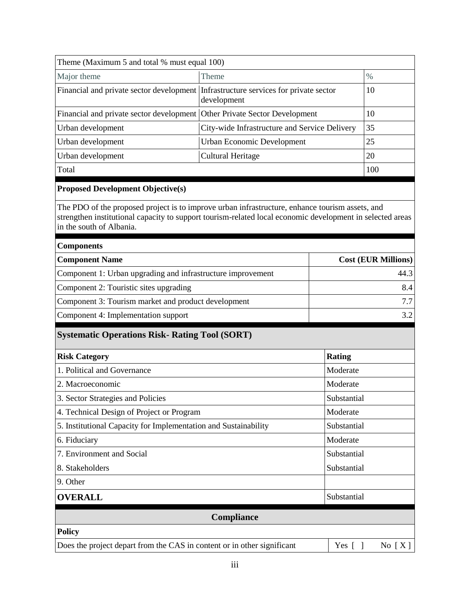|  |  | Theme (Maximum 5 and total % must equal 100) |  |
|--|--|----------------------------------------------|--|
|  |  |                                              |  |

| Theme (Maximum 5 and total % must equal 100)                                                                                                                                                                                             |                                               |               |                            |  |
|------------------------------------------------------------------------------------------------------------------------------------------------------------------------------------------------------------------------------------------|-----------------------------------------------|---------------|----------------------------|--|
| Major theme                                                                                                                                                                                                                              |                                               | $\%$          |                            |  |
| Financial and private sector development                                                                                                                                                                                                 | Infrastructure services for private sector    | 10            |                            |  |
| Financial and private sector development                                                                                                                                                                                                 | Other Private Sector Development              | 10            |                            |  |
| Urban development                                                                                                                                                                                                                        | City-wide Infrastructure and Service Delivery |               | 35                         |  |
| Urban development                                                                                                                                                                                                                        | <b>Urban Economic Development</b>             |               | 25                         |  |
| Urban development                                                                                                                                                                                                                        | <b>Cultural Heritage</b>                      |               | 20                         |  |
| Total                                                                                                                                                                                                                                    |                                               |               | 100                        |  |
| <b>Proposed Development Objective(s)</b>                                                                                                                                                                                                 |                                               |               |                            |  |
| The PDO of the proposed project is to improve urban infrastructure, enhance tourism assets, and<br>strengthen institutional capacity to support tourism-related local economic development in selected areas<br>in the south of Albania. |                                               |               |                            |  |
| <b>Components</b>                                                                                                                                                                                                                        |                                               |               |                            |  |
| <b>Component Name</b>                                                                                                                                                                                                                    |                                               |               | <b>Cost (EUR Millions)</b> |  |
| Component 1: Urban upgrading and infrastructure improvement                                                                                                                                                                              |                                               | 44.3          |                            |  |
| Component 2: Touristic sites upgrading                                                                                                                                                                                                   |                                               | 8.4           |                            |  |
| Component 3: Tourism market and product development                                                                                                                                                                                      |                                               | 7.7<br>3.2    |                            |  |
| Component 4: Implementation support                                                                                                                                                                                                      |                                               |               |                            |  |
| <b>Systematic Operations Risk- Rating Tool (SORT)</b>                                                                                                                                                                                    |                                               |               |                            |  |
| <b>Risk Category</b>                                                                                                                                                                                                                     |                                               | <b>Rating</b> |                            |  |
| 1. Political and Governance                                                                                                                                                                                                              |                                               | Moderate      |                            |  |
| 2. Macroeconomic                                                                                                                                                                                                                         |                                               | Moderate      |                            |  |
| 3. Sector Strategies and Policies                                                                                                                                                                                                        |                                               | Substantial   |                            |  |
| 4. Technical Design of Project or Program                                                                                                                                                                                                |                                               | Moderate      |                            |  |
| 5. Institutional Capacity for Implementation and Sustainability                                                                                                                                                                          |                                               | Substantial   |                            |  |
| 6. Fiduciary                                                                                                                                                                                                                             |                                               | Moderate      |                            |  |
| 7. Environment and Social                                                                                                                                                                                                                |                                               | Substantial   |                            |  |
| 8. Stakeholders                                                                                                                                                                                                                          | Substantial                                   |               |                            |  |
| 9. Other                                                                                                                                                                                                                                 |                                               |               |                            |  |
| <b>OVERALL</b>                                                                                                                                                                                                                           |                                               | Substantial   |                            |  |
|                                                                                                                                                                                                                                          | Compliance                                    |               |                            |  |
| <b>Policy</b>                                                                                                                                                                                                                            |                                               |               |                            |  |
| Does the project depart from the CAS in content or in other significant                                                                                                                                                                  |                                               | Yes $[ \ ]$   | No $[X]$                   |  |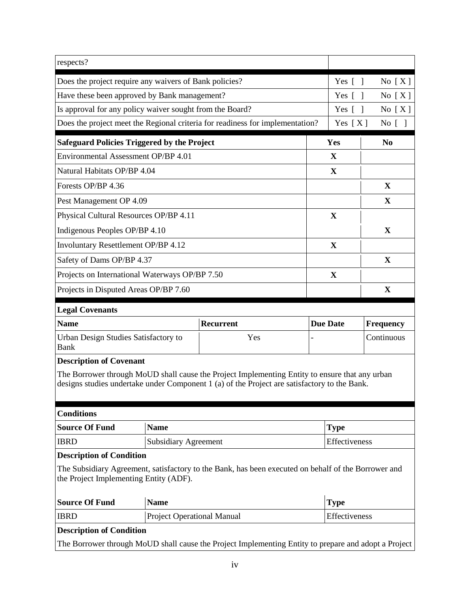| respects?                                                |                             |                                                                                                                                                                                                |                 |                  |
|----------------------------------------------------------|-----------------------------|------------------------------------------------------------------------------------------------------------------------------------------------------------------------------------------------|-----------------|------------------|
| Does the project require any waivers of Bank policies?   | Yes $[$ $]$                 | No $[X]$                                                                                                                                                                                       |                 |                  |
| Have these been approved by Bank management?             | Yes $\lceil \; \rceil$      | No $[X]$                                                                                                                                                                                       |                 |                  |
| Is approval for any policy waiver sought from the Board? | Yes $\lceil \; \rceil$      | No $[X]$                                                                                                                                                                                       |                 |                  |
|                                                          |                             | Does the project meet the Regional criteria for readiness for implementation?                                                                                                                  | Yes $[X]$       | No [ ]           |
| <b>Safeguard Policies Triggered by the Project</b>       |                             |                                                                                                                                                                                                | Yes             | N <sub>0</sub>   |
| Environmental Assessment OP/BP 4.01                      |                             |                                                                                                                                                                                                | $\mathbf X$     |                  |
| Natural Habitats OP/BP 4.04                              |                             |                                                                                                                                                                                                | $\mathbf X$     |                  |
| Forests OP/BP 4.36                                       |                             |                                                                                                                                                                                                |                 | X                |
| Pest Management OP 4.09                                  |                             |                                                                                                                                                                                                |                 | $\mathbf{X}$     |
| Physical Cultural Resources OP/BP 4.11                   |                             |                                                                                                                                                                                                | X               |                  |
| Indigenous Peoples OP/BP 4.10                            |                             |                                                                                                                                                                                                |                 | $\mathbf X$      |
| Involuntary Resettlement OP/BP 4.12                      |                             |                                                                                                                                                                                                | $\mathbf X$     |                  |
| Safety of Dams OP/BP 4.37                                |                             |                                                                                                                                                                                                |                 | $\mathbf X$      |
| Projects on International Waterways OP/BP 7.50           |                             |                                                                                                                                                                                                | X               |                  |
| Projects in Disputed Areas OP/BP 7.60                    |                             |                                                                                                                                                                                                |                 | X                |
| <b>Legal Covenants</b>                                   |                             |                                                                                                                                                                                                |                 |                  |
| <b>Name</b>                                              |                             | <b>Recurrent</b>                                                                                                                                                                               | <b>Due Date</b> | <b>Frequency</b> |
| Urban Design Studies Satisfactory to                     |                             |                                                                                                                                                                                                |                 |                  |
| Bank                                                     |                             | Yes                                                                                                                                                                                            |                 | Continuous       |
| <b>Description of Covenant</b>                           |                             |                                                                                                                                                                                                |                 |                  |
|                                                          |                             | The Borrower through MoUD shall cause the Project Implementing Entity to ensure that any urban<br>designs studies undertake under Component 1 (a) of the Project are satisfactory to the Bank. |                 |                  |
| <b>Conditions</b>                                        |                             |                                                                                                                                                                                                |                 |                  |
| <b>Source Of Fund</b>                                    | <b>Name</b>                 |                                                                                                                                                                                                | <b>Type</b>     |                  |
| <b>IBRD</b>                                              | <b>Subsidiary Agreement</b> |                                                                                                                                                                                                | Effectiveness   |                  |
| <b>Description of Condition</b>                          |                             |                                                                                                                                                                                                |                 |                  |
| the Project Implementing Entity (ADF).                   |                             | The Subsidiary Agreement, satisfactory to the Bank, has been executed on behalf of the Borrower and                                                                                            |                 |                  |
| <b>Source Of Fund</b>                                    | <b>Name</b>                 |                                                                                                                                                                                                | <b>Type</b>     |                  |
| <b>IBRD</b>                                              | Project Operational Manual  |                                                                                                                                                                                                | Effectiveness   |                  |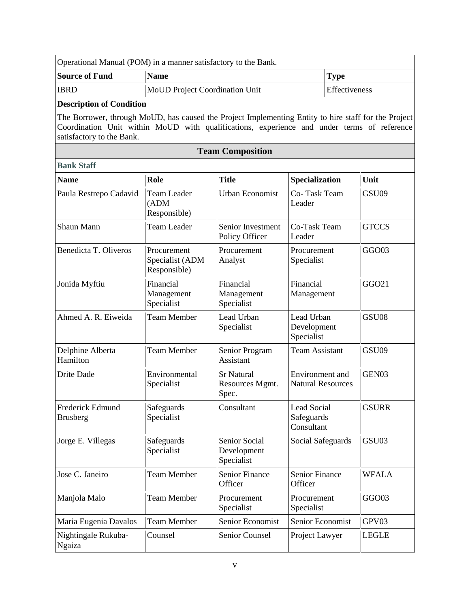Operational Manual (POM) in a manner satisfactory to the Bank.

| <b>Source of Fund</b> | <b>Name</b>                    | Type                 |
|-----------------------|--------------------------------|----------------------|
| <b>IBRD</b>           | MoUD Project Coordination Unit | <b>Effectiveness</b> |

### **Description of Condition**

The Borrower, through MoUD, has caused the Project Implementing Entity to hire staff for the Project Coordination Unit within MoUD with qualifications, experience and under terms of reference satisfactory to the Bank.

| <b>Team Composition</b>              |                                                |                                               |                                                |              |  |  |  |
|--------------------------------------|------------------------------------------------|-----------------------------------------------|------------------------------------------------|--------------|--|--|--|
| <b>Bank Staff</b>                    |                                                |                                               |                                                |              |  |  |  |
| <b>Name</b>                          | Role                                           | <b>Title</b>                                  | Specialization                                 | Unit         |  |  |  |
| Paula Restrepo Cadavid               | <b>Team Leader</b><br>(ADM)<br>Responsible)    | <b>Urban Economist</b>                        | Co-Task Team<br>Leader                         | GSU09        |  |  |  |
| Shaun Mann                           | <b>Team Leader</b>                             | Senior Investment<br>Policy Officer           | Co-Task Team<br>Leader                         | <b>GTCCS</b> |  |  |  |
| Benedicta T. Oliveros                | Procurement<br>Specialist (ADM<br>Responsible) | Procurement<br>Analyst                        | Procurement<br>Specialist                      | GGO03        |  |  |  |
| Jonida Myftiu                        | Financial<br>Management<br>Specialist          | Financial<br>Management<br>Specialist         | Financial<br>Management                        | GGO21        |  |  |  |
| Ahmed A. R. Eiweida                  | <b>Team Member</b>                             | Lead Urban<br>Specialist                      | Lead Urban<br>Development<br>Specialist        | GSU08        |  |  |  |
| Delphine Alberta<br>Hamilton         | <b>Team Member</b>                             | Senior Program<br>Assistant                   | <b>Team Assistant</b>                          | GSU09        |  |  |  |
| Drite Dade                           | Environmental<br>Specialist                    | <b>Sr Natural</b><br>Resources Mgmt.<br>Spec. | Environment and<br><b>Natural Resources</b>    | GEN03        |  |  |  |
| Frederick Edmund<br><b>Brusberg</b>  | Safeguards<br>Specialist                       | Consultant                                    | <b>Lead Social</b><br>Safeguards<br>Consultant | <b>GSURR</b> |  |  |  |
| Jorge E. Villegas                    | Safeguards<br>Specialist                       | Senior Social<br>Development<br>Specialist    | <b>Social Safeguards</b>                       | GSU03        |  |  |  |
| Jose C. Janeiro                      | <b>Team Member</b>                             | <b>Senior Finance</b><br>Officer              | <b>Senior Finance</b><br>Officer               | <b>WFALA</b> |  |  |  |
| Manjola Malo                         | <b>Team Member</b>                             | Procurement<br>Specialist                     | Procurement<br>Specialist                      | GGO03        |  |  |  |
| Maria Eugenia Davalos                | <b>Team Member</b>                             | Senior Economist                              | Senior Economist                               | GPV03        |  |  |  |
| Nightingale Rukuba-<br><b>Ngaiza</b> | Counsel                                        | Senior Counsel                                | Project Lawyer                                 | <b>LEGLE</b> |  |  |  |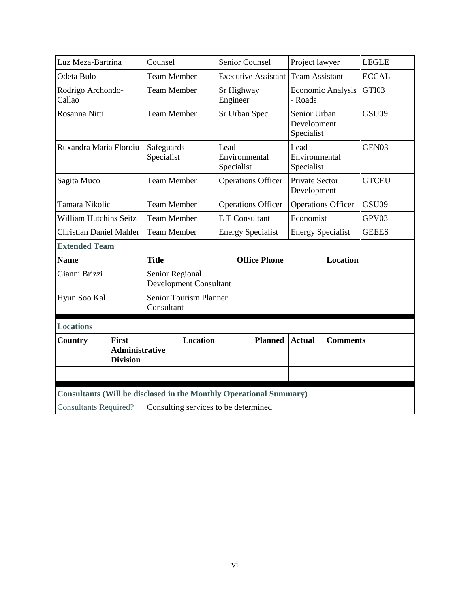| Luz Meza-Bartrina                                                                                                                          |                                                          | Counsel                                          |                 | Senior Counsel                      |  |                                     | Project lawyer                            |                   | <b>LEGLE</b> |  |
|--------------------------------------------------------------------------------------------------------------------------------------------|----------------------------------------------------------|--------------------------------------------------|-----------------|-------------------------------------|--|-------------------------------------|-------------------------------------------|-------------------|--------------|--|
| Odeta Bulo                                                                                                                                 |                                                          | <b>Team Member</b>                               |                 | <b>Executive Assistant</b>          |  | <b>Team Assistant</b>               |                                           | <b>ECCAL</b>      |              |  |
| Rodrigo Archondo-<br>Callao                                                                                                                |                                                          | <b>Team Member</b>                               |                 | Sr Highway<br>Engineer              |  | <b>Economic Analysis</b><br>- Roads |                                           | GTI03             |              |  |
| Rosanna Nitti                                                                                                                              |                                                          | <b>Team Member</b>                               |                 | Sr Urban Spec.                      |  |                                     | Senior Urban<br>Development<br>Specialist |                   | GSU09        |  |
| Ruxandra Maria Floroiu                                                                                                                     |                                                          | Safeguards<br>Specialist                         |                 | Lead<br>Environmental<br>Specialist |  | Lead<br>Environmental<br>Specialist |                                           | GEN <sub>03</sub> |              |  |
| Sagita Muco                                                                                                                                |                                                          | <b>Team Member</b>                               |                 | <b>Operations Officer</b>           |  |                                     | Private Sector<br>Development             |                   | <b>GTCEU</b> |  |
| Tamara Nikolic                                                                                                                             |                                                          | <b>Team Member</b>                               |                 | <b>Operations Officer</b>           |  |                                     | <b>Operations Officer</b>                 |                   | GSU09        |  |
| <b>William Hutchins Seitz</b>                                                                                                              |                                                          | <b>Team Member</b>                               |                 | E T Consultant                      |  | Economist                           |                                           | GPV03             |              |  |
| <b>Christian Daniel Mahler</b>                                                                                                             |                                                          | <b>Team Member</b>                               |                 | <b>Energy Specialist</b>            |  | <b>Energy Specialist</b>            |                                           | <b>GEEES</b>      |              |  |
| <b>Extended Team</b>                                                                                                                       |                                                          |                                                  |                 |                                     |  |                                     |                                           |                   |              |  |
| <b>Name</b>                                                                                                                                |                                                          | <b>Title</b>                                     |                 |                                     |  | <b>Office Phone</b>                 |                                           | <b>Location</b>   |              |  |
| Gianni Brizzi                                                                                                                              |                                                          | Senior Regional<br><b>Development Consultant</b> |                 |                                     |  |                                     |                                           |                   |              |  |
| Hyun Soo Kal                                                                                                                               |                                                          | Senior Tourism Planner<br>Consultant             |                 |                                     |  |                                     |                                           |                   |              |  |
| <b>Locations</b>                                                                                                                           |                                                          |                                                  |                 |                                     |  |                                     |                                           |                   |              |  |
| Country                                                                                                                                    | <b>First</b><br><b>Administrative</b><br><b>Division</b> |                                                  | <b>Location</b> |                                     |  | <b>Planned</b>                      | <b>Actual</b>                             | <b>Comments</b>   |              |  |
| Consultants (Will be disclosed in the Monthly Operational Summary)<br>Consulting services to be determined<br><b>Consultants Required?</b> |                                                          |                                                  |                 |                                     |  |                                     |                                           |                   |              |  |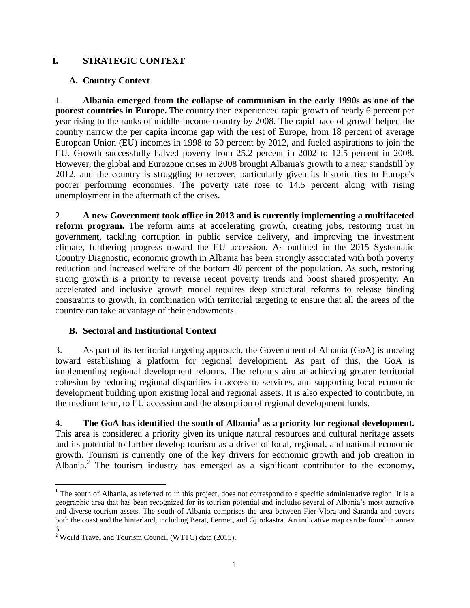### **I. STRATEGIC CONTEXT**

## **A. Country Context**

1. **Albania emerged from the collapse of communism in the early 1990s as one of the poorest countries in Europe.** The country then experienced rapid growth of nearly 6 percent per year rising to the ranks of middle-income country by 2008. The rapid pace of growth helped the country narrow the per capita income gap with the rest of Europe, from 18 percent of average European Union (EU) incomes in 1998 to 30 percent by 2012, and fueled aspirations to join the EU. Growth successfully halved poverty from 25.2 percent in 2002 to 12.5 percent in 2008. However, the global and Eurozone crises in 2008 brought Albania's growth to a near standstill by 2012, and the country is struggling to recover, particularly given its historic ties to Europe's poorer performing economies. The poverty rate rose to 14.5 percent along with rising unemployment in the aftermath of the crises.

2. **A new Government took office in 2013 and is currently implementing a multifaceted reform program.** The reform aims at accelerating growth, creating jobs, restoring trust in government, tackling corruption in public service delivery, and improving the investment climate, furthering progress toward the EU accession. As outlined in the 2015 Systematic Country Diagnostic, economic growth in Albania has been strongly associated with both poverty reduction and increased welfare of the bottom 40 percent of the population. As such, restoring strong growth is a priority to reverse recent poverty trends and boost shared prosperity. An accelerated and inclusive growth model requires deep structural reforms to release binding constraints to growth, in combination with territorial targeting to ensure that all the areas of the country can take advantage of their endowments.

### **B. Sectoral and Institutional Context**

3. As part of its territorial targeting approach, the Government of Albania (GoA) is moving toward establishing a platform for regional development. As part of this, the GoA is implementing regional development reforms. The reforms aim at achieving greater territorial cohesion by reducing regional disparities in access to services, and supporting local economic development building upon existing local and regional assets. It is also expected to contribute, in the medium term, to EU accession and the absorption of regional development funds.

4. **The GoA has identified the south of Albania<sup>1</sup> as a priority for regional development.** This area is considered a priority given its unique natural resources and cultural heritage assets and its potential to further develop tourism as a driver of local, regional, and national economic growth. Tourism is currently one of the key drivers for economic growth and job creation in Albania.<sup>2</sup> The tourism industry has emerged as a significant contributor to the economy,

 $1$  The south of Albania, as referred to in this project, does not correspond to a specific administrative region. It is a geographic area that has been recognized for its tourism potential and includes several of Albania's most attractive and diverse tourism assets. The south of Albania comprises the area between Fier-Vlora and Saranda and covers both the coast and the hinterland, including Berat, Permet, and Gjirokastra. An indicative map can be found in annex 6.

 $2^{\circ}$  World Travel and Tourism Council (WTTC) data (2015).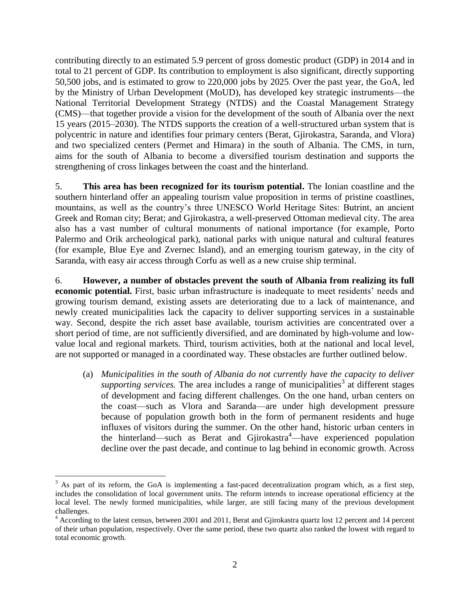contributing directly to an estimated 5.9 percent of gross domestic product (GDP) in 2014 and in total to 21 percent of GDP. Its contribution to employment is also significant, directly supporting 50,500 jobs, and is estimated to grow to 220,000 jobs by 2025. Over the past year, the GoA, led by the Ministry of Urban Development (MoUD), has developed key strategic instruments—the National Territorial Development Strategy (NTDS) and the Coastal Management Strategy (CMS)—that together provide a vision for the development of the south of Albania over the next 15 years (2015–2030). The NTDS supports the creation of a well-structured urban system that is polycentric in nature and identifies four primary centers (Berat, Gjirokastra, Saranda, and Vlora) and two specialized centers (Permet and Himara) in the south of Albania. The CMS, in turn, aims for the south of Albania to become a diversified tourism destination and supports the strengthening of cross linkages between the coast and the hinterland.

5. **This area has been recognized for its tourism potential.** The Ionian coastline and the southern hinterland offer an appealing tourism value proposition in terms of pristine coastlines, mountains, as well as the country's three UNESCO World Heritage Sites: Butrint, an ancient Greek and Roman city; Berat; and Gjirokastra, a well-preserved Ottoman medieval city. The area also has a vast number of cultural monuments of national importance (for example, Porto Palermo and Orik archeological park), national parks with unique natural and cultural features (for example, Blue Eye and Zvernec Island), and an emerging tourism gateway, in the city of Saranda, with easy air access through Corfu as well as a new cruise ship terminal.

6. **However, a number of obstacles prevent the south of Albania from realizing its full economic potential.** First, basic urban infrastructure is inadequate to meet residents' needs and growing tourism demand, existing assets are deteriorating due to a lack of maintenance, and newly created municipalities lack the capacity to deliver supporting services in a sustainable way. Second, despite the rich asset base available, tourism activities are concentrated over a short period of time, are not sufficiently diversified, and are dominated by high-volume and lowvalue local and regional markets. Third, tourism activities, both at the national and local level, are not supported or managed in a coordinated way. These obstacles are further outlined below.

(a) *Municipalities in the south of Albania do not currently have the capacity to deliver*   $supporting$  services. The area includes a range of municipalities<sup>3</sup> at different stages of development and facing different challenges. On the one hand, urban centers on the coast—such as Vlora and Saranda—are under high development pressure because of population growth both in the form of permanent residents and huge influxes of visitors during the summer. On the other hand, historic urban centers in the hinterland—such as Berat and Gjirokastra<sup>4</sup>—have experienced population decline over the past decade, and continue to lag behind in economic growth. Across

 $3$  As part of its reform, the GoA is implementing a fast-paced decentralization program which, as a first step, includes the consolidation of local government units. The reform intends to increase operational efficiency at the local level. The newly formed municipalities, while larger, are still facing many of the previous development challenges.

<sup>&</sup>lt;sup>4</sup> According to the latest census, between 2001 and 2011, Berat and Gjirokastra quartz lost 12 percent and 14 percent of their urban population, respectively. Over the same period, these two quartz also ranked the lowest with regard to total economic growth.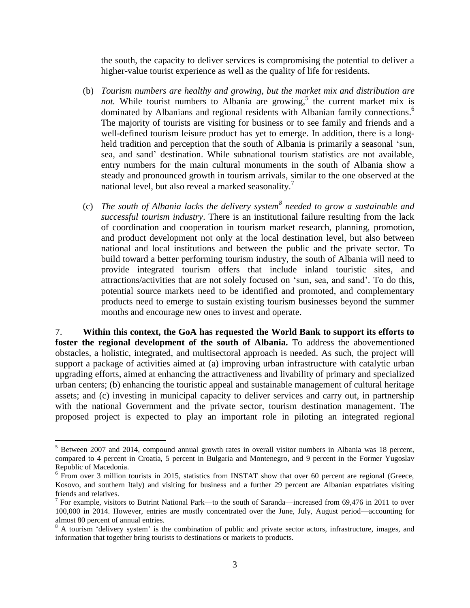the south, the capacity to deliver services is compromising the potential to deliver a higher-value tourist experience as well as the quality of life for residents.

- (b) *Tourism numbers are healthy and growing, but the market mix and distribution are* not. While tourist numbers to Albania are growing,<sup>5</sup> the current market mix is dominated by Albanians and regional residents with Albanian family connections.<sup>6</sup> The majority of tourists are visiting for business or to see family and friends and a well-defined tourism leisure product has yet to emerge. In addition, there is a longheld tradition and perception that the south of Albania is primarily a seasonal 'sun, sea, and sand' destination. While subnational tourism statistics are not available, entry numbers for the main cultural monuments in the south of Albania show a steady and pronounced growth in tourism arrivals, similar to the one observed at the national level, but also reveal a marked seasonality.<sup>7</sup>
- (c) *The south of Albania lacks the delivery system<sup>8</sup> needed to grow a sustainable and successful tourism industry*. There is an institutional failure resulting from the lack of coordination and cooperation in tourism market research, planning, promotion, and product development not only at the local destination level, but also between national and local institutions and between the public and the private sector. To build toward a better performing tourism industry, the south of Albania will need to provide integrated tourism offers that include inland touristic sites, and attractions/activities that are not solely focused on 'sun, sea, and sand'. To do this, potential source markets need to be identified and promoted, and complementary products need to emerge to sustain existing tourism businesses beyond the summer months and encourage new ones to invest and operate.

7. **Within this context, the GoA has requested the World Bank to support its efforts to foster the regional development of the south of Albania.** To address the abovementioned obstacles, a holistic, integrated, and multisectoral approach is needed. As such, the project will support a package of activities aimed at (a) improving urban infrastructure with catalytic urban upgrading efforts, aimed at enhancing the attractiveness and livability of primary and specialized urban centers; (b) enhancing the touristic appeal and sustainable management of cultural heritage assets; and (c) investing in municipal capacity to deliver services and carry out, in partnership with the national Government and the private sector, tourism destination management. The proposed project is expected to play an important role in piloting an integrated regional

<sup>&</sup>lt;sup>5</sup> Between 2007 and 2014, compound annual growth rates in overall visitor numbers in Albania was 18 percent, compared to 4 percent in Croatia, 5 percent in Bulgaria and Montenegro, and 9 percent in the Former Yugoslav Republic of Macedonia.

<sup>&</sup>lt;sup>6</sup> From over 3 million tourists in 2015, statistics from INSTAT show that over 60 percent are regional (Greece, Kosovo, and southern Italy) and visiting for business and a further 29 percent are Albanian expatriates visiting friends and relatives.

<sup>&</sup>lt;sup>7</sup> For example, visitors to Butrint National Park—to the south of Saranda—increased from 69,476 in 2011 to over 100,000 in 2014. However, entries are mostly concentrated over the June, July, August period—accounting for almost 80 percent of annual entries.

<sup>&</sup>lt;sup>8</sup> A tourism 'delivery system' is the combination of public and private sector actors, infrastructure, images, and information that together bring tourists to destinations or markets to products.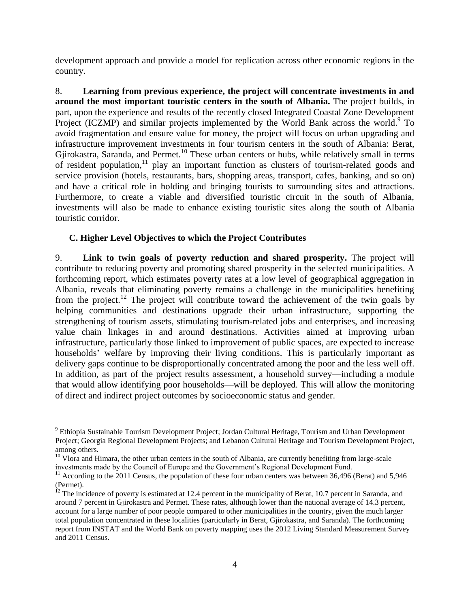development approach and provide a model for replication across other economic regions in the country.

8. **Learning from previous experience, the project will concentrate investments in and around the most important touristic centers in the south of Albania.** The project builds, in part, upon the experience and results of the recently closed Integrated Coastal Zone Development Project (ICZMP) and similar projects implemented by the World Bank across the world.<sup>9</sup> To avoid fragmentation and ensure value for money, the project will focus on urban upgrading and infrastructure improvement investments in four tourism centers in the south of Albania: Berat, Gjirokastra, Saranda, and Permet.<sup>10</sup> These urban centers or hubs, while relatively small in terms of resident population, $11$  play an important function as clusters of tourism-related goods and service provision (hotels, restaurants, bars, shopping areas, transport, cafes, banking, and so on) and have a critical role in holding and bringing tourists to surrounding sites and attractions. Furthermore, to create a viable and diversified touristic circuit in the south of Albania, investments will also be made to enhance existing touristic sites along the south of Albania touristic corridor.

### **C. Higher Level Objectives to which the Project Contributes**

 $\overline{a}$ 

9. **Link to twin goals of poverty reduction and shared prosperity.** The project will contribute to reducing poverty and promoting shared prosperity in the selected municipalities. A forthcoming report, which estimates poverty rates at a low level of geographical aggregation in Albania, reveals that eliminating poverty remains a challenge in the municipalities benefiting from the project.<sup>12</sup> The project will contribute toward the achievement of the twin goals by helping communities and destinations upgrade their urban infrastructure, supporting the strengthening of tourism assets, stimulating tourism-related jobs and enterprises, and increasing value chain linkages in and around destinations. Activities aimed at improving urban infrastructure, particularly those linked to improvement of public spaces, are expected to increase households' welfare by improving their living conditions. This is particularly important as delivery gaps continue to be disproportionally concentrated among the poor and the less well off. In addition, as part of the project results assessment, a household survey—including a module that would allow identifying poor households—will be deployed. This will allow the monitoring of direct and indirect project outcomes by socioeconomic status and gender.

<sup>9</sup> Ethiopia Sustainable Tourism Development Project; Jordan Cultural Heritage, Tourism and Urban Development Project; Georgia Regional Development Projects; and Lebanon Cultural Heritage and Tourism Development Project, among others.

<sup>&</sup>lt;sup>10</sup> Vlora and Himara, the other urban centers in the south of Albania, are currently benefiting from large-scale investments made by the Council of Europe and the Government's Regional Development Fund.

 $11$  According to the 2011 Census, the population of these four urban centers was between 36,496 (Berat) and 5,946 (Permet).

 $12$  The incidence of poverty is estimated at 12.4 percent in the municipality of Berat, 10.7 percent in Saranda, and around 7 percent in Gjirokastra and Permet. These rates, although lower than the national average of 14.3 percent, account for a large number of poor people compared to other municipalities in the country, given the much larger total population concentrated in these localities (particularly in Berat, Gjirokastra, and Saranda). The forthcoming report from INSTAT and the World Bank on poverty mapping uses the 2012 Living Standard Measurement Survey and 2011 Census.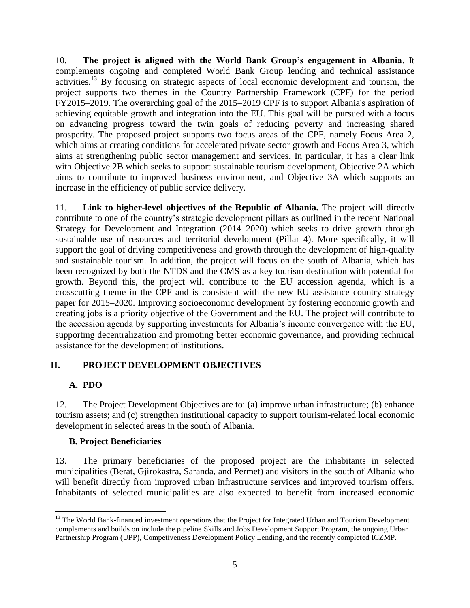10. **The project is aligned with the World Bank Group's engagement in Albania.** It complements ongoing and completed World Bank Group lending and technical assistance activities. <sup>13</sup> By focusing on strategic aspects of local economic development and tourism, the project supports two themes in the Country Partnership Framework (CPF) for the period FY2015–2019. The overarching goal of the 2015–2019 CPF is to support Albania's aspiration of achieving equitable growth and integration into the EU. This goal will be pursued with a focus on advancing progress toward the twin goals of reducing poverty and increasing shared prosperity. The proposed project supports two focus areas of the CPF, namely Focus Area 2, which aims at creating conditions for accelerated private sector growth and Focus Area 3, which aims at strengthening public sector management and services. In particular, it has a clear link with Objective 2B which seeks to support sustainable tourism development, Objective 2A which aims to contribute to improved business environment, and Objective 3A which supports an increase in the efficiency of public service delivery.

11. **Link to higher-level objectives of the Republic of Albania.** The project will directly contribute to one of the country's strategic development pillars as outlined in the recent National Strategy for Development and Integration (2014–2020) which seeks to drive growth through sustainable use of resources and territorial development (Pillar 4). More specifically, it will support the goal of driving competitiveness and growth through the development of high-quality and sustainable tourism. In addition, the project will focus on the south of Albania, which has been recognized by both the NTDS and the CMS as a key tourism destination with potential for growth. Beyond this, the project will contribute to the EU accession agenda, which is a crosscutting theme in the CPF and is consistent with the new EU assistance country strategy paper for 2015–2020. Improving socioeconomic development by fostering economic growth and creating jobs is a priority objective of the Government and the EU. The project will contribute to the accession agenda by supporting investments for Albania's income convergence with the EU, supporting decentralization and promoting better economic governance, and providing technical assistance for the development of institutions.

# **II. PROJECT DEVELOPMENT OBJECTIVES**

### **A. PDO**

 $\overline{a}$ 

12. The Project Development Objectives are to: (a) improve urban infrastructure; (b) enhance tourism assets; and (c) strengthen institutional capacity to support tourism-related local economic development in selected areas in the south of Albania.

### **B. Project Beneficiaries**

13. The primary beneficiaries of the proposed project are the inhabitants in selected municipalities (Berat, Gjirokastra, Saranda, and Permet) and visitors in the south of Albania who will benefit directly from improved urban infrastructure services and improved tourism offers. Inhabitants of selected municipalities are also expected to benefit from increased economic

<sup>&</sup>lt;sup>13</sup> The World Bank-financed investment operations that the Project for Integrated Urban and Tourism Development complements and builds on include the pipeline Skills and Jobs Development Support Program, the ongoing Urban Partnership Program (UPP), Competiveness Development Policy Lending, and the recently completed ICZMP.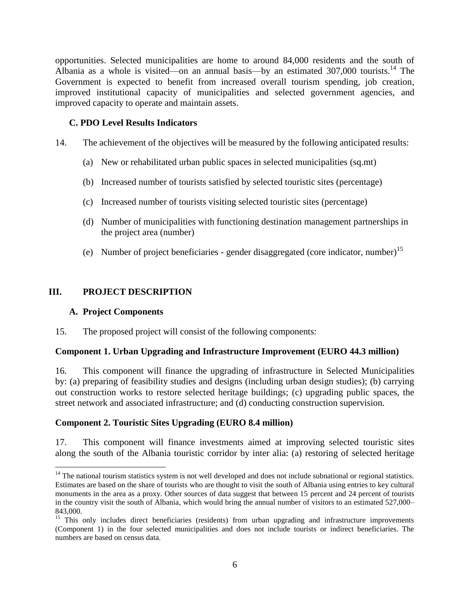opportunities. Selected municipalities are home to around 84,000 residents and the south of Albania as a whole is visited—on an annual basis—by an estimated 307,000 tourists.<sup>14</sup> The Government is expected to benefit from increased overall tourism spending, job creation, improved institutional capacity of municipalities and selected government agencies, and improved capacity to operate and maintain assets.

### **C. PDO Level Results Indicators**

- 14. The achievement of the objectives will be measured by the following anticipated results:
	- (a) New or rehabilitated urban public spaces in selected municipalities (sq.mt)
	- (b) Increased number of tourists satisfied by selected touristic sites (percentage)
	- (c) Increased number of tourists visiting selected touristic sites (percentage)
	- (d) Number of municipalities with functioning destination management partnerships in the project area (number)
	- (e) Number of project beneficiaries gender disaggregated (core indicator, number)<sup>15</sup>

### **III. PROJECT DESCRIPTION**

#### **A. Project Components**

 $\overline{a}$ 

15. The proposed project will consist of the following components:

#### **Component 1. Urban Upgrading and Infrastructure Improvement (EURO 44.3 million)**

16. This component will finance the upgrading of infrastructure in Selected Municipalities by: (a) preparing of feasibility studies and designs (including urban design studies); (b) carrying out construction works to restore selected heritage buildings; (c) upgrading public spaces, the street network and associated infrastructure; and (d) conducting construction supervision.

#### **Component 2. Touristic Sites Upgrading (EURO 8.4 million)**

17. This component will finance investments aimed at improving selected touristic sites along the south of the Albania touristic corridor by inter alia: (a) restoring of selected heritage

<sup>&</sup>lt;sup>14</sup> The national tourism statistics system is not well developed and does not include subnational or regional statistics. Estimates are based on the share of tourists who are thought to visit the south of Albania using entries to key cultural monuments in the area as a proxy. Other sources of data suggest that between 15 percent and 24 percent of tourists in the country visit the south of Albania, which would bring the annual number of visitors to an estimated 527,000– 843,000.

<sup>&</sup>lt;sup>15</sup> This only includes direct beneficiaries (residents) from urban upgrading and infrastructure improvements (Component 1) in the four selected municipalities and does not include tourists or indirect beneficiaries. The numbers are based on census data.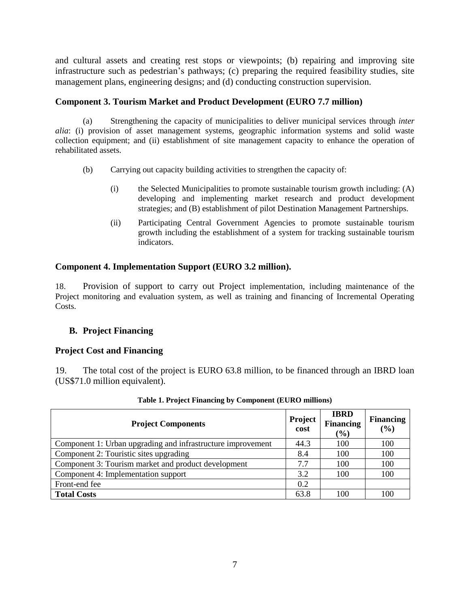and cultural assets and creating rest stops or viewpoints; (b) repairing and improving site infrastructure such as pedestrian's pathways; (c) preparing the required feasibility studies, site management plans, engineering designs; and (d) conducting construction supervision.

### **Component 3. Tourism Market and Product Development (EURO 7.7 million)**

(a) Strengthening the capacity of municipalities to deliver municipal services through *inter alia*: (i) provision of asset management systems, geographic information systems and solid waste collection equipment; and (ii) establishment of site management capacity to enhance the operation of rehabilitated assets.

- (b) Carrying out capacity building activities to strengthen the capacity of:
	- (i) the Selected Municipalities to promote sustainable tourism growth including: (A) developing and implementing market research and product development strategies; and (B) establishment of pilot Destination Management Partnerships.
	- (ii) Participating Central Government Agencies to promote sustainable tourism growth including the establishment of a system for tracking sustainable tourism indicators.

### **Component 4. Implementation Support (EURO 3.2 million).**

18. Provision of support to carry out Project implementation, including maintenance of the Project monitoring and evaluation system, as well as training and financing of Incremental Operating Costs.

### **B. Project Financing**

#### **Project Cost and Financing**

19. The total cost of the project is EURO 63.8 million, to be financed through an IBRD loan (US\$71.0 million equivalent).

| <b>Project Components</b>                                   | Project<br>cost | <b>IBRD</b><br><b>Financing</b><br>$(\%)$ | <b>Financing</b><br>(9/0) |
|-------------------------------------------------------------|-----------------|-------------------------------------------|---------------------------|
| Component 1: Urban upgrading and infrastructure improvement | 44.3            | 100                                       | 100                       |
| Component 2: Touristic sites upgrading                      | 8.4             | 100                                       | 100                       |
| Component 3: Tourism market and product development         | 7.7             | 100                                       | 100                       |
| Component 4: Implementation support                         | 3.2             | 100                                       | 100                       |
| Front-end fee                                               | 0.2             |                                           |                           |
| <b>Total Costs</b>                                          | 63.8            | 100                                       | 100                       |

#### **Table 1. Project Financing by Component (EURO millions)**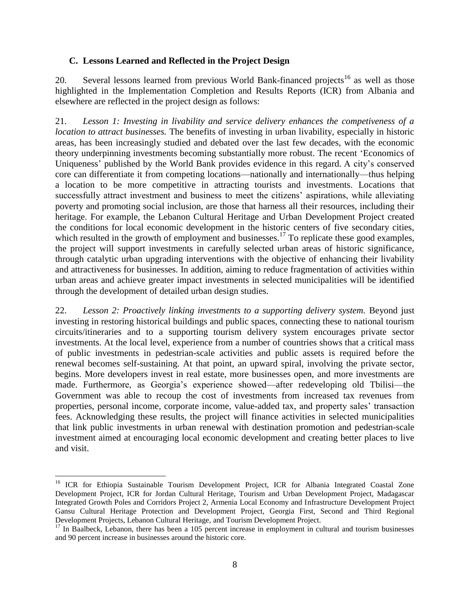### **C. Lessons Learned and Reflected in the Project Design**

20. Several lessons learned from previous World Bank-financed projects<sup>16</sup> as well as those highlighted in the Implementation Completion and Results Reports (ICR) from Albania and elsewhere are reflected in the project design as follows:

21. *Lesson 1: Investing in livability and service delivery enhances the competiveness of a location to attract businesses.* The benefits of investing in urban livability, especially in historic areas, has been increasingly studied and debated over the last few decades, with the economic theory underpinning investments becoming substantially more robust. The recent 'Economics of Uniqueness' published by the World Bank provides evidence in this regard. A city's conserved core can differentiate it from competing locations—nationally and internationally—thus helping a location to be more competitive in attracting tourists and investments. Locations that successfully attract investment and business to meet the citizens' aspirations, while alleviating poverty and promoting social inclusion, are those that harness all their resources, including their heritage. For example, the Lebanon Cultural Heritage and Urban Development Project created the conditions for local economic development in the historic centers of five secondary cities, which resulted in the growth of employment and businesses.<sup>17</sup> To replicate these good examples, the project will support investments in carefully selected urban areas of historic significance, through catalytic urban upgrading interventions with the objective of enhancing their livability and attractiveness for businesses. In addition, aiming to reduce fragmentation of activities within urban areas and achieve greater impact investments in selected municipalities will be identified through the development of detailed urban design studies.

22. *Lesson 2: Proactively linking investments to a supporting delivery system.* Beyond just investing in restoring historical buildings and public spaces, connecting these to national tourism circuits/itineraries and to a supporting tourism delivery system encourages private sector investments. At the local level, experience from a number of countries shows that a critical mass of public investments in pedestrian-scale activities and public assets is required before the renewal becomes self-sustaining. At that point, an upward spiral, involving the private sector, begins. More developers invest in real estate, more businesses open, and more investments are made. Furthermore, as Georgia's experience showed—after redeveloping old Tbilisi—the Government was able to recoup the cost of investments from increased tax revenues from properties, personal income, corporate income, value-added tax, and property sales' transaction fees. Acknowledging these results, the project will finance activities in selected municipalities that link public investments in urban renewal with destination promotion and pedestrian-scale investment aimed at encouraging local economic development and creating better places to live and visit.

<sup>&</sup>lt;sup>16</sup> ICR for Ethiopia Sustainable Tourism Development Project, ICR for Albania Integrated Coastal Zone Development Project, ICR for Jordan Cultural Heritage, Tourism and Urban Development Project, Madagascar Integrated Growth Poles and Corridors Project 2, Armenia Local Economy and Infrastructure Development Project Gansu Cultural Heritage Protection and Development Project, Georgia First, Second and Third Regional Development Projects, Lebanon Cultural Heritage, and Tourism Development Project.

<sup>&</sup>lt;sup>17</sup> In Baalbeck, Lebanon, there has been a 105 percent increase in employment in cultural and tourism businesses and 90 percent increase in businesses around the historic core.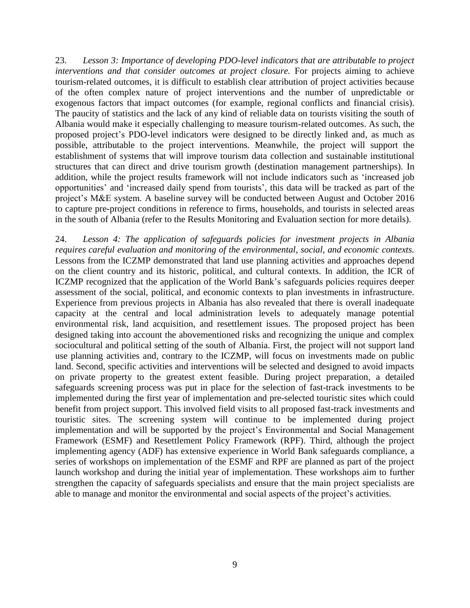23. *Lesson 3: Importance of developing PDO-level indicators that are attributable to project interventions and that consider outcomes at project closure.* For projects aiming to achieve tourism-related outcomes, it is difficult to establish clear attribution of project activities because of the often complex nature of project interventions and the number of unpredictable or exogenous factors that impact outcomes (for example, regional conflicts and financial crisis). The paucity of statistics and the lack of any kind of reliable data on tourists visiting the south of Albania would make it especially challenging to measure tourism-related outcomes. As such, the proposed project's PDO-level indicators were designed to be directly linked and, as much as possible, attributable to the project interventions. Meanwhile, the project will support the establishment of systems that will improve tourism data collection and sustainable institutional structures that can direct and drive tourism growth (destination management partnerships). In addition, while the project results framework will not include indicators such as 'increased job opportunities' and 'increased daily spend from tourists', this data will be tracked as part of the project's M&E system. A baseline survey will be conducted between August and October 2016 to capture pre-project conditions in reference to firms, households, and tourists in selected areas in the south of Albania (refer to the Results Monitoring and Evaluation section for more details).

24. *Lesson 4: The application of safeguards policies for investment projects in Albania requires careful evaluation and monitoring of the environmental, social, and economic contexts.*  Lessons from the ICZMP demonstrated that land use planning activities and approaches depend on the client country and its historic, political, and cultural contexts. In addition, the ICR of ICZMP recognized that the application of the World Bank's safeguards policies requires deeper assessment of the social, political, and economic contexts to plan investments in infrastructure. Experience from previous projects in Albania has also revealed that there is overall inadequate capacity at the central and local administration levels to adequately manage potential environmental risk, land acquisition, and resettlement issues. The proposed project has been designed taking into account the abovementioned risks and recognizing the unique and complex sociocultural and political setting of the south of Albania. First, the project will not support land use planning activities and, contrary to the ICZMP, will focus on investments made on public land. Second, specific activities and interventions will be selected and designed to avoid impacts on private property to the greatest extent feasible. During project preparation, a detailed safeguards screening process was put in place for the selection of fast-track investments to be implemented during the first year of implementation and pre-selected touristic sites which could benefit from project support. This involved field visits to all proposed fast-track investments and touristic sites. The screening system will continue to be implemented during project implementation and will be supported by the project's Environmental and Social Management Framework (ESMF) and Resettlement Policy Framework (RPF). Third, although the project implementing agency (ADF) has extensive experience in World Bank safeguards compliance, a series of workshops on implementation of the ESMF and RPF are planned as part of the project launch workshop and during the initial year of implementation. These workshops aim to further strengthen the capacity of safeguards specialists and ensure that the main project specialists are able to manage and monitor the environmental and social aspects of the project's activities.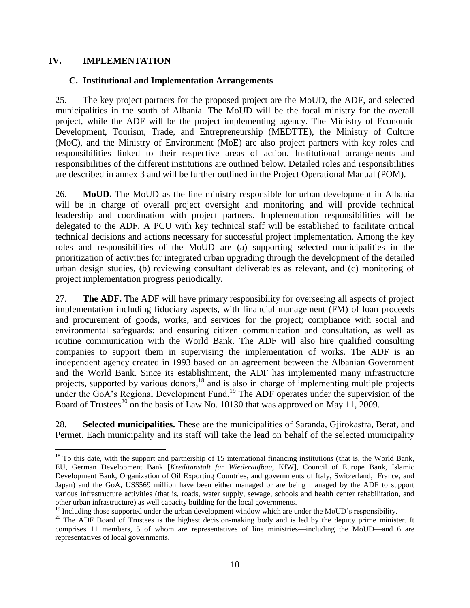### **IV. IMPLEMENTATION**

 $\overline{a}$ 

### **C. Institutional and Implementation Arrangements**

25. The key project partners for the proposed project are the MoUD, the ADF, and selected municipalities in the south of Albania. The MoUD will be the focal ministry for the overall project, while the ADF will be the project implementing agency. The Ministry of Economic Development, Tourism, Trade, and Entrepreneurship (MEDTTE), the Ministry of Culture (MoC), and the Ministry of Environment (MoE) are also project partners with key roles and responsibilities linked to their respective areas of action. Institutional arrangements and responsibilities of the different institutions are outlined below. Detailed roles and responsibilities are described in annex 3 and will be further outlined in the Project Operational Manual (POM).

26. **MoUD.** The MoUD as the line ministry responsible for urban development in Albania will be in charge of overall project oversight and monitoring and will provide technical leadership and coordination with project partners. Implementation responsibilities will be delegated to the ADF. A PCU with key technical staff will be established to facilitate critical technical decisions and actions necessary for successful project implementation. Among the key roles and responsibilities of the MoUD are (a) supporting selected municipalities in the prioritization of activities for integrated urban upgrading through the development of the detailed urban design studies, (b) reviewing consultant deliverables as relevant, and (c) monitoring of project implementation progress periodically.

27. **The ADF.** The ADF will have primary responsibility for overseeing all aspects of project implementation including fiduciary aspects, with financial management (FM) of loan proceeds and procurement of goods, works, and services for the project; compliance with social and environmental safeguards; and ensuring citizen communication and consultation, as well as routine communication with the World Bank. The ADF will also hire qualified consulting companies to support them in supervising the implementation of works. The ADF is an independent agency created in 1993 based on an agreement between the Albanian Government and the World Bank. Since its establishment, the ADF has implemented many infrastructure projects, supported by various donors,<sup>18</sup> and is also in charge of implementing multiple projects under the GoA's Regional Development Fund.<sup>19</sup> The ADF operates under the supervision of the Board of Trustees<sup>20</sup> on the basis of Law No. 10130 that was approved on May 11, 2009.

28. **Selected municipalities.** These are the municipalities of Saranda, Gjirokastra, Berat, and Permet. Each municipality and its staff will take the lead on behalf of the selected municipality

 $18$  To this date, with the support and partnership of 15 international financing institutions (that is, the World Bank, EU, German Development Bank [*Kreditanstalt für Wiederaufbau*, KfW], Council of Europe Bank, Islamic Development Bank, Organization of Oil Exporting Countries, and governments of Italy, Switzerland, France, and Japan) and the GoA, US\$569 million have been either managed or are being managed by the ADF to support various infrastructure activities (that is, roads, water supply, sewage, schools and health center rehabilitation, and other urban infrastructure) as well capacity building for the local governments.

<sup>&</sup>lt;sup>19</sup> Including those supported under the urban development window which are under the MoUD's responsibility.

<sup>&</sup>lt;sup>20</sup> The ADF Board of Trustees is the highest decision-making body and is led by the deputy prime minister. It comprises 11 members, 5 of whom are representatives of line ministries—including the MoUD—and 6 are representatives of local governments.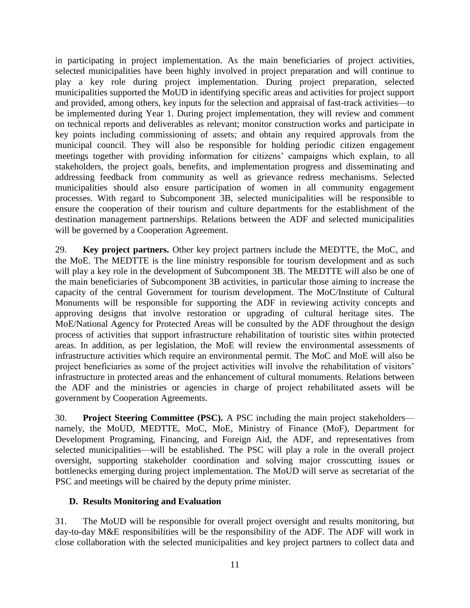in participating in project implementation. As the main beneficiaries of project activities, selected municipalities have been highly involved in project preparation and will continue to play a key role during project implementation. During project preparation, selected municipalities supported the MoUD in identifying specific areas and activities for project support and provided, among others, key inputs for the selection and appraisal of fast-track activities—to be implemented during Year 1. During project implementation, they will review and comment on technical reports and deliverables as relevant; monitor construction works and participate in key points including commissioning of assets; and obtain any required approvals from the municipal council. They will also be responsible for holding periodic citizen engagement meetings together with providing information for citizens' campaigns which explain, to all stakeholders, the project goals, benefits, and implementation progress and disseminating and addressing feedback from community as well as grievance redress mechanisms. Selected municipalities should also ensure participation of women in all community engagement processes. With regard to Subcomponent 3B, selected municipalities will be responsible to ensure the cooperation of their tourism and culture departments for the establishment of the destination management partnerships. Relations between the ADF and selected municipalities will be governed by a Cooperation Agreement.

29. **Key project partners.** Other key project partners include the MEDTTE, the MoC, and the MoE. The MEDTTE is the line ministry responsible for tourism development and as such will play a key role in the development of Subcomponent 3B. The MEDTTE will also be one of the main beneficiaries of Subcomponent 3B activities, in particular those aiming to increase the capacity of the central Government for tourism development. The MoC/Institute of Cultural Monuments will be responsible for supporting the ADF in reviewing activity concepts and approving designs that involve restoration or upgrading of cultural heritage sites. The MoE/National Agency for Protected Areas will be consulted by the ADF throughout the design process of activities that support infrastructure rehabilitation of touristic sites within protected areas. In addition, as per legislation, the MoE will review the environmental assessments of infrastructure activities which require an environmental permit. The MoC and MoE will also be project beneficiaries as some of the project activities will involve the rehabilitation of visitors' infrastructure in protected areas and the enhancement of cultural monuments. Relations between the ADF and the ministries or agencies in charge of project rehabilitated assets will be government by Cooperation Agreements.

30. **Project Steering Committee (PSC).** A PSC including the main project stakeholders namely, the MoUD, MEDTTE, MoC, MoE, Ministry of Finance (MoF), Department for Development Programing, Financing, and Foreign Aid, the ADF, and representatives from selected municipalities—will be established. The PSC will play a role in the overall project oversight, supporting stakeholder coordination and solving major crosscutting issues or bottlenecks emerging during project implementation. The MoUD will serve as secretariat of the PSC and meetings will be chaired by the deputy prime minister.

### **D. Results Monitoring and Evaluation**

31. The MoUD will be responsible for overall project oversight and results monitoring, but day-to-day M&E responsibilities will be the responsibility of the ADF. The ADF will work in close collaboration with the selected municipalities and key project partners to collect data and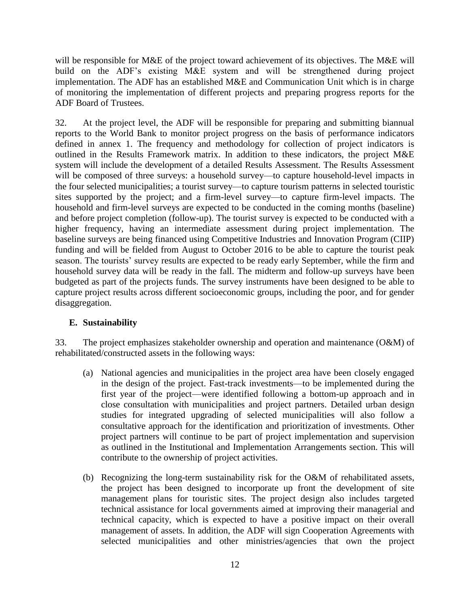will be responsible for M&E of the project toward achievement of its objectives. The M&E will build on the ADF's existing M&E system and will be strengthened during project implementation. The ADF has an established M&E and Communication Unit which is in charge of monitoring the implementation of different projects and preparing progress reports for the ADF Board of Trustees.

32. At the project level, the ADF will be responsible for preparing and submitting biannual reports to the World Bank to monitor project progress on the basis of performance indicators defined in annex 1. The frequency and methodology for collection of project indicators is outlined in the Results Framework matrix. In addition to these indicators, the project M&E system will include the development of a detailed Results Assessment. The Results Assessment will be composed of three surveys: a household survey—to capture household-level impacts in the four selected municipalities; a tourist survey—to capture tourism patterns in selected touristic sites supported by the project; and a firm-level survey—to capture firm-level impacts. The household and firm-level surveys are expected to be conducted in the coming months (baseline) and before project completion (follow-up). The tourist survey is expected to be conducted with a higher frequency, having an intermediate assessment during project implementation. The baseline surveys are being financed using Competitive Industries and Innovation Program (CIIP) funding and will be fielded from August to October 2016 to be able to capture the tourist peak season. The tourists' survey results are expected to be ready early September, while the firm and household survey data will be ready in the fall. The midterm and follow-up surveys have been budgeted as part of the projects funds. The survey instruments have been designed to be able to capture project results across different socioeconomic groups, including the poor, and for gender disaggregation.

### **E. Sustainability**

33. The project emphasizes stakeholder ownership and operation and maintenance (O&M) of rehabilitated/constructed assets in the following ways:

- (a) National agencies and municipalities in the project area have been closely engaged in the design of the project. Fast-track investments—to be implemented during the first year of the project—were identified following a bottom-up approach and in close consultation with municipalities and project partners. Detailed urban design studies for integrated upgrading of selected municipalities will also follow a consultative approach for the identification and prioritization of investments. Other project partners will continue to be part of project implementation and supervision as outlined in the Institutional and Implementation Arrangements section. This will contribute to the ownership of project activities.
- (b) Recognizing the long-term sustainability risk for the O&M of rehabilitated assets, the project has been designed to incorporate up front the development of site management plans for touristic sites. The project design also includes targeted technical assistance for local governments aimed at improving their managerial and technical capacity, which is expected to have a positive impact on their overall management of assets. In addition, the ADF will sign Cooperation Agreements with selected municipalities and other ministries/agencies that own the project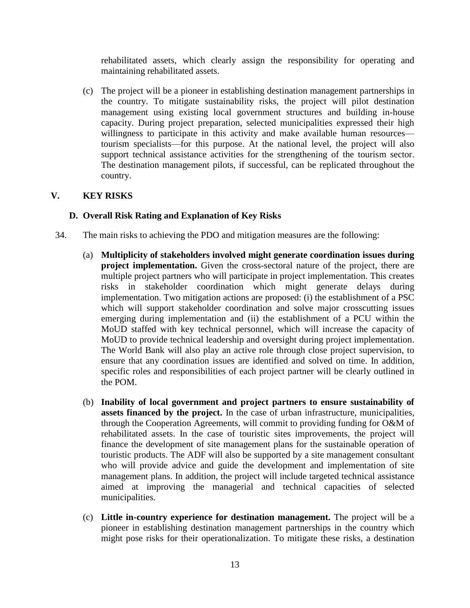rehabilitated assets, which clearly assign the responsibility for operating and maintaining rehabilitated assets.

(c) The project will be a pioneer in establishing destination management partnerships in the country. To mitigate sustainability risks, the project will pilot destination management using existing local government structures and building in-house capacity. During project preparation, selected municipalities expressed their high willingness to participate in this activity and make available human resources tourism specialists—for this purpose. At the national level, the project will also support technical assistance activities for the strengthening of the tourism sector. The destination management pilots, if successful, can be replicated throughout the country.

### **V. KEY RISKS**

## **D. Overall Risk Rating and Explanation of Key Risks**

- 34. The main risks to achieving the PDO and mitigation measures are the following:
	- (a) **Multiplicity of stakeholders involved might generate coordination issues during project implementation.** Given the cross-sectoral nature of the project, there are multiple project partners who will participate in project implementation. This creates risks in stakeholder coordination which might generate delays during implementation. Two mitigation actions are proposed: (i) the establishment of a PSC which will support stakeholder coordination and solve major crosscutting issues emerging during implementation and (ii) the establishment of a PCU within the MoUD staffed with key technical personnel, which will increase the capacity of MoUD to provide technical leadership and oversight during project implementation. The World Bank will also play an active role through close project supervision, to ensure that any coordination issues are identified and solved on time. In addition, specific roles and responsibilities of each project partner will be clearly outlined in the POM.
	- (b) **Inability of local government and project partners to ensure sustainability of assets financed by the project.** In the case of urban infrastructure, municipalities, through the Cooperation Agreements, will commit to providing funding for O&M of rehabilitated assets. In the case of touristic sites improvements, the project will finance the development of site management plans for the sustainable operation of touristic products. The ADF will also be supported by a site management consultant who will provide advice and guide the development and implementation of site management plans. In addition, the project will include targeted technical assistance aimed at improving the managerial and technical capacities of selected municipalities.
	- (c) **Little in-country experience for destination management.** The project will be a pioneer in establishing destination management partnerships in the country which might pose risks for their operationalization. To mitigate these risks, a destination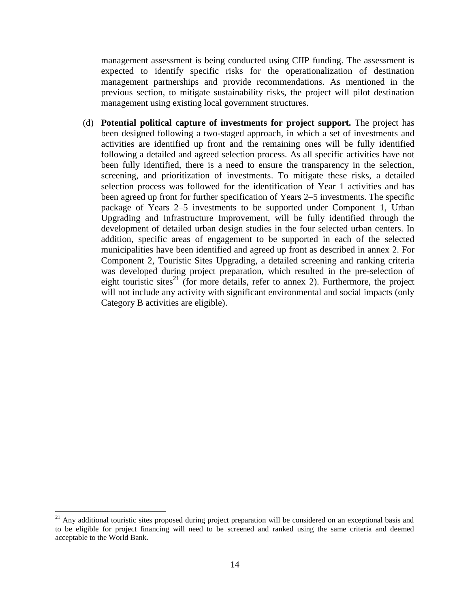management assessment is being conducted using CIIP funding. The assessment is expected to identify specific risks for the operationalization of destination management partnerships and provide recommendations. As mentioned in the previous section, to mitigate sustainability risks, the project will pilot destination management using existing local government structures.

(d) **Potential political capture of investments for project support.** The project has been designed following a two-staged approach, in which a set of investments and activities are identified up front and the remaining ones will be fully identified following a detailed and agreed selection process. As all specific activities have not been fully identified, there is a need to ensure the transparency in the selection, screening, and prioritization of investments. To mitigate these risks, a detailed selection process was followed for the identification of Year 1 activities and has been agreed up front for further specification of Years 2–5 investments. The specific package of Years 2–5 investments to be supported under Component 1, Urban Upgrading and Infrastructure Improvement, will be fully identified through the development of detailed urban design studies in the four selected urban centers. In addition, specific areas of engagement to be supported in each of the selected municipalities have been identified and agreed up front as described in annex 2. For Component 2, Touristic Sites Upgrading, a detailed screening and ranking criteria was developed during project preparation, which resulted in the pre-selection of eight touristic sites<sup>21</sup> (for more details, refer to annex 2). Furthermore, the project will not include any activity with significant environmental and social impacts (only Category B activities are eligible).

 $^{21}$  Any additional touristic sites proposed during project preparation will be considered on an exceptional basis and to be eligible for project financing will need to be screened and ranked using the same criteria and deemed acceptable to the World Bank.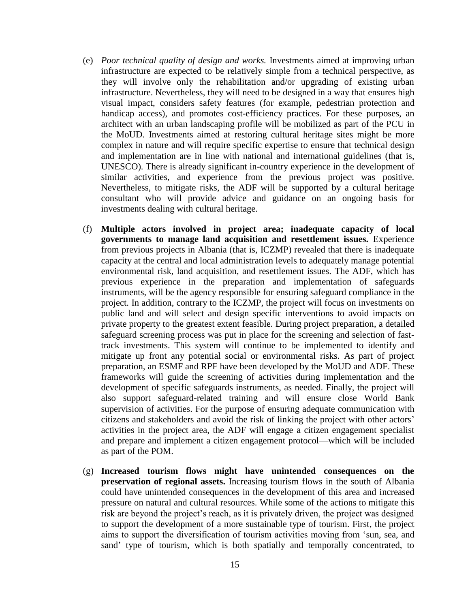- (e) *Poor technical quality of design and works.* Investments aimed at improving urban infrastructure are expected to be relatively simple from a technical perspective, as they will involve only the rehabilitation and/or upgrading of existing urban infrastructure. Nevertheless, they will need to be designed in a way that ensures high visual impact, considers safety features (for example, pedestrian protection and handicap access), and promotes cost-efficiency practices. For these purposes, an architect with an urban landscaping profile will be mobilized as part of the PCU in the MoUD. Investments aimed at restoring cultural heritage sites might be more complex in nature and will require specific expertise to ensure that technical design and implementation are in line with national and international guidelines (that is, UNESCO). There is already significant in-country experience in the development of similar activities, and experience from the previous project was positive. Nevertheless, to mitigate risks, the ADF will be supported by a cultural heritage consultant who will provide advice and guidance on an ongoing basis for investments dealing with cultural heritage.
- (f) **Multiple actors involved in project area; inadequate capacity of local governments to manage land acquisition and resettlement issues.** Experience from previous projects in Albania (that is, ICZMP) revealed that there is inadequate capacity at the central and local administration levels to adequately manage potential environmental risk, land acquisition, and resettlement issues. The ADF, which has previous experience in the preparation and implementation of safeguards instruments, will be the agency responsible for ensuring safeguard compliance in the project. In addition, contrary to the ICZMP, the project will focus on investments on public land and will select and design specific interventions to avoid impacts on private property to the greatest extent feasible. During project preparation, a detailed safeguard screening process was put in place for the screening and selection of fasttrack investments. This system will continue to be implemented to identify and mitigate up front any potential social or environmental risks. As part of project preparation, an ESMF and RPF have been developed by the MoUD and ADF. These frameworks will guide the screening of activities during implementation and the development of specific safeguards instruments, as needed. Finally, the project will also support safeguard-related training and will ensure close World Bank supervision of activities. For the purpose of ensuring adequate communication with citizens and stakeholders and avoid the risk of linking the project with other actors' activities in the project area, the ADF will engage a citizen engagement specialist and prepare and implement a citizen engagement protocol—which will be included as part of the POM.
- (g) **Increased tourism flows might have unintended consequences on the preservation of regional assets.** Increasing tourism flows in the south of Albania could have unintended consequences in the development of this area and increased pressure on natural and cultural resources. While some of the actions to mitigate this risk are beyond the project's reach, as it is privately driven, the project was designed to support the development of a more sustainable type of tourism. First, the project aims to support the diversification of tourism activities moving from 'sun, sea, and sand' type of tourism, which is both spatially and temporally concentrated, to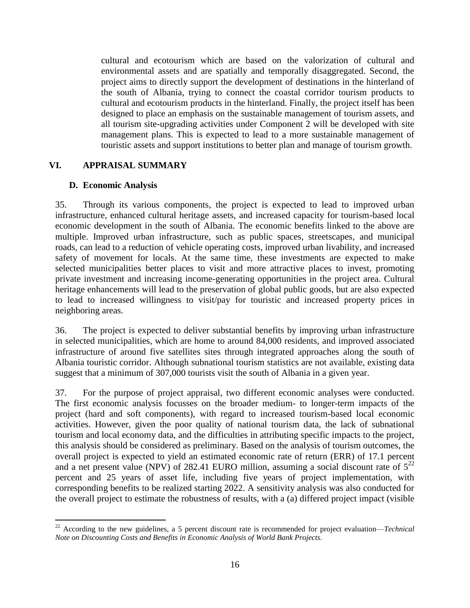cultural and ecotourism which are based on the valorization of cultural and environmental assets and are spatially and temporally disaggregated. Second, the project aims to directly support the development of destinations in the hinterland of the south of Albania, trying to connect the coastal corridor tourism products to cultural and ecotourism products in the hinterland. Finally, the project itself has been designed to place an emphasis on the sustainable management of tourism assets, and all tourism site-upgrading activities under Component 2 will be developed with site management plans. This is expected to lead to a more sustainable management of touristic assets and support institutions to better plan and manage of tourism growth.

### **VI. APPRAISAL SUMMARY**

#### **D. Economic Analysis**

 $\overline{a}$ 

35. Through its various components, the project is expected to lead to improved urban infrastructure, enhanced cultural heritage assets, and increased capacity for tourism-based local economic development in the south of Albania. The economic benefits linked to the above are multiple. Improved urban infrastructure, such as public spaces, streetscapes, and municipal roads, can lead to a reduction of vehicle operating costs, improved urban livability, and increased safety of movement for locals. At the same time, these investments are expected to make selected municipalities better places to visit and more attractive places to invest, promoting private investment and increasing income-generating opportunities in the project area. Cultural heritage enhancements will lead to the preservation of global public goods, but are also expected to lead to increased willingness to visit/pay for touristic and increased property prices in neighboring areas.

36. The project is expected to deliver substantial benefits by improving urban infrastructure in selected municipalities, which are home to around 84,000 residents, and improved associated infrastructure of around five satellites sites through integrated approaches along the south of Albania touristic corridor. Although subnational tourism statistics are not available, existing data suggest that a minimum of 307,000 tourists visit the south of Albania in a given year.

37. For the purpose of project appraisal, two different economic analyses were conducted. The first economic analysis focusses on the broader medium- to longer-term impacts of the project (hard and soft components), with regard to increased tourism-based local economic activities. However, given the poor quality of national tourism data, the lack of subnational tourism and local economy data, and the difficulties in attributing specific impacts to the project, this analysis should be considered as preliminary. Based on the analysis of tourism outcomes, the overall project is expected to yield an estimated economic rate of return (ERR) of 17.1 percent and a net present value (NPV) of 282.41 EURO million, assuming a social discount rate of  $5^{22}$ percent and 25 years of asset life, including five years of project implementation, with corresponding benefits to be realized starting 2022. A sensitivity analysis was also conducted for the overall project to estimate the robustness of results, with a (a) differed project impact (visible

<sup>22</sup> According to the new guidelines, a 5 percent discount rate is recommended for project evaluation—*Technical Note on Discounting Costs and Benefits in Economic Analysis of World Bank Projects.*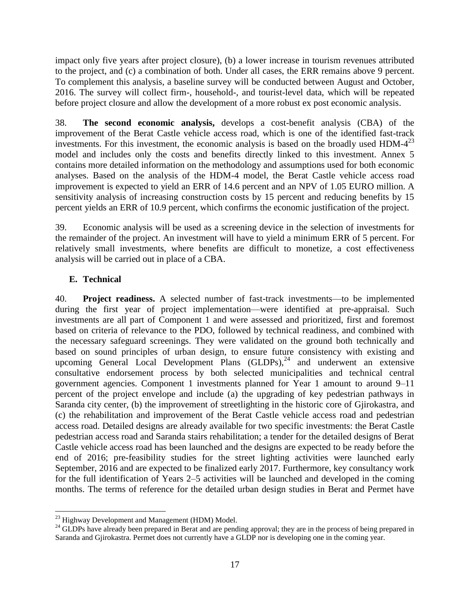impact only five years after project closure), (b) a lower increase in tourism revenues attributed to the project, and (c) a combination of both. Under all cases, the ERR remains above 9 percent. To complement this analysis, a baseline survey will be conducted between August and October, 2016. The survey will collect firm-, household-, and tourist-level data, which will be repeated before project closure and allow the development of a more robust ex post economic analysis.

38. **The second economic analysis,** develops a cost-benefit analysis (CBA) of the improvement of the Berat Castle vehicle access road, which is one of the identified fast-track investments. For this investment, the economic analysis is based on the broadly used HDM- $4^{23}$ model and includes only the costs and benefits directly linked to this investment. Annex 5 contains more detailed information on the methodology and assumptions used for both economic analyses. Based on the analysis of the HDM-4 model, the Berat Castle vehicle access road improvement is expected to yield an ERR of 14.6 percent and an NPV of 1.05 EURO million. A sensitivity analysis of increasing construction costs by 15 percent and reducing benefits by 15 percent yields an ERR of 10.9 percent, which confirms the economic justification of the project.

39. Economic analysis will be used as a screening device in the selection of investments for the remainder of the project. An investment will have to yield a minimum ERR of 5 percent. For relatively small investments, where benefits are difficult to monetize, a cost effectiveness analysis will be carried out in place of a CBA.

# **E. Technical**

 $\overline{a}$ 

40. **Project readiness.** A selected number of fast-track investments—to be implemented during the first year of project implementation—were identified at pre-appraisal. Such investments are all part of Component 1 and were assessed and prioritized, first and foremost based on criteria of relevance to the PDO, followed by technical readiness, and combined with the necessary safeguard screenings. They were validated on the ground both technically and based on sound principles of urban design, to ensure future consistency with existing and upcoming General Local Development Plans  $(GLDPs)<sup>24</sup>$  and underwent an extensive consultative endorsement process by both selected municipalities and technical central government agencies. Component 1 investments planned for Year 1 amount to around 9–11 percent of the project envelope and include (a) the upgrading of key pedestrian pathways in Saranda city center, (b) the improvement of streetlighting in the historic core of Gjirokastra, and (c) the rehabilitation and improvement of the Berat Castle vehicle access road and pedestrian access road. Detailed designs are already available for two specific investments: the Berat Castle pedestrian access road and Saranda stairs rehabilitation; a tender for the detailed designs of Berat Castle vehicle access road has been launched and the designs are expected to be ready before the end of 2016; pre-feasibility studies for the street lighting activities were launched early September, 2016 and are expected to be finalized early 2017. Furthermore, key consultancy work for the full identification of Years 2–5 activities will be launched and developed in the coming months. The terms of reference for the detailed urban design studies in Berat and Permet have

 $^{23}$  Highway Development and Management (HDM) Model.

<sup>&</sup>lt;sup>24</sup> GLDPs have already been prepared in Berat and are pending approval; they are in the process of being prepared in Saranda and Gjirokastra. Permet does not currently have a GLDP nor is developing one in the coming year.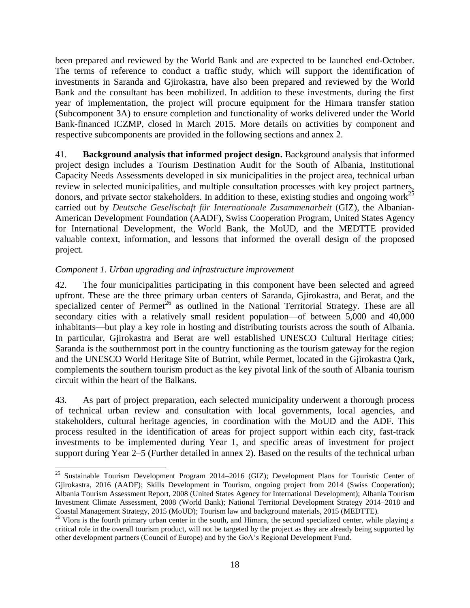been prepared and reviewed by the World Bank and are expected to be launched end-October. The terms of reference to conduct a traffic study, which will support the identification of investments in Saranda and Gjirokastra, have also been prepared and reviewed by the World Bank and the consultant has been mobilized. In addition to these investments, during the first year of implementation, the project will procure equipment for the Himara transfer station (Subcomponent 3A) to ensure completion and functionality of works delivered under the World Bank-financed ICZMP, closed in March 2015. More details on activities by component and respective subcomponents are provided in the following sections and annex 2.

41. **Background analysis that informed project design.** Background analysis that informed project design includes a Tourism Destination Audit for the South of Albania, Institutional Capacity Needs Assessments developed in six municipalities in the project area, technical urban review in selected municipalities, and multiple consultation processes with key project partners, donors, and private sector stakeholders. In addition to these, existing studies and ongoing work<sup>25</sup> carried out by *Deutsche Gesellschaft für Internationale Zusammenarbeit* (GIZ), the Albanian-American Development Foundation (AADF), Swiss Cooperation Program, United States Agency for International Development, the World Bank, the MoUD, and the MEDTTE provided valuable context, information, and lessons that informed the overall design of the proposed project.

### *Component 1. Urban upgrading and infrastructure improvement*

 $\overline{a}$ 

42. The four municipalities participating in this component have been selected and agreed upfront. These are the three primary urban centers of Saranda, Gjirokastra, and Berat, and the specialized center of Permet<sup>26</sup> as outlined in the National Territorial Strategy. These are all secondary cities with a relatively small resident population—of between 5,000 and 40,000 inhabitants—but play a key role in hosting and distributing tourists across the south of Albania. In particular, Gjirokastra and Berat are well established UNESCO Cultural Heritage cities; Saranda is the southernmost port in the country functioning as the tourism gateway for the region and the UNESCO World Heritage Site of Butrint, while Permet, located in the Gjirokastra Qark, complements the southern tourism product as the key pivotal link of the south of Albania tourism circuit within the heart of the Balkans.

43. As part of project preparation, each selected municipality underwent a thorough process of technical urban review and consultation with local governments, local agencies, and stakeholders, cultural heritage agencies, in coordination with the MoUD and the ADF. This process resulted in the identification of areas for project support within each city, fast-track investments to be implemented during Year 1, and specific areas of investment for project support during Year 2–5 (Further detailed in annex 2). Based on the results of the technical urban

<sup>&</sup>lt;sup>25</sup> Sustainable Tourism Development Program 2014–2016 (GIZ); Development Plans for Touristic Center of Gjirokastra, 2016 (AADF); Skills Development in Tourism, ongoing project from 2014 (Swiss Cooperation); Albania Tourism Assessment Report, 2008 (United States Agency for International Development); Albania Tourism Investment Climate Assessment, 2008 (World Bank); National Territorial Development Strategy 2014–2018 and Coastal Management Strategy, 2015 (MoUD); Tourism law and background materials, 2015 (MEDTTE).

<sup>&</sup>lt;sup>26</sup> Vlora is the fourth primary urban center in the south, and Himara, the second specialized center, while playing a critical role in the overall tourism product, will not be targeted by the project as they are already being supported by other development partners (Council of Europe) and by the GoA's Regional Development Fund.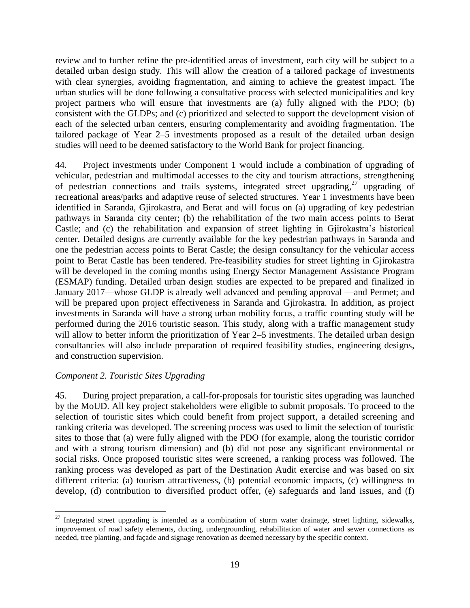review and to further refine the pre-identified areas of investment, each city will be subject to a detailed urban design study. This will allow the creation of a tailored package of investments with clear synergies, avoiding fragmentation, and aiming to achieve the greatest impact. The urban studies will be done following a consultative process with selected municipalities and key project partners who will ensure that investments are (a) fully aligned with the PDO; (b) consistent with the GLDPs; and (c) prioritized and selected to support the development vision of each of the selected urban centers, ensuring complementarity and avoiding fragmentation. The tailored package of Year 2–5 investments proposed as a result of the detailed urban design studies will need to be deemed satisfactory to the World Bank for project financing.

44. Project investments under Component 1 would include a combination of upgrading of vehicular, pedestrian and multimodal accesses to the city and tourism attractions, strengthening of pedestrian connections and trails systems, integrated street upgrading,<sup>27</sup> upgrading of recreational areas/parks and adaptive reuse of selected structures. Year 1 investments have been identified in Saranda, Gjirokastra, and Berat and will focus on (a) upgrading of key pedestrian pathways in Saranda city center; (b) the rehabilitation of the two main access points to Berat Castle; and (c) the rehabilitation and expansion of street lighting in Gjirokastra's historical center. Detailed designs are currently available for the key pedestrian pathways in Saranda and one the pedestrian access points to Berat Castle; the design consultancy for the vehicular access point to Berat Castle has been tendered. Pre-feasibility studies for street lighting in Gjirokastra will be developed in the coming months using Energy Sector Management Assistance Program (ESMAP) funding. Detailed urban design studies are expected to be prepared and finalized in January 2017—whose GLDP is already well advanced and pending approval —and Permet; and will be prepared upon project effectiveness in Saranda and Gjirokastra. In addition, as project investments in Saranda will have a strong urban mobility focus, a traffic counting study will be performed during the 2016 touristic season. This study, along with a traffic management study will allow to better inform the prioritization of Year 2–5 investments. The detailed urban design consultancies will also include preparation of required feasibility studies, engineering designs, and construction supervision.

#### *Component 2. Touristic Sites Upgrading*

 $\overline{a}$ 

45. During project preparation, a call-for-proposals for touristic sites upgrading was launched by the MoUD. All key project stakeholders were eligible to submit proposals. To proceed to the selection of touristic sites which could benefit from project support, a detailed screening and ranking criteria was developed. The screening process was used to limit the selection of touristic sites to those that (a) were fully aligned with the PDO (for example, along the touristic corridor and with a strong tourism dimension) and (b) did not pose any significant environmental or social risks. Once proposed touristic sites were screened, a ranking process was followed. The ranking process was developed as part of the Destination Audit exercise and was based on six different criteria: (a) tourism attractiveness, (b) potential economic impacts, (c) willingness to develop, (d) contribution to diversified product offer, (e) safeguards and land issues, and (f)

<sup>&</sup>lt;sup>27</sup> Integrated street upgrading is intended as a combination of storm water drainage, street lighting, sidewalks, improvement of road safety elements, ducting, undergrounding, rehabilitation of water and sewer connections as needed, tree planting, and façade and signage renovation as deemed necessary by the specific context.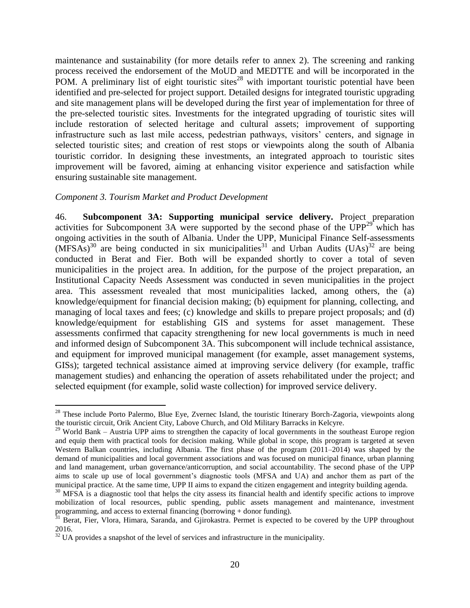maintenance and sustainability (for more details refer to annex 2). The screening and ranking process received the endorsement of the MoUD and MEDTTE and will be incorporated in the POM. A preliminary list of eight touristic sites<sup>28</sup> with important touristic potential have been identified and pre-selected for project support. Detailed designs for integrated touristic upgrading and site management plans will be developed during the first year of implementation for three of the pre-selected touristic sites. Investments for the integrated upgrading of touristic sites will include restoration of selected heritage and cultural assets; improvement of supporting infrastructure such as last mile access, pedestrian pathways, visitors' centers, and signage in selected touristic sites; and creation of rest stops or viewpoints along the south of Albania touristic corridor. In designing these investments, an integrated approach to touristic sites improvement will be favored, aiming at enhancing visitor experience and satisfaction while ensuring sustainable site management.

#### *Component 3. Tourism Market and Product Development*

 $\overline{a}$ 

46. **Subcomponent 3A: Supporting municipal service delivery.** Project preparation activities for Subcomponent 3A were supported by the second phase of the  $UPP<sup>29</sup>$  which has ongoing activities in the south of Albania. Under the UPP, Municipal Finance Self-assessments  $(MFSAs)^{30}$  are being conducted in six municipalities<sup>31</sup> and Urban Audits (UAs)<sup>32</sup> are being conducted in Berat and Fier. Both will be expanded shortly to cover a total of seven municipalities in the project area. In addition, for the purpose of the project preparation, an Institutional Capacity Needs Assessment was conducted in seven municipalities in the project area. This assessment revealed that most municipalities lacked, among others, the (a) knowledge/equipment for financial decision making; (b) equipment for planning, collecting, and managing of local taxes and fees; (c) knowledge and skills to prepare project proposals; and (d) knowledge/equipment for establishing GIS and systems for asset management. These assessments confirmed that capacity strengthening for new local governments is much in need and informed design of Subcomponent 3A. This subcomponent will include technical assistance, and equipment for improved municipal management (for example, asset management systems, GISs); targeted technical assistance aimed at improving service delivery (for example, traffic management studies) and enhancing the operation of assets rehabilitated under the project; and selected equipment (for example, solid waste collection) for improved service delivery.

<sup>&</sup>lt;sup>28</sup> These include Porto Palermo, Blue Eye, Zvernec Island, the touristic Itinerary Borch-Zagoria, viewpoints along the touristic circuit, Orik Ancient City, Labove Church, and Old Military Barracks in Kelcyre.

 $29$  World Bank – Austria UPP aims to strengthen the capacity of local governments in the southeast Europe region and equip them with practical tools for decision making. While global in scope, this program is targeted at seven Western Balkan countries, including Albania. The first phase of the program (2011–2014) was shaped by the demand of municipalities and local government associations and was focused on municipal finance, urban planning and land management, urban governance/anticorruption, and social accountability. The second phase of the UPP aims to scale up use of local government's diagnostic tools (MFSA and UA) and anchor them as part of the municipal practice. At the same time, UPP II aims to expand the citizen engagement and integrity building agenda.

<sup>&</sup>lt;sup>30</sup> MFSA is a diagnostic tool that helps the city assess its financial health and identify specific actions to improve mobilization of local resources, public spending, public assets management and maintenance, investment programming, and access to external financing (borrowing + donor funding).

<sup>&</sup>lt;sup>31</sup> Berat, Fier, Vlora, Himara, Saranda, and Gjirokastra. Permet is expected to be covered by the UPP throughout 2016.

 $\frac{32 \text{ U}}{4}$  DICA provides a snapshot of the level of services and infrastructure in the municipality.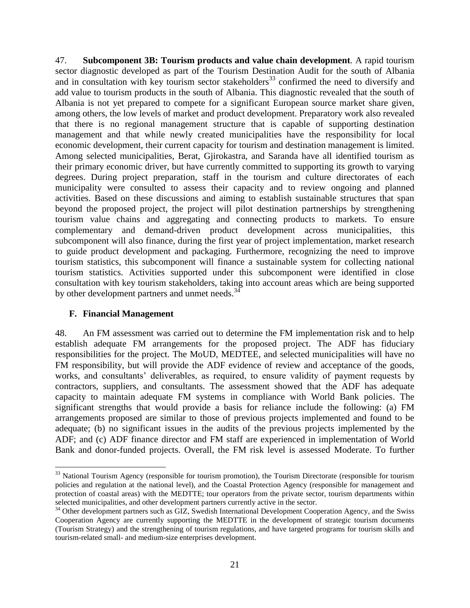47. **Subcomponent 3B: Tourism products and value chain development***.* A rapid tourism sector diagnostic developed as part of the Tourism Destination Audit for the south of Albania and in consultation with key tourism sector stakeholders<sup>33</sup> confirmed the need to diversify and add value to tourism products in the south of Albania. This diagnostic revealed that the south of Albania is not yet prepared to compete for a significant European source market share given, among others, the low levels of market and product development. Preparatory work also revealed that there is no regional management structure that is capable of supporting destination management and that while newly created municipalities have the responsibility for local economic development, their current capacity for tourism and destination management is limited. Among selected municipalities, Berat, Gjirokastra, and Saranda have all identified tourism as their primary economic driver, but have currently committed to supporting its growth to varying degrees. During project preparation, staff in the tourism and culture directorates of each municipality were consulted to assess their capacity and to review ongoing and planned activities. Based on these discussions and aiming to establish sustainable structures that span beyond the proposed project, the project will pilot destination partnerships by strengthening tourism value chains and aggregating and connecting products to markets. To ensure complementary and demand-driven product development across municipalities, this subcomponent will also finance, during the first year of project implementation, market research to guide product development and packaging. Furthermore, recognizing the need to improve tourism statistics, this subcomponent will finance a sustainable system for collecting national tourism statistics. Activities supported under this subcomponent were identified in close consultation with key tourism stakeholders, taking into account areas which are being supported by other development partners and unmet needs.<sup>34</sup>

#### **F. Financial Management**

 $\overline{a}$ 

48. An FM assessment was carried out to determine the FM implementation risk and to help establish adequate FM arrangements for the proposed project. The ADF has fiduciary responsibilities for the project. The MoUD, MEDTEE, and selected municipalities will have no FM responsibility, but will provide the ADF evidence of review and acceptance of the goods, works, and consultants' deliverables, as required, to ensure validity of payment requests by contractors, suppliers, and consultants. The assessment showed that the ADF has adequate capacity to maintain adequate FM systems in compliance with World Bank policies. The significant strengths that would provide a basis for reliance include the following: (a) FM arrangements proposed are similar to those of previous projects implemented and found to be adequate; (b) no significant issues in the audits of the previous projects implemented by the ADF; and (c) ADF finance director and FM staff are experienced in implementation of World Bank and donor-funded projects. Overall, the FM risk level is assessed Moderate. To further

<sup>&</sup>lt;sup>33</sup> National Tourism Agency (responsible for tourism promotion), the Tourism Directorate (responsible for tourism policies and regulation at the national level), and the Coastal Protection Agency (responsible for management and protection of coastal areas) with the MEDTTE; tour operators from the private sector, tourism departments within selected municipalities, and other development partners currently active in the sector.

<sup>&</sup>lt;sup>34</sup> Other development partners such as GIZ, Swedish International Development Cooperation Agency, and the Swiss Cooperation Agency are currently supporting the MEDTTE in the development of strategic tourism documents (Tourism Strategy) and the strengthening of tourism regulations, and have targeted programs for tourism skills and tourism-related small- and medium-size enterprises development.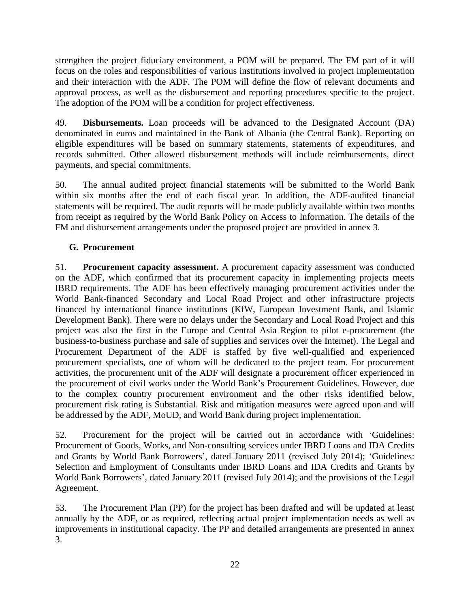strengthen the project fiduciary environment, a POM will be prepared. The FM part of it will focus on the roles and responsibilities of various institutions involved in project implementation and their interaction with the ADF. The POM will define the flow of relevant documents and approval process, as well as the disbursement and reporting procedures specific to the project. The adoption of the POM will be a condition for project effectiveness.

49. **Disbursements.** Loan proceeds will be advanced to the Designated Account (DA) denominated in euros and maintained in the Bank of Albania (the Central Bank). Reporting on eligible expenditures will be based on summary statements, statements of expenditures, and records submitted. Other allowed disbursement methods will include reimbursements, direct payments, and special commitments.

50. The annual audited project financial statements will be submitted to the World Bank within six months after the end of each fiscal year. In addition, the ADF-audited financial statements will be required. The audit reports will be made publicly available within two months from receipt as required by the World Bank Policy on Access to Information. The details of the FM and disbursement arrangements under the proposed project are provided in annex 3.

## **G. Procurement**

51. **Procurement capacity assessment.** A procurement capacity assessment was conducted on the ADF, which confirmed that its procurement capacity in implementing projects meets IBRD requirements. The ADF has been effectively managing procurement activities under the World Bank-financed Secondary and Local Road Project and other infrastructure projects financed by international finance institutions (KfW, European Investment Bank, and Islamic Development Bank). There were no delays under the Secondary and Local Road Project and this project was also the first in the Europe and Central Asia Region to pilot e-procurement (the business-to-business purchase and sale of supplies and services over the Internet). The Legal and Procurement Department of the ADF is staffed by five well-qualified and experienced procurement specialists, one of whom will be dedicated to the project team. For procurement activities, the procurement unit of the ADF will designate a procurement officer experienced in the procurement of civil works under the World Bank's Procurement Guidelines. However, due to the complex country procurement environment and the other risks identified below, procurement risk rating is Substantial. Risk and mitigation measures were agreed upon and will be addressed by the ADF, MoUD, and World Bank during project implementation.

52. Procurement for the project will be carried out in accordance with 'Guidelines: Procurement of Goods, Works, and Non-consulting services under IBRD Loans and IDA Credits and Grants by World Bank Borrowers', dated January 2011 (revised July 2014); 'Guidelines: Selection and Employment of Consultants under IBRD Loans and IDA Credits and Grants by World Bank Borrowers', dated January 2011 (revised July 2014); and the provisions of the Legal Agreement.

53. The Procurement Plan (PP) for the project has been drafted and will be updated at least annually by the ADF, or as required, reflecting actual project implementation needs as well as improvements in institutional capacity. The PP and detailed arrangements are presented in annex 3.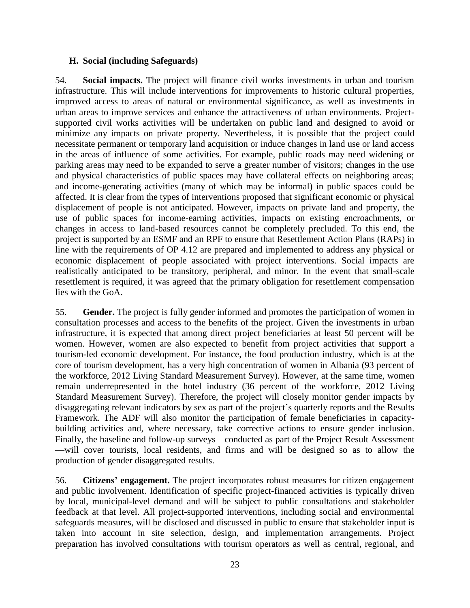#### **H. Social (including Safeguards)**

54. **Social impacts.** The project will finance civil works investments in urban and tourism infrastructure. This will include interventions for improvements to historic cultural properties, improved access to areas of natural or environmental significance, as well as investments in urban areas to improve services and enhance the attractiveness of urban environments. Projectsupported civil works activities will be undertaken on public land and designed to avoid or minimize any impacts on private property. Nevertheless, it is possible that the project could necessitate permanent or temporary land acquisition or induce changes in land use or land access in the areas of influence of some activities. For example, public roads may need widening or parking areas may need to be expanded to serve a greater number of visitors; changes in the use and physical characteristics of public spaces may have collateral effects on neighboring areas; and income-generating activities (many of which may be informal) in public spaces could be affected. It is clear from the types of interventions proposed that significant economic or physical displacement of people is not anticipated. However, impacts on private land and property, the use of public spaces for income-earning activities, impacts on existing encroachments, or changes in access to land-based resources cannot be completely precluded. To this end, the project is supported by an ESMF and an RPF to ensure that Resettlement Action Plans (RAPs) in line with the requirements of OP 4.12 are prepared and implemented to address any physical or economic displacement of people associated with project interventions. Social impacts are realistically anticipated to be transitory, peripheral, and minor. In the event that small-scale resettlement is required, it was agreed that the primary obligation for resettlement compensation lies with the GoA.

55. **Gender.** The project is fully gender informed and promotes the participation of women in consultation processes and access to the benefits of the project. Given the investments in urban infrastructure, it is expected that among direct project beneficiaries at least 50 percent will be women. However, women are also expected to benefit from project activities that support a tourism-led economic development. For instance, the food production industry, which is at the core of tourism development, has a very high concentration of women in Albania (93 percent of the workforce, 2012 Living Standard Measurement Survey). However, at the same time, women remain underrepresented in the hotel industry (36 percent of the workforce, 2012 Living Standard Measurement Survey). Therefore, the project will closely monitor gender impacts by disaggregating relevant indicators by sex as part of the project's quarterly reports and the Results Framework. The ADF will also monitor the participation of female beneficiaries in capacitybuilding activities and, where necessary, take corrective actions to ensure gender inclusion. Finally, the baseline and follow-up surveys—conducted as part of the Project Result Assessment —will cover tourists, local residents, and firms and will be designed so as to allow the production of gender disaggregated results.

56. **Citizens' engagement.** The project incorporates robust measures for citizen engagement and public involvement. Identification of specific project-financed activities is typically driven by local, municipal-level demand and will be subject to public consultations and stakeholder feedback at that level. All project-supported interventions, including social and environmental safeguards measures, will be disclosed and discussed in public to ensure that stakeholder input is taken into account in site selection, design, and implementation arrangements. Project preparation has involved consultations with tourism operators as well as central, regional, and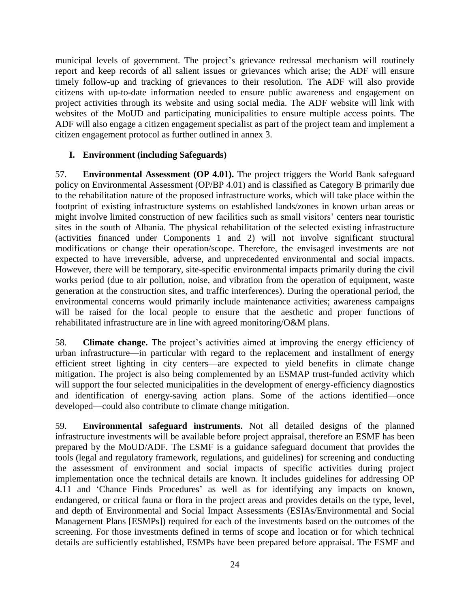municipal levels of government. The project's grievance redressal mechanism will routinely report and keep records of all salient issues or grievances which arise; the ADF will ensure timely follow-up and tracking of grievances to their resolution. The ADF will also provide citizens with up-to-date information needed to ensure public awareness and engagement on project activities through its website and using social media. The ADF website will link with websites of the MoUD and participating municipalities to ensure multiple access points. The ADF will also engage a citizen engagement specialist as part of the project team and implement a citizen engagement protocol as further outlined in annex 3.

### **I. Environment (including Safeguards)**

57. **Environmental Assessment (OP 4.01).** The project triggers the World Bank safeguard policy on Environmental Assessment (OP/BP 4.01) and is classified as Category B primarily due to the rehabilitation nature of the proposed infrastructure works, which will take place within the footprint of existing infrastructure systems on established lands/zones in known urban areas or might involve limited construction of new facilities such as small visitors' centers near touristic sites in the south of Albania. The physical rehabilitation of the selected existing infrastructure (activities financed under Components 1 and 2) will not involve significant structural modifications or change their operation/scope. Therefore, the envisaged investments are not expected to have irreversible, adverse, and unprecedented environmental and social impacts. However, there will be temporary, site-specific environmental impacts primarily during the civil works period (due to air pollution, noise, and vibration from the operation of equipment, waste generation at the construction sites, and traffic interferences). During the operational period, the environmental concerns would primarily include maintenance activities; awareness campaigns will be raised for the local people to ensure that the aesthetic and proper functions of rehabilitated infrastructure are in line with agreed monitoring/O&M plans.

58. **Climate change.** The project's activities aimed at improving the energy efficiency of urban infrastructure—in particular with regard to the replacement and installment of energy efficient street lighting in city centers—are expected to yield benefits in climate change mitigation. The project is also being complemented by an ESMAP trust-funded activity which will support the four selected municipalities in the development of energy-efficiency diagnostics and identification of energy-saving action plans. Some of the actions identified—once developed—could also contribute to climate change mitigation.

59. **Environmental safeguard instruments.** Not all detailed designs of the planned infrastructure investments will be available before project appraisal, therefore an ESMF has been prepared by the MoUD/ADF. The ESMF is a guidance safeguard document that provides the tools (legal and regulatory framework, regulations, and guidelines) for screening and conducting the assessment of environment and social impacts of specific activities during project implementation once the technical details are known. It includes guidelines for addressing OP 4.11 and 'Chance Finds Procedures' as well as for identifying any impacts on known, endangered, or critical fauna or flora in the project areas and provides details on the type, level, and depth of Environmental and Social Impact Assessments (ESIAs/Environmental and Social Management Plans [ESMPs]) required for each of the investments based on the outcomes of the screening. For those investments defined in terms of scope and location or for which technical details are sufficiently established, ESMPs have been prepared before appraisal. The ESMF and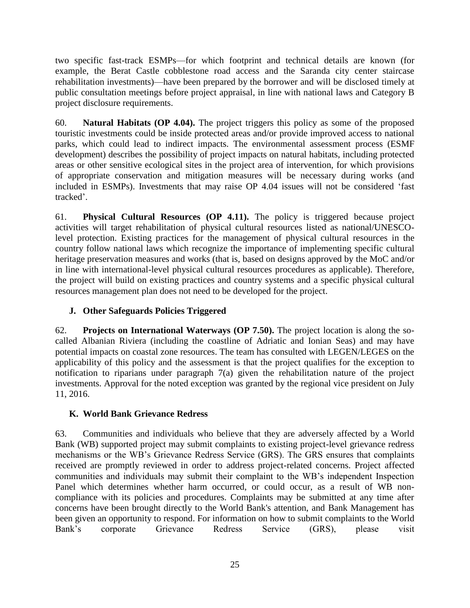two specific fast-track ESMPs—for which footprint and technical details are known (for example, the Berat Castle cobblestone road access and the Saranda city center staircase rehabilitation investments)—have been prepared by the borrower and will be disclosed timely at public consultation meetings before project appraisal, in line with national laws and Category B project disclosure requirements.

60. **Natural Habitats (OP 4.04).** The project triggers this policy as some of the proposed touristic investments could be inside protected areas and/or provide improved access to national parks, which could lead to indirect impacts. The environmental assessment process (ESMF development) describes the possibility of project impacts on natural habitats, including protected areas or other sensitive ecological sites in the project area of intervention, for which provisions of appropriate conservation and mitigation measures will be necessary during works (and included in ESMPs). Investments that may raise OP 4.04 issues will not be considered 'fast tracked'.

61. **Physical Cultural Resources (OP 4.11).** The policy is triggered because project activities will target rehabilitation of physical cultural resources listed as national/UNESCOlevel protection. Existing practices for the management of physical cultural resources in the country follow national laws which recognize the importance of implementing specific cultural heritage preservation measures and works (that is, based on designs approved by the MoC and/or in line with international-level physical cultural resources procedures as applicable). Therefore, the project will build on existing practices and country systems and a specific physical cultural resources management plan does not need to be developed for the project.

# **J. Other Safeguards Policies Triggered**

62. **Projects on International Waterways (OP 7.50).** The project location is along the socalled Albanian Riviera (including the coastline of Adriatic and Ionian Seas) and may have potential impacts on coastal zone resources. The team has consulted with LEGEN/LEGES on the applicability of this policy and the assessment is that the project qualifies for the exception to notification to riparians under paragraph 7(a) given the rehabilitation nature of the project investments. Approval for the noted exception was granted by the regional vice president on July 11, 2016.

# **K. World Bank Grievance Redress**

63. Communities and individuals who believe that they are adversely affected by a World Bank (WB) supported project may submit complaints to existing project-level grievance redress mechanisms or the WB's Grievance Redress Service (GRS). The GRS ensures that complaints received are promptly reviewed in order to address project-related concerns. Project affected communities and individuals may submit their complaint to the WB's independent Inspection Panel which determines whether harm occurred, or could occur, as a result of WB noncompliance with its policies and procedures. Complaints may be submitted at any time after concerns have been brought directly to the World Bank's attention, and Bank Management has been given an opportunity to respond. For information on how to submit complaints to the World Bank's corporate Grievance Redress Service (GRS), please visit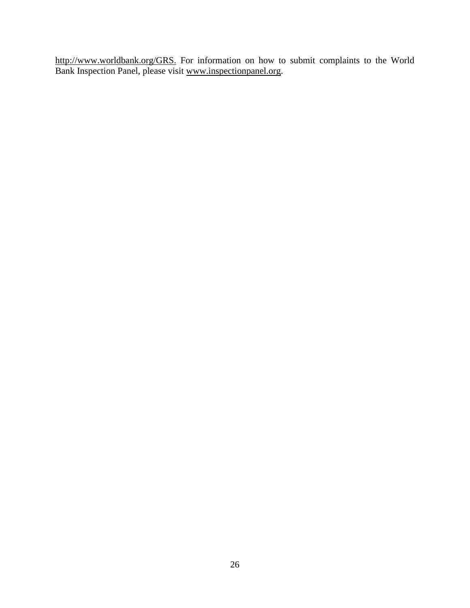[http://www.worldbank.org/GRS.](http://www.worldbank.org/GRM) For information on how to submit complaints to the World Bank Inspection Panel, please visit [www.inspectionpanel.org.](http://www.inspectionpanel.org/)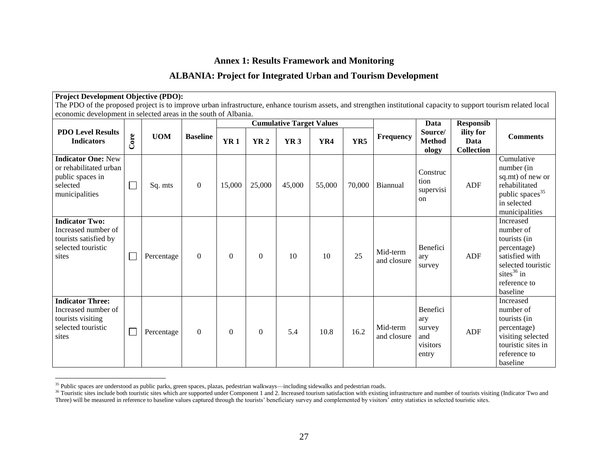# **Annex 1: Results Framework and Monitoring**

# **ALBANIA: Project for Integrated Urban and Tourism Development**

| <b>Project Development Objective (PDO):</b>                                                                                                                                                                                           |      |            |                 |            |            |                                                    |        |        |                         |                                                       |                                                            |                                                                                                                                                   |
|---------------------------------------------------------------------------------------------------------------------------------------------------------------------------------------------------------------------------------------|------|------------|-----------------|------------|------------|----------------------------------------------------|--------|--------|-------------------------|-------------------------------------------------------|------------------------------------------------------------|---------------------------------------------------------------------------------------------------------------------------------------------------|
| The PDO of the proposed project is to improve urban infrastructure, enhance tourism assets, and strengthen institutional capacity to support tourism related local<br>economic development in selected areas in the south of Albania. |      |            |                 |            |            |                                                    |        |        |                         |                                                       |                                                            |                                                                                                                                                   |
|                                                                                                                                                                                                                                       |      |            |                 |            |            |                                                    |        |        |                         |                                                       |                                                            |                                                                                                                                                   |
| <b>PDO Level Results</b><br><b>Indicators</b>                                                                                                                                                                                         | Core | <b>UOM</b> | <b>Baseline</b> | <b>YR1</b> | <b>YR2</b> | <b>Cumulative Target Values</b><br>YR <sub>3</sub> | YR4    | YR5    | Frequency               | Data<br>Source/<br><b>Method</b><br>ology             | <b>Responsib</b><br>ility for<br>Data<br><b>Collection</b> | <b>Comments</b>                                                                                                                                   |
| <b>Indicator One: New</b><br>or rehabilitated urban<br>public spaces in<br>selected<br>municipalities                                                                                                                                 |      | Sq. mts    | $\mathbf{0}$    | 15,000     | 25,000     | 45,000                                             | 55,000 | 70,000 | Biannual                | Construc<br>tion<br>supervisi<br>on                   | ADF                                                        | Cumulative<br>number (in<br>sq.mt) of new or<br>rehabilitated<br>public spaces <sup>35</sup><br>in selected<br>municipalities                     |
| <b>Indicator Two:</b><br>Increased number of<br>tourists satisfied by<br>selected touristic<br>sites                                                                                                                                  |      | Percentage | $\theta$        | $\Omega$   | $\Omega$   | 10                                                 | 10     | 25     | Mid-term<br>and closure | Benefici<br>ary<br>survey                             | ADF                                                        | <b>Increased</b><br>number of<br>tourists (in<br>percentage)<br>satisfied with<br>selected touristic<br>sites $36$ in<br>reference to<br>baseline |
| <b>Indicator Three:</b><br>Increased number of<br>tourists visiting<br>selected touristic<br>sites                                                                                                                                    |      | Percentage | $\Omega$        | $\Omega$   | $\Omega$   | 5.4                                                | 10.8   | 16.2   | Mid-term<br>and closure | Benefici<br>ary<br>survey<br>and<br>visitors<br>entry | ADF                                                        | <b>Increased</b><br>number of<br>tourists (in<br>percentage)<br>visiting selected<br>touristic sites in<br>reference to<br>baseline               |

<sup>&</sup>lt;sup>35</sup> Public spaces are understood as public parks, green spaces, plazas, pedestrian walkways—including sidewalks and pedestrian roads.

<sup>&</sup>lt;sup>36</sup> Touristic sites include both touristic sites which are supported under Component 1 and 2. Increased tourism satisfaction with existing infrastructure and number of tourists visiting (Indicator Two and Three) will be measured in reference to baseline values captured through the tourists' beneficiary survey and complemented by visitors' entry statistics in selected touristic sites.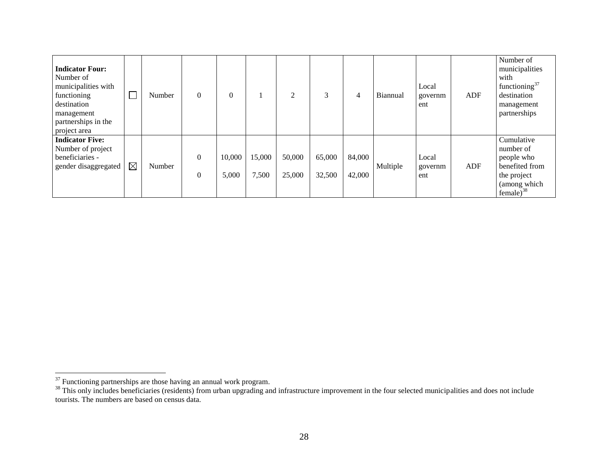| <b>Indicator Four:</b><br>Number of<br>municipalities with<br>functioning<br>destination<br>management<br>partnerships in the<br>project area |             | Number | 0                                | $\theta$        |                 | 2                |                  | 4                | Biannual | Local<br>governm<br>ent | ADF | Number of<br>municipalities<br>with<br>functioning <sup>37</sup><br>destination<br>management<br>partnerships |
|-----------------------------------------------------------------------------------------------------------------------------------------------|-------------|--------|----------------------------------|-----------------|-----------------|------------------|------------------|------------------|----------|-------------------------|-----|---------------------------------------------------------------------------------------------------------------|
| <b>Indicator Five:</b><br>Number of project<br>beneficiaries -<br>gender disaggregated                                                        | $\boxtimes$ | Number | $\overline{0}$<br>$\overline{0}$ | 10,000<br>5,000 | 15,000<br>7,500 | 50,000<br>25,000 | 65,000<br>32,500 | 84,000<br>42,000 | Multiple | Local<br>governm<br>ent | ADF | Cumulative<br>number of<br>people who<br>benefited from<br>the project<br>(among which<br>female) $38$        |

 $37$  Functioning partnerships are those having an annual work program.

<sup>&</sup>lt;sup>38</sup> This only includes beneficiaries (residents) from urban upgrading and infrastructure improvement in the four selected municipalities and does not include tourists. The numbers are based on census data.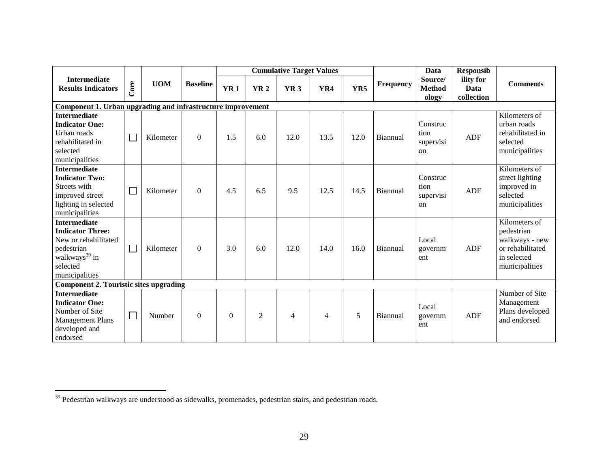|                                                                                                                                                 |                                                             |            |                 |              |                | <b>Cumulative Target Values</b> |                |      |           | Data                                           | <b>Responsib</b>                |                                                                                                    |
|-------------------------------------------------------------------------------------------------------------------------------------------------|-------------------------------------------------------------|------------|-----------------|--------------|----------------|---------------------------------|----------------|------|-----------|------------------------------------------------|---------------------------------|----------------------------------------------------------------------------------------------------|
| <b>Intermediate</b><br><b>Results Indicators</b>                                                                                                | Core                                                        | <b>UOM</b> | <b>Baseline</b> | <b>YR1</b>   | <b>YR2</b>     | YR <sub>3</sub>                 | YR4            | YR5  | Frequency | Source/<br><b>Method</b><br>ology              | ility for<br>Data<br>collection | <b>Comments</b>                                                                                    |
|                                                                                                                                                 | Component 1. Urban upgrading and infrastructure improvement |            |                 |              |                |                                 |                |      |           |                                                |                                 |                                                                                                    |
| <b>Intermediate</b><br><b>Indicator One:</b><br>Urban roads<br>rehabilitated in<br>selected<br>municipalities                                   | $\Box$                                                      | Kilometer  | $\theta$        | 1.5          | 6.0            | 12.0                            | 13.5           | 12.0 | Biannual  | Construc<br>tion<br>supervisi<br><sub>on</sub> | ADF                             | Kilometers of<br>urban roads<br>rehabilitated in<br>selected<br>municipalities                     |
| <b>Intermediate</b><br><b>Indicator Two:</b><br>Streets with<br>improved street<br>lighting in selected<br>municipalities                       | $\Box$                                                      | Kilometer  | $\Omega$        | 4.5          | 6.5            | 9.5                             | 12.5           | 14.5 | Biannual  | Construc<br>tion<br>supervisi<br><sub>on</sub> | <b>ADF</b>                      | Kilometers of<br>street lighting<br>improved in<br>selected<br>municipalities                      |
| <b>Intermediate</b><br><b>Indicator Three:</b><br>New or rehabilitated<br>pedestrian<br>walkways <sup>39</sup> in<br>selected<br>municipalities | $\Box$                                                      | Kilometer  | $\Omega$        | 3.0          | 6.0            | 12.0                            | 14.0           | 16.0 | Biannual  | Local<br>governm<br>ent                        | ADF                             | Kilometers of<br>pedestrian<br>walkways - new<br>or rehabilitated<br>in selected<br>municipalities |
| <b>Component 2. Touristic sites upgrading</b>                                                                                                   |                                                             |            |                 |              |                |                                 |                |      |           |                                                |                                 |                                                                                                    |
| <b>Intermediate</b><br><b>Indicator One:</b><br>Number of Site<br><b>Management Plans</b><br>developed and<br>endorsed                          | $\Box$                                                      | Number     | $\Omega$        | $\mathbf{0}$ | $\overline{2}$ | $\overline{4}$                  | $\overline{4}$ | 5    | Biannual  | Local<br>governm<br>ent                        | ADF                             | Number of Site<br>Management<br>Plans developed<br>and endorsed                                    |

 $39$  Pedestrian walkways are understood as sidewalks, promenades, pedestrian stairs, and pedestrian roads.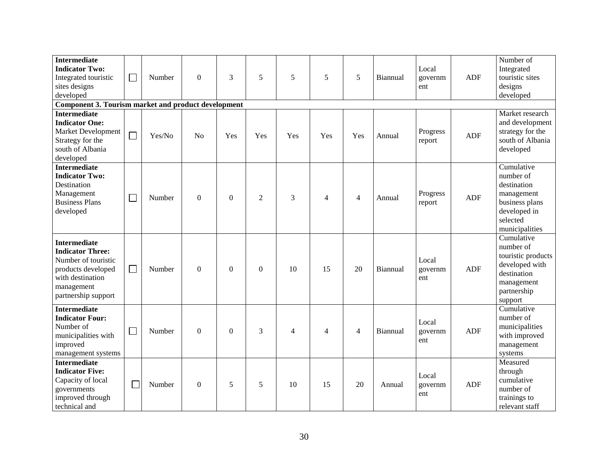| <b>Intermediate</b><br><b>Indicator Two:</b><br>Integrated touristic<br>sites designs                                                                | $\Box$ | Number | $\Omega$       | 3            | 5              | 5              | 5              | 5              | Biannual | Local<br>governm<br>ent | <b>ADF</b> | Number of<br>Integrated<br>touristic sites<br>designs                                                                  |
|------------------------------------------------------------------------------------------------------------------------------------------------------|--------|--------|----------------|--------------|----------------|----------------|----------------|----------------|----------|-------------------------|------------|------------------------------------------------------------------------------------------------------------------------|
| developed<br>Component 3. Tourism market and product development                                                                                     |        |        |                |              |                |                |                |                |          |                         |            | developed                                                                                                              |
| <b>Intermediate</b><br><b>Indicator One:</b><br><b>Market Development</b><br>Strategy for the<br>south of Albania<br>developed                       | $\Box$ | Yes/No | N <sub>o</sub> | Yes          | Yes            | Yes            | Yes            | Yes            | Annual   | Progress<br>report      | <b>ADF</b> | Market research<br>and development<br>strategy for the<br>south of Albania<br>developed                                |
| <b>Intermediate</b><br><b>Indicator Two:</b><br>Destination<br>Management<br><b>Business Plans</b><br>developed                                      | $\Box$ | Number | $\Omega$       | $\mathbf{0}$ | $\overline{2}$ | 3              | $\overline{4}$ | 4              | Annual   | Progress<br>report      | <b>ADF</b> | Cumulative<br>number of<br>destination<br>management<br>business plans<br>developed in<br>selected<br>municipalities   |
| <b>Intermediate</b><br><b>Indicator Three:</b><br>Number of touristic<br>products developed<br>with destination<br>management<br>partnership support | $\Box$ | Number | $\Omega$       | $\Omega$     | $\Omega$       | 10             | 15             | 20             | Biannual | Local<br>governm<br>ent | ADF        | Cumulative<br>number of<br>touristic products<br>developed with<br>destination<br>management<br>partnership<br>support |
| <b>Intermediate</b><br><b>Indicator Four:</b><br>Number of<br>municipalities with<br>improved<br>management systems                                  | $\Box$ | Number | $\Omega$       | $\mathbf{0}$ | 3              | $\overline{4}$ | $\overline{4}$ | $\overline{4}$ | Biannual | Local<br>governm<br>ent | <b>ADF</b> | Cumulative<br>number of<br>municipalities<br>with improved<br>management<br>systems                                    |
| <b>Intermediate</b><br><b>Indicator Five:</b><br>Capacity of local<br>governments<br>improved through<br>technical and                               | Г      | Number | $\theta$       | 5            | 5              | 10             | 15             | 20             | Annual   | Local<br>governm<br>ent | <b>ADF</b> | Measured<br>through<br>cumulative<br>number of<br>trainings to<br>relevant staff                                       |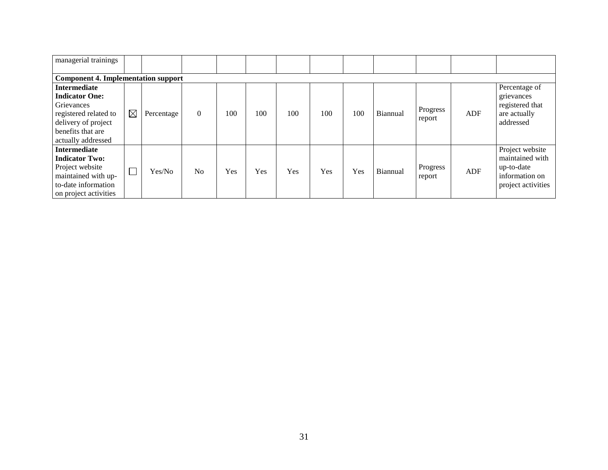| managerial trainings                                                                                                                                  |             |            |                |     |     |     |     |     |          |                    |     |                                                                                          |
|-------------------------------------------------------------------------------------------------------------------------------------------------------|-------------|------------|----------------|-----|-----|-----|-----|-----|----------|--------------------|-----|------------------------------------------------------------------------------------------|
| <b>Component 4. Implementation support</b>                                                                                                            |             |            |                |     |     |     |     |     |          |                    |     |                                                                                          |
| <b>Intermediate</b><br><b>Indicator One:</b><br>Grievances<br>registered related to<br>delivery of project<br>benefits that are<br>actually addressed | $\boxtimes$ | Percentage | $\Omega$       | 100 | 100 | 100 | 100 | 100 | Biannual | Progress<br>report | ADF | Percentage of<br>grievances<br>registered that<br>are actually<br>addressed              |
| <b>Intermediate</b><br><b>Indicator Two:</b><br>Project website<br>maintained with up-<br>to-date information<br>on project activities                | $\Box$      | Yes/No     | N <sub>0</sub> | Yes | Yes | Yes | Yes | Yes | Biannual | Progress<br>report | ADF | Project website<br>maintained with<br>up-to-date<br>information on<br>project activities |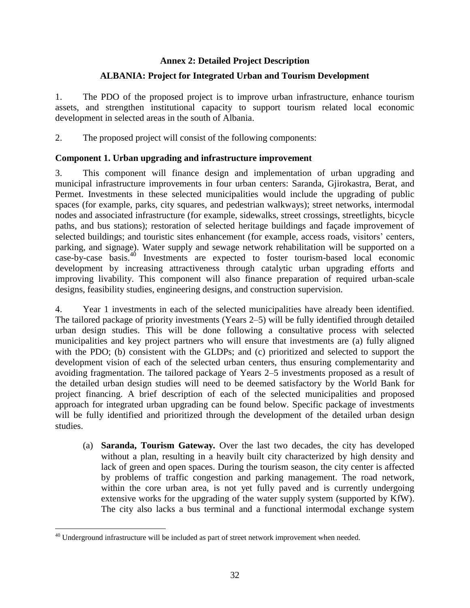# **Annex 2: Detailed Project Description**

### **ALBANIA: Project for Integrated Urban and Tourism Development**

1. The PDO of the proposed project is to improve urban infrastructure, enhance tourism assets, and strengthen institutional capacity to support tourism related local economic development in selected areas in the south of Albania.

2. The proposed project will consist of the following components:

### **Component 1. Urban upgrading and infrastructure improvement**

3. This component will finance design and implementation of urban upgrading and municipal infrastructure improvements in four urban centers: Saranda, Gjirokastra, Berat, and Permet. Investments in these selected municipalities would include the upgrading of public spaces (for example, parks, city squares, and pedestrian walkways); street networks, intermodal nodes and associated infrastructure (for example, sidewalks, street crossings, streetlights, bicycle paths, and bus stations); restoration of selected heritage buildings and façade improvement of selected buildings; and touristic sites enhancement (for example, access roads, visitors' centers, parking, and signage). Water supply and sewage network rehabilitation will be supported on a case-by-case basis. <sup>40</sup> Investments are expected to foster tourism-based local economic development by increasing attractiveness through catalytic urban upgrading efforts and improving livability. This component will also finance preparation of required urban-scale designs, feasibility studies, engineering designs, and construction supervision.

4. Year 1 investments in each of the selected municipalities have already been identified. The tailored package of priority investments (Years 2–5) will be fully identified through detailed urban design studies. This will be done following a consultative process with selected municipalities and key project partners who will ensure that investments are (a) fully aligned with the PDO; (b) consistent with the GLDPs; and (c) prioritized and selected to support the development vision of each of the selected urban centers, thus ensuring complementarity and avoiding fragmentation. The tailored package of Years 2–5 investments proposed as a result of the detailed urban design studies will need to be deemed satisfactory by the World Bank for project financing. A brief description of each of the selected municipalities and proposed approach for integrated urban upgrading can be found below. Specific package of investments will be fully identified and prioritized through the development of the detailed urban design studies.

(a) **Saranda, Tourism Gateway***.* Over the last two decades, the city has developed without a plan, resulting in a heavily built city characterized by high density and lack of green and open spaces. During the tourism season, the city center is affected by problems of traffic congestion and parking management. The road network, within the core urban area, is not yet fully paved and is currently undergoing extensive works for the upgrading of the water supply system (supported by KfW). The city also lacks a bus terminal and a functional intermodal exchange system

 $40$  Underground infrastructure will be included as part of street network improvement when needed.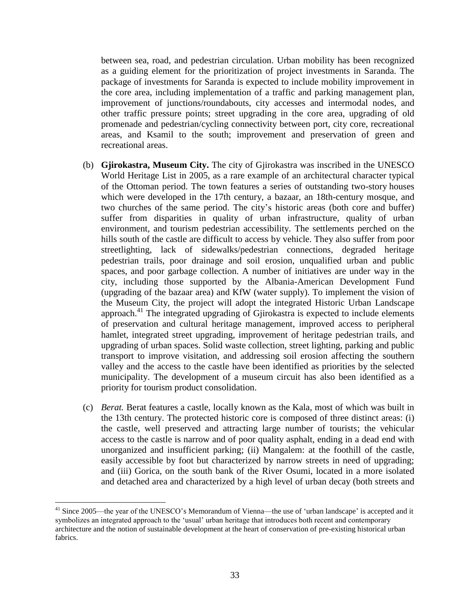between sea, road, and pedestrian circulation. Urban mobility has been recognized as a guiding element for the prioritization of project investments in Saranda. The package of investments for Saranda is expected to include mobility improvement in the core area, including implementation of a traffic and parking management plan, improvement of junctions/roundabouts, city accesses and intermodal nodes, and other traffic pressure points; street upgrading in the core area, upgrading of old promenade and pedestrian/cycling connectivity between port, city core, recreational areas, and Ksamil to the south; improvement and preservation of green and recreational areas.

- (b) **Gjirokastra, Museum City.** The city of Gjirokastra was inscribed in the UNESCO World Heritage List in 2005, as a rare example of an architectural character typical of the Ottoman period. The town features a series of outstanding two-story houses which were developed in the 17th century, a bazaar, an 18th-century mosque, and two churches of the same period. The city's historic areas (both core and buffer) suffer from disparities in quality of urban infrastructure, quality of urban environment, and tourism pedestrian accessibility. The settlements perched on the hills south of the castle are difficult to access by vehicle. They also suffer from poor streetlighting, lack of sidewalks/pedestrian connections, degraded heritage pedestrian trails, poor drainage and soil erosion, unqualified urban and public spaces, and poor garbage collection. A number of initiatives are under way in the city, including those supported by the Albania-American Development Fund (upgrading of the bazaar area) and KfW (water supply). To implement the vision of the Museum City, the project will adopt the integrated Historic Urban Landscape approach. <sup>41</sup> The integrated upgrading of Gjirokastra is expected to include elements of preservation and cultural heritage management, improved access to peripheral hamlet, integrated street upgrading, improvement of heritage pedestrian trails, and upgrading of urban spaces. Solid waste collection, street lighting, parking and public transport to improve visitation, and addressing soil erosion affecting the southern valley and the access to the castle have been identified as priorities by the selected municipality. The development of a museum circuit has also been identified as a priority for tourism product consolidation.
- (c) *Berat.* Berat features a castle, locally known as the Kala, most of which was built in the 13th century. The protected historic core is composed of three distinct areas: (i) the castle, well preserved and attracting large number of tourists; the vehicular access to the castle is narrow and of poor quality asphalt, ending in a dead end with unorganized and insufficient parking; (ii) Mangalem: at the foothill of the castle, easily accessible by foot but characterized by narrow streets in need of upgrading; and (iii) Gorica, on the south bank of the River Osumi, located in a more isolated and detached area and characterized by a high level of urban decay (both streets and

<sup>&</sup>lt;sup>41</sup> Since 2005—the year of the UNESCO's Memorandum of Vienna—the use of 'urban landscape' is accepted and it symbolizes an integrated approach to the 'usual' urban heritage that introduces both recent and contemporary architecture and the notion of sustainable development at the heart of conservation of pre-existing historical urban fabrics.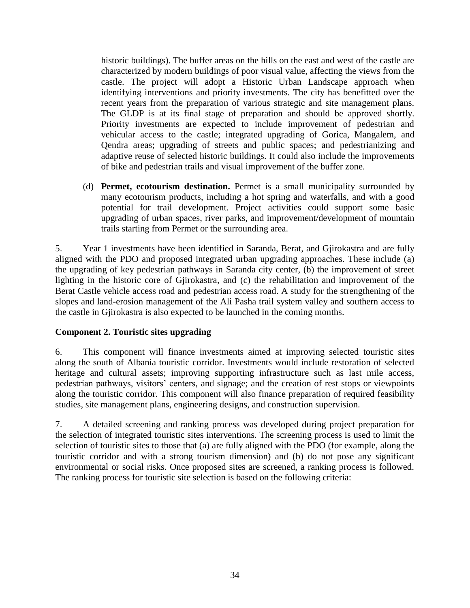historic buildings). The buffer areas on the hills on the east and west of the castle are characterized by modern buildings of poor visual value, affecting the views from the castle. The project will adopt a Historic Urban Landscape approach when identifying interventions and priority investments. The city has benefitted over the recent years from the preparation of various strategic and site management plans. The GLDP is at its final stage of preparation and should be approved shortly. Priority investments are expected to include improvement of pedestrian and vehicular access to the castle; integrated upgrading of Gorica, Mangalem, and Qendra areas; upgrading of streets and public spaces; and pedestrianizing and adaptive reuse of selected historic buildings. It could also include the improvements of bike and pedestrian trails and visual improvement of the buffer zone.

(d) **Permet, ecotourism destination.** Permet is a small municipality surrounded by many ecotourism products, including a hot spring and waterfalls, and with a good potential for trail development. Project activities could support some basic upgrading of urban spaces, river parks, and improvement/development of mountain trails starting from Permet or the surrounding area.

5. Year 1 investments have been identified in Saranda, Berat, and Gjirokastra and are fully aligned with the PDO and proposed integrated urban upgrading approaches. These include (a) the upgrading of key pedestrian pathways in Saranda city center, (b) the improvement of street lighting in the historic core of Gjirokastra, and (c) the rehabilitation and improvement of the Berat Castle vehicle access road and pedestrian access road. A study for the strengthening of the slopes and land-erosion management of the Ali Pasha trail system valley and southern access to the castle in Gjirokastra is also expected to be launched in the coming months.

# **Component 2. Touristic sites upgrading**

6. This component will finance investments aimed at improving selected touristic sites along the south of Albania touristic corridor. Investments would include restoration of selected heritage and cultural assets; improving supporting infrastructure such as last mile access, pedestrian pathways, visitors' centers, and signage; and the creation of rest stops or viewpoints along the touristic corridor. This component will also finance preparation of required feasibility studies, site management plans, engineering designs, and construction supervision.

7. A detailed screening and ranking process was developed during project preparation for the selection of integrated touristic sites interventions. The screening process is used to limit the selection of touristic sites to those that (a) are fully aligned with the PDO (for example, along the touristic corridor and with a strong tourism dimension) and (b) do not pose any significant environmental or social risks. Once proposed sites are screened, a ranking process is followed. The ranking process for touristic site selection is based on the following criteria: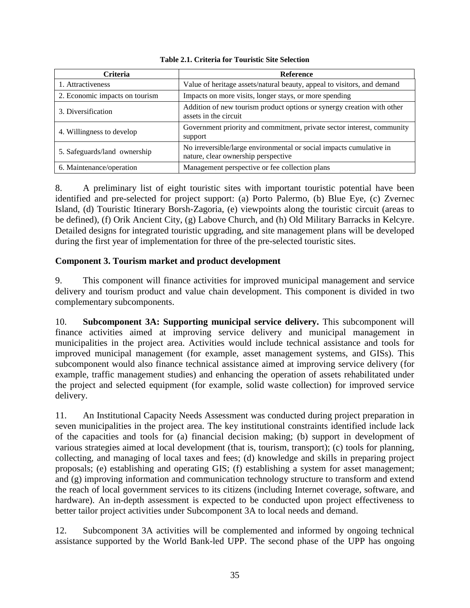| <b>Criteria</b>                | <b>Reference</b>                                                                                           |
|--------------------------------|------------------------------------------------------------------------------------------------------------|
| 1. Attractiveness              | Value of heritage assets/natural beauty, appeal to visitors, and demand                                    |
| 2. Economic impacts on tourism | Impacts on more visits, longer stays, or more spending                                                     |
| 3. Diversification             | Addition of new tourism product options or synergy creation with other<br>assets in the circuit            |
| 4. Willingness to develop      | Government priority and commitment, private sector interest, community<br>support                          |
| 5. Safeguards/land ownership   | No irreversible/large environmental or social impacts cumulative in<br>nature, clear ownership perspective |
| 6. Maintenance/operation       | Management perspective or fee collection plans                                                             |

#### **Table 2.1. Criteria for Touristic Site Selection**

8. A preliminary list of eight touristic sites with important touristic potential have been identified and pre-selected for project support: (a) Porto Palermo, (b) Blue Eye, (c) Zvernec Island, (d) Touristic Itinerary Borsh-Zagoria, (e) viewpoints along the touristic circuit (areas to be defined), (f) Orik Ancient City, (g) Labove Church, and (h) Old Military Barracks in Kelcyre. Detailed designs for integrated touristic upgrading, and site management plans will be developed during the first year of implementation for three of the pre-selected touristic sites.

# **Component 3. Tourism market and product development**

9. This component will finance activities for improved municipal management and service delivery and tourism product and value chain development. This component is divided in two complementary subcomponents.

10. **Subcomponent 3A: Supporting municipal service delivery.** This subcomponent will finance activities aimed at improving service delivery and municipal management in municipalities in the project area. Activities would include technical assistance and tools for improved municipal management (for example, asset management systems, and GISs). This subcomponent would also finance technical assistance aimed at improving service delivery (for example, traffic management studies) and enhancing the operation of assets rehabilitated under the project and selected equipment (for example, solid waste collection) for improved service delivery.

11. An Institutional Capacity Needs Assessment was conducted during project preparation in seven municipalities in the project area. The key institutional constraints identified include lack of the capacities and tools for (a) financial decision making; (b) support in development of various strategies aimed at local development (that is, tourism, transport); (c) tools for planning, collecting, and managing of local taxes and fees; (d) knowledge and skills in preparing project proposals; (e) establishing and operating GIS; (f) establishing a system for asset management; and (g) improving information and communication technology structure to transform and extend the reach of local government services to its citizens (including Internet coverage, software, and hardware). An in-depth assessment is expected to be conducted upon project effectiveness to better tailor project activities under Subcomponent 3A to local needs and demand.

12. Subcomponent 3A activities will be complemented and informed by ongoing technical assistance supported by the World Bank-led UPP. The second phase of the UPP has ongoing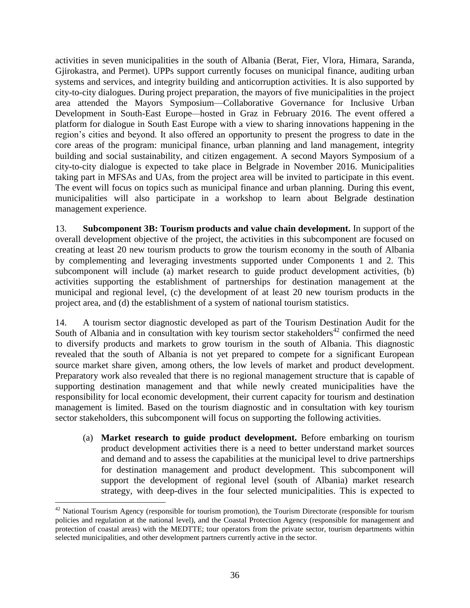activities in seven municipalities in the south of Albania (Berat, Fier, Vlora, Himara, Saranda, Gjirokastra, and Permet). UPPs support currently focuses on municipal finance, auditing urban systems and services, and integrity building and anticorruption activities. It is also supported by city-to-city dialogues. During project preparation, the mayors of five municipalities in the project area attended the Mayors Symposium—Collaborative Governance for Inclusive Urban Development in South-East Europe*—*hosted in Graz in February 2016. The event offered a platform for dialogue in South East Europe with a view to sharing innovations happening in the region's cities and beyond. It also offered an opportunity to present the progress to date in the core areas of the program: municipal finance, urban planning and land management, integrity building and social sustainability, and citizen engagement. A second Mayors Symposium of a city-to-city dialogue is expected to take place in Belgrade in November 2016. Municipalities taking part in MFSAs and UAs, from the project area will be invited to participate in this event. The event will focus on topics such as municipal finance and urban planning. During this event, municipalities will also participate in a workshop to learn about Belgrade destination management experience.

13. **Subcomponent 3B: Tourism products and value chain development.** In support of the overall development objective of the project, the activities in this subcomponent are focused on creating at least 20 new tourism products to grow the tourism economy in the south of Albania by complementing and leveraging investments supported under Components 1 and 2. This subcomponent will include (a) market research to guide product development activities, (b) activities supporting the establishment of partnerships for destination management at the municipal and regional level, (c) the development of at least 20 new tourism products in the project area, and (d) the establishment of a system of national tourism statistics.

14. A tourism sector diagnostic developed as part of the Tourism Destination Audit for the South of Albania and in consultation with key tourism sector stakeholders $42$  confirmed the need to diversify products and markets to grow tourism in the south of Albania. This diagnostic revealed that the south of Albania is not yet prepared to compete for a significant European source market share given, among others, the low levels of market and product development. Preparatory work also revealed that there is no regional management structure that is capable of supporting destination management and that while newly created municipalities have the responsibility for local economic development, their current capacity for tourism and destination management is limited. Based on the tourism diagnostic and in consultation with key tourism sector stakeholders, this subcomponent will focus on supporting the following activities.

(a) **Market research to guide product development.** Before embarking on tourism product development activities there is a need to better understand market sources and demand and to assess the capabilities at the municipal level to drive partnerships for destination management and product development. This subcomponent will support the development of regional level (south of Albania) market research strategy, with deep-dives in the four selected municipalities. This is expected to

 $42$  National Tourism Agency (responsible for tourism promotion), the Tourism Directorate (responsible for tourism policies and regulation at the national level), and the Coastal Protection Agency (responsible for management and protection of coastal areas) with the MEDTTE; tour operators from the private sector, tourism departments within selected municipalities, and other development partners currently active in the sector.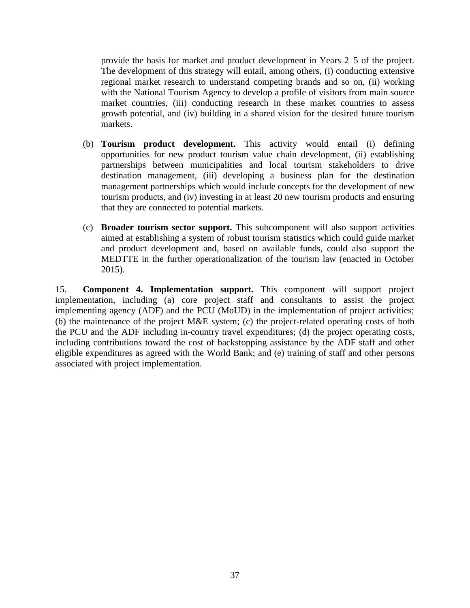provide the basis for market and product development in Years 2–5 of the project. The development of this strategy will entail, among others, (i) conducting extensive regional market research to understand competing brands and so on, (ii) working with the National Tourism Agency to develop a profile of visitors from main source market countries, (iii) conducting research in these market countries to assess growth potential, and (iv) building in a shared vision for the desired future tourism markets.

- (b) **Tourism product development.** This activity would entail (i) defining opportunities for new product tourism value chain development, (ii) establishing partnerships between municipalities and local tourism stakeholders to drive destination management, (iii) developing a business plan for the destination management partnerships which would include concepts for the development of new tourism products, and (iv) investing in at least 20 new tourism products and ensuring that they are connected to potential markets.
- (c) **Broader tourism sector support.** This subcomponent will also support activities aimed at establishing a system of robust tourism statistics which could guide market and product development and, based on available funds, could also support the MEDTTE in the further operationalization of the tourism law (enacted in October 2015).

15. **Component 4. Implementation support.** This component will support project implementation, including (a) core project staff and consultants to assist the project implementing agency (ADF) and the PCU (MoUD) in the implementation of project activities; (b) the maintenance of the project M&E system; (c) the project-related operating costs of both the PCU and the ADF including in-country travel expenditures; (d) the project operating costs, including contributions toward the cost of backstopping assistance by the ADF staff and other eligible expenditures as agreed with the World Bank; and (e) training of staff and other persons associated with project implementation.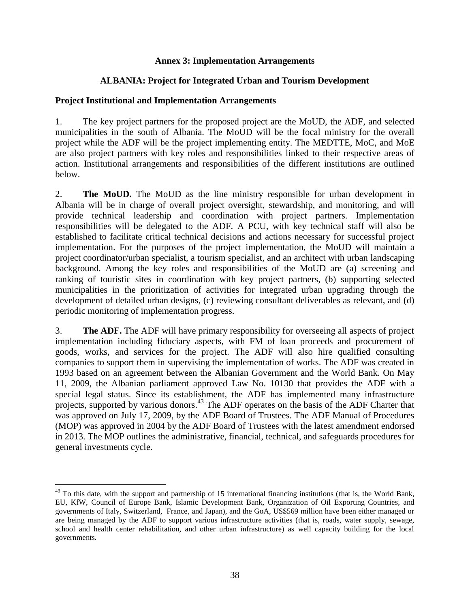### **Annex 3: Implementation Arrangements**

### **ALBANIA: Project for Integrated Urban and Tourism Development**

### **Project Institutional and Implementation Arrangements**

1. The key project partners for the proposed project are the MoUD, the ADF, and selected municipalities in the south of Albania. The MoUD will be the focal ministry for the overall project while the ADF will be the project implementing entity. The MEDTTE, MoC, and MoE are also project partners with key roles and responsibilities linked to their respective areas of action. Institutional arrangements and responsibilities of the different institutions are outlined below.

2. **The MoUD.** The MoUD as the line ministry responsible for urban development in Albania will be in charge of overall project oversight, stewardship, and monitoring, and will provide technical leadership and coordination with project partners. Implementation responsibilities will be delegated to the ADF. A PCU, with key technical staff will also be established to facilitate critical technical decisions and actions necessary for successful project implementation. For the purposes of the project implementation, the MoUD will maintain a project coordinator/urban specialist, a tourism specialist, and an architect with urban landscaping background. Among the key roles and responsibilities of the MoUD are (a) screening and ranking of touristic sites in coordination with key project partners, (b) supporting selected municipalities in the prioritization of activities for integrated urban upgrading through the development of detailed urban designs, (c) reviewing consultant deliverables as relevant, and (d) periodic monitoring of implementation progress.

3. **The ADF.** The ADF will have primary responsibility for overseeing all aspects of project implementation including fiduciary aspects, with FM of loan proceeds and procurement of goods, works, and services for the project. The ADF will also hire qualified consulting companies to support them in supervising the implementation of works. The ADF was created in 1993 based on an agreement between the Albanian Government and the World Bank. On May 11, 2009, the Albanian parliament approved Law No. 10130 that provides the ADF with a special legal status. Since its establishment, the ADF has implemented many infrastructure projects, supported by various donors.<sup>43</sup> The ADF operates on the basis of the ADF Charter that was approved on July 17, 2009, by the ADF Board of Trustees. The ADF Manual of Procedures (MOP) was approved in 2004 by the ADF Board of Trustees with the latest amendment endorsed in 2013. The MOP outlines the administrative, financial, technical, and safeguards procedures for general investments cycle.

 $^{43}$  To this date, with the support and partnership of 15 international financing institutions (that is, the World Bank, EU, KfW, Council of Europe Bank, Islamic Development Bank, Organization of Oil Exporting Countries, and governments of Italy, Switzerland, France, and Japan), and the GoA, US\$569 million have been either managed or are being managed by the ADF to support various infrastructure activities (that is, roads, water supply, sewage, school and health center rehabilitation, and other urban infrastructure) as well capacity building for the local governments.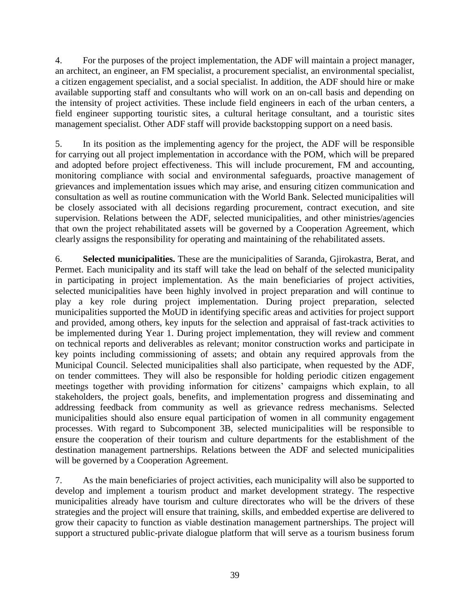4. For the purposes of the project implementation, the ADF will maintain a project manager, an architect, an engineer, an FM specialist, a procurement specialist, an environmental specialist, a citizen engagement specialist, and a social specialist. In addition, the ADF should hire or make available supporting staff and consultants who will work on an on-call basis and depending on the intensity of project activities. These include field engineers in each of the urban centers, a field engineer supporting touristic sites, a cultural heritage consultant, and a touristic sites management specialist. Other ADF staff will provide backstopping support on a need basis.

5. In its position as the implementing agency for the project, the ADF will be responsible for carrying out all project implementation in accordance with the POM, which will be prepared and adopted before project effectiveness. This will include procurement, FM and accounting, monitoring compliance with social and environmental safeguards, proactive management of grievances and implementation issues which may arise, and ensuring citizen communication and consultation as well as routine communication with the World Bank. Selected municipalities will be closely associated with all decisions regarding procurement, contract execution, and site supervision. Relations between the ADF, selected municipalities, and other ministries/agencies that own the project rehabilitated assets will be governed by a Cooperation Agreement, which clearly assigns the responsibility for operating and maintaining of the rehabilitated assets.

6. **Selected municipalities.** These are the municipalities of Saranda, Gjirokastra, Berat, and Permet. Each municipality and its staff will take the lead on behalf of the selected municipality in participating in project implementation. As the main beneficiaries of project activities, selected municipalities have been highly involved in project preparation and will continue to play a key role during project implementation. During project preparation, selected municipalities supported the MoUD in identifying specific areas and activities for project support and provided, among others, key inputs for the selection and appraisal of fast-track activities to be implemented during Year 1. During project implementation, they will review and comment on technical reports and deliverables as relevant; monitor construction works and participate in key points including commissioning of assets; and obtain any required approvals from the Municipal Council. Selected municipalities shall also participate, when requested by the ADF, on tender committees. They will also be responsible for holding periodic citizen engagement meetings together with providing information for citizens' campaigns which explain, to all stakeholders, the project goals, benefits, and implementation progress and disseminating and addressing feedback from community as well as grievance redress mechanisms. Selected municipalities should also ensure equal participation of women in all community engagement processes. With regard to Subcomponent 3B, selected municipalities will be responsible to ensure the cooperation of their tourism and culture departments for the establishment of the destination management partnerships. Relations between the ADF and selected municipalities will be governed by a Cooperation Agreement.

7. As the main beneficiaries of project activities, each municipality will also be supported to develop and implement a tourism product and market development strategy. The respective municipalities already have tourism and culture directorates who will be the drivers of these strategies and the project will ensure that training, skills, and embedded expertise are delivered to grow their capacity to function as viable destination management partnerships. The project will support a structured public-private dialogue platform that will serve as a tourism business forum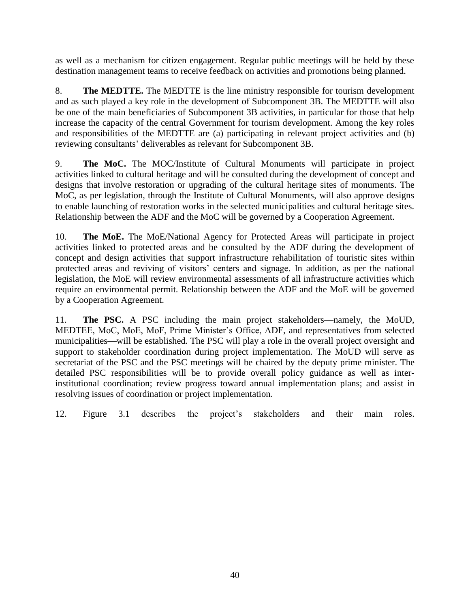as well as a mechanism for citizen engagement. Regular public meetings will be held by these destination management teams to receive feedback on activities and promotions being planned.

8. **The MEDTTE.** The MEDTTE is the line ministry responsible for tourism development and as such played a key role in the development of Subcomponent 3B. The MEDTTE will also be one of the main beneficiaries of Subcomponent 3B activities, in particular for those that help increase the capacity of the central Government for tourism development. Among the key roles and responsibilities of the MEDTTE are (a) participating in relevant project activities and (b) reviewing consultants' deliverables as relevant for Subcomponent 3B.

9. **The MoC.** The MOC/Institute of Cultural Monuments will participate in project activities linked to cultural heritage and will be consulted during the development of concept and designs that involve restoration or upgrading of the cultural heritage sites of monuments. The MoC, as per legislation, through the Institute of Cultural Monuments, will also approve designs to enable launching of restoration works in the selected municipalities and cultural heritage sites. Relationship between the ADF and the MoC will be governed by a Cooperation Agreement.

10. **The MoE.** The MoE/National Agency for Protected Areas will participate in project activities linked to protected areas and be consulted by the ADF during the development of concept and design activities that support infrastructure rehabilitation of touristic sites within protected areas and reviving of visitors' centers and signage. In addition, as per the national legislation, the MoE will review environmental assessments of all infrastructure activities which require an environmental permit. Relationship between the ADF and the MoE will be governed by a Cooperation Agreement.

11. **The PSC.** A PSC including the main project stakeholders—namely, the MoUD, MEDTEE, MoC, MoE, MoF, Prime Minister's Office, ADF, and representatives from selected municipalities—will be established. The PSC will play a role in the overall project oversight and support to stakeholder coordination during project implementation. The MoUD will serve as secretariat of the PSC and the PSC meetings will be chaired by the deputy prime minister. The detailed PSC responsibilities will be to provide overall policy guidance as well as interinstitutional coordination; review progress toward annual implementation plans; and assist in resolving issues of coordination or project implementation.

12. [Figure 3.1](#page-51-0) describes the project's stakeholders and their main roles.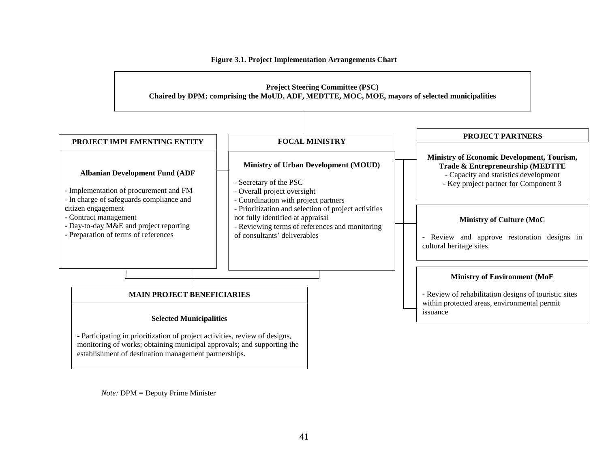<span id="page-51-0"></span>

**Figure 3.1. Project Implementation Arrangements Chart**

*Note:* DPM = Deputy Prime Minister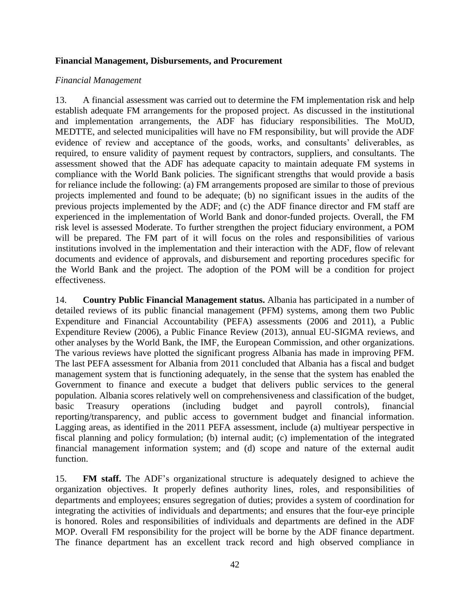### **Financial Management, Disbursements, and Procurement**

#### *Financial Management*

13. A financial assessment was carried out to determine the FM implementation risk and help establish adequate FM arrangements for the proposed project. As discussed in the institutional and implementation arrangements, the ADF has fiduciary responsibilities. The MoUD, MEDTTE, and selected municipalities will have no FM responsibility, but will provide the ADF evidence of review and acceptance of the goods, works, and consultants' deliverables, as required, to ensure validity of payment request by contractors, suppliers, and consultants. The assessment showed that the ADF has adequate capacity to maintain adequate FM systems in compliance with the World Bank policies. The significant strengths that would provide a basis for reliance include the following: (a) FM arrangements proposed are similar to those of previous projects implemented and found to be adequate; (b) no significant issues in the audits of the previous projects implemented by the ADF; and (c) the ADF finance director and FM staff are experienced in the implementation of World Bank and donor-funded projects. Overall, the FM risk level is assessed Moderate. To further strengthen the project fiduciary environment, a POM will be prepared. The FM part of it will focus on the roles and responsibilities of various institutions involved in the implementation and their interaction with the ADF, flow of relevant documents and evidence of approvals, and disbursement and reporting procedures specific for the World Bank and the project. The adoption of the POM will be a condition for project effectiveness.

14. **Country Public Financial Management status.** Albania has participated in a number of detailed reviews of its public financial management (PFM) systems, among them two Public Expenditure and Financial Accountability (PEFA) assessments (2006 and 2011), a Public Expenditure Review (2006), a Public Finance Review (2013), annual EU-SIGMA reviews, and other analyses by the World Bank, the IMF, the European Commission, and other organizations. The various reviews have plotted the significant progress Albania has made in improving PFM. The last PEFA assessment for Albania from 2011 concluded that Albania has a fiscal and budget management system that is functioning adequately, in the sense that the system has enabled the Government to finance and execute a budget that delivers public services to the general population. Albania scores relatively well on comprehensiveness and classification of the budget, basic Treasury operations (including budget and payroll controls), financial reporting/transparency, and public access to government budget and financial information. Lagging areas, as identified in the 2011 PEFA assessment, include (a) multiyear perspective in fiscal planning and policy formulation; (b) internal audit; (c) implementation of the integrated financial management information system; and (d) scope and nature of the external audit function.

15. **FM staff.** The ADF's organizational structure is adequately designed to achieve the organization objectives. It properly defines authority lines, roles, and responsibilities of departments and employees; ensures segregation of duties; provides a system of coordination for integrating the activities of individuals and departments; and ensures that the four-eye principle is honored. Roles and responsibilities of individuals and departments are defined in the ADF MOP. Overall FM responsibility for the project will be borne by the ADF finance department. The finance department has an excellent track record and high observed compliance in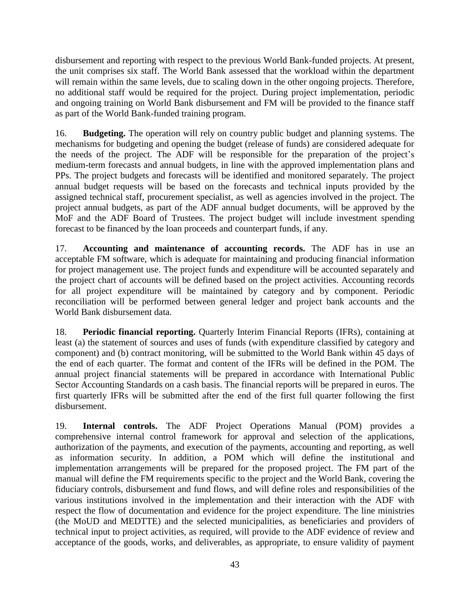disbursement and reporting with respect to the previous World Bank-funded projects. At present, the unit comprises six staff. The World Bank assessed that the workload within the department will remain within the same levels, due to scaling down in the other ongoing projects. Therefore, no additional staff would be required for the project. During project implementation, periodic and ongoing training on World Bank disbursement and FM will be provided to the finance staff as part of the World Bank-funded training program.

16. **Budgeting.** The operation will rely on country public budget and planning systems. The mechanisms for budgeting and opening the budget (release of funds) are considered adequate for the needs of the project. The ADF will be responsible for the preparation of the project's medium-term forecasts and annual budgets, in line with the approved implementation plans and PPs. The project budgets and forecasts will be identified and monitored separately. The project annual budget requests will be based on the forecasts and technical inputs provided by the assigned technical staff, procurement specialist, as well as agencies involved in the project. The project annual budgets, as part of the ADF annual budget documents, will be approved by the MoF and the ADF Board of Trustees. The project budget will include investment spending forecast to be financed by the loan proceeds and counterpart funds, if any.

17. **Accounting and maintenance of accounting records.** The ADF has in use an acceptable FM software, which is adequate for maintaining and producing financial information for project management use. The project funds and expenditure will be accounted separately and the project chart of accounts will be defined based on the project activities. Accounting records for all project expenditure will be maintained by category and by component. Periodic reconciliation will be performed between general ledger and project bank accounts and the World Bank disbursement data.

18. **Periodic financial reporting.** Quarterly Interim Financial Reports (IFRs), containing at least (a) the statement of sources and uses of funds (with expenditure classified by category and component) and (b) contract monitoring, will be submitted to the World Bank within 45 days of the end of each quarter. The format and content of the IFRs will be defined in the POM. The annual project financial statements will be prepared in accordance with International Public Sector Accounting Standards on a cash basis. The financial reports will be prepared in euros. The first quarterly IFRs will be submitted after the end of the first full quarter following the first disbursement.

19. **Internal controls.** The ADF Project Operations Manual (POM) provides a comprehensive internal control framework for approval and selection of the applications, authorization of the payments, and execution of the payments, accounting and reporting, as well as information security. In addition, a POM which will define the institutional and implementation arrangements will be prepared for the proposed project. The FM part of the manual will define the FM requirements specific to the project and the World Bank, covering the fiduciary controls, disbursement and fund flows, and will define roles and responsibilities of the various institutions involved in the implementation and their interaction with the ADF with respect the flow of documentation and evidence for the project expenditure. The line ministries (the MoUD and MEDTTE) and the selected municipalities, as beneficiaries and providers of technical input to project activities, as required, will provide to the ADF evidence of review and acceptance of the goods, works, and deliverables, as appropriate, to ensure validity of payment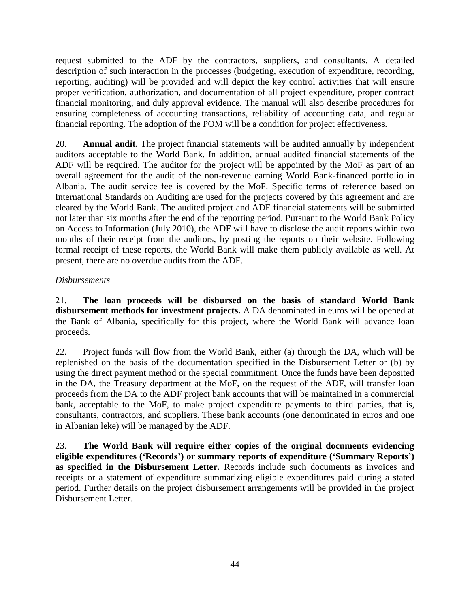request submitted to the ADF by the contractors, suppliers, and consultants. A detailed description of such interaction in the processes (budgeting, execution of expenditure, recording, reporting, auditing) will be provided and will depict the key control activities that will ensure proper verification, authorization, and documentation of all project expenditure, proper contract financial monitoring, and duly approval evidence. The manual will also describe procedures for ensuring completeness of accounting transactions, reliability of accounting data, and regular financial reporting. The adoption of the POM will be a condition for project effectiveness.

20. **Annual audit.** The project financial statements will be audited annually by independent auditors acceptable to the World Bank. In addition, annual audited financial statements of the ADF will be required. The auditor for the project will be appointed by the MoF as part of an overall agreement for the audit of the non-revenue earning World Bank-financed portfolio in Albania. The audit service fee is covered by the MoF. Specific terms of reference based on International Standards on Auditing are used for the projects covered by this agreement and are cleared by the World Bank. The audited project and ADF financial statements will be submitted not later than six months after the end of the reporting period. Pursuant to the World Bank Policy on Access to Information (July 2010), the ADF will have to disclose the audit reports within two months of their receipt from the auditors, by posting the reports on their website. Following formal receipt of these reports, the World Bank will make them publicly available as well. At present, there are no overdue audits from the ADF.

### *Disbursements*

21. **The loan proceeds will be disbursed on the basis of standard World Bank disbursement methods for investment projects.** A DA denominated in euros will be opened at the Bank of Albania, specifically for this project, where the World Bank will advance loan proceeds.

22. Project funds will flow from the World Bank, either (a) through the DA, which will be replenished on the basis of the documentation specified in the Disbursement Letter or (b) by using the direct payment method or the special commitment. Once the funds have been deposited in the DA, the Treasury department at the MoF, on the request of the ADF, will transfer loan proceeds from the DA to the ADF project bank accounts that will be maintained in a commercial bank, acceptable to the MoF, to make project expenditure payments to third parties, that is, consultants, contractors, and suppliers. These bank accounts (one denominated in euros and one in Albanian leke) will be managed by the ADF.

23. **The World Bank will require either copies of the original documents evidencing eligible expenditures ('Records') or summary reports of expenditure ('Summary Reports') as specified in the Disbursement Letter.** Records include such documents as invoices and receipts or a statement of expenditure summarizing eligible expenditures paid during a stated period. Further details on the project disbursement arrangements will be provided in the project Disbursement Letter.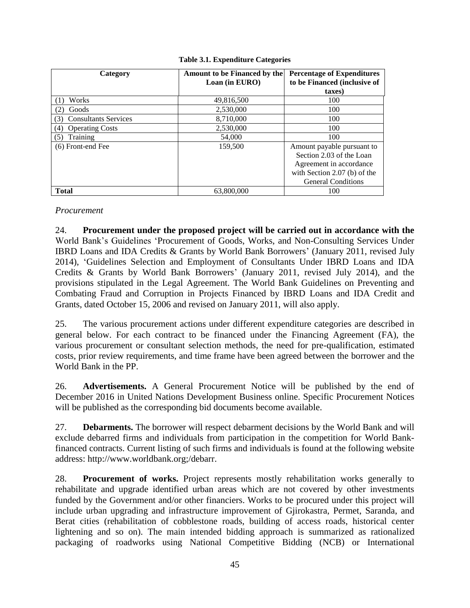| Category                      | Amount to be Financed by the<br>Loan (in EURO) | <b>Percentage of Expenditures</b><br>to be Financed (inclusive of |
|-------------------------------|------------------------------------------------|-------------------------------------------------------------------|
|                               |                                                | taxes)                                                            |
| Works                         | 49,816,500                                     | 100                                                               |
| Goods                         | 2,530,000                                      | 100                                                               |
| <b>Consultants Services</b>   | 8,710,000                                      | 100                                                               |
| <b>Operating Costs</b><br>(4) | 2,530,000                                      | 100                                                               |
| Training                      | 54,000                                         | 100                                                               |
| (6) Front-end Fee             | 159,500                                        | Amount payable pursuant to                                        |
|                               |                                                | Section 2.03 of the Loan                                          |
|                               |                                                | Agreement in accordance                                           |
|                               |                                                | with Section 2.07 (b) of the                                      |
|                               |                                                | <b>General Conditions</b>                                         |
| <b>Total</b>                  | 63,800,000                                     | 100                                                               |

#### **Table 3.1. Expenditure Categories**

#### *Procurement*

24. **Procurement under the proposed project will be carried out in accordance with the**  World Bank's Guidelines 'Procurement of Goods, Works, and Non-Consulting Services Under IBRD Loans and IDA Credits & Grants by World Bank Borrowers' (January 2011, revised July 2014), 'Guidelines Selection and Employment of Consultants Under IBRD Loans and IDA Credits & Grants by World Bank Borrowers' (January 2011, revised July 2014), and the provisions stipulated in the Legal Agreement. The World Bank Guidelines on Preventing and Combating Fraud and Corruption in Projects Financed by IBRD Loans and IDA Credit and Grants, dated October 15, 2006 and revised on January 2011, will also apply.

25. The various procurement actions under different expenditure categories are described in general below. For each contract to be financed under the Financing Agreement (FA), the various procurement or consultant selection methods, the need for pre-qualification, estimated costs, prior review requirements, and time frame have been agreed between the borrower and the World Bank in the PP.

26. **Advertisements.** A General Procurement Notice will be published by the end of December 2016 in United Nations Development Business online. Specific Procurement Notices will be published as the corresponding bid documents become available.

27. **Debarments.** The borrower will respect debarment decisions by the World Bank and will exclude debarred firms and individuals from participation in the competition for World Bankfinanced contracts. Current listing of such firms and individuals is found at the following website address: [http://www.worldbank.org;/debarr.](http://www.worldbank.org;/debarr)

28. **Procurement of works.** Project represents mostly rehabilitation works generally to rehabilitate and upgrade identified urban areas which are not covered by other investments funded by the Government and/or other financiers. Works to be procured under this project will include urban upgrading and infrastructure improvement of Gjirokastra, Permet, Saranda, and Berat cities (rehabilitation of cobblestone roads, building of access roads, historical center lightening and so on). The main intended bidding approach is summarized as rationalized packaging of roadworks using National Competitive Bidding (NCB) or International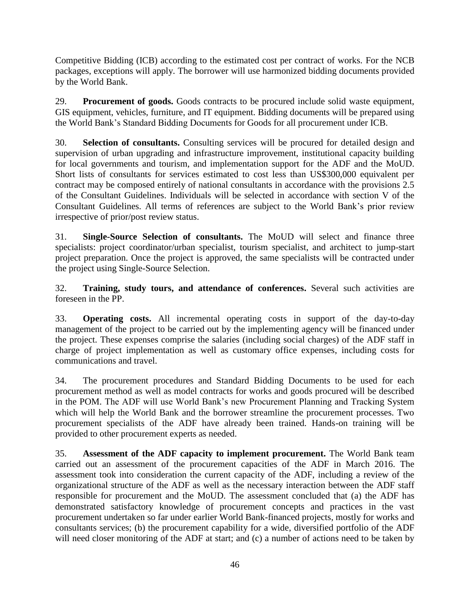Competitive Bidding (ICB) according to the estimated cost per contract of works. For the NCB packages, exceptions will apply. The borrower will use harmonized bidding documents provided by the World Bank.

29. **Procurement of goods.** Goods contracts to be procured include solid waste equipment, GIS equipment, vehicles, furniture, and IT equipment. Bidding documents will be prepared using the World Bank's Standard Bidding Documents for Goods for all procurement under ICB.

30. **Selection of consultants.** Consulting services will be procured for detailed design and supervision of urban upgrading and infrastructure improvement, institutional capacity building for local governments and tourism, and implementation support for the ADF and the MoUD. Short lists of consultants for services estimated to cost less than US\$300,000 equivalent per contract may be composed entirely of national consultants in accordance with the provisions 2.5 of the Consultant Guidelines. Individuals will be selected in accordance with section V of the Consultant Guidelines. All terms of references are subject to the World Bank's prior review irrespective of prior/post review status.

31. **Single-Source Selection of consultants.** The MoUD will select and finance three specialists: project coordinator/urban specialist, tourism specialist, and architect to jump-start project preparation. Once the project is approved, the same specialists will be contracted under the project using Single-Source Selection.

32. **Training, study tours, and attendance of conferences.** Several such activities are foreseen in the PP.

33. **Operating costs.** All incremental operating costs in support of the day-to-day management of the project to be carried out by the implementing agency will be financed under the project. These expenses comprise the salaries (including social charges) of the ADF staff in charge of project implementation as well as customary office expenses, including costs for communications and travel.

34. The procurement procedures and Standard Bidding Documents to be used for each procurement method as well as model contracts for works and goods procured will be described in the POM. The ADF will use World Bank's new Procurement Planning and Tracking System which will help the World Bank and the borrower streamline the procurement processes. Two procurement specialists of the ADF have already been trained. Hands-on training will be provided to other procurement experts as needed.

35. **Assessment of the ADF capacity to implement procurement.** The World Bank team carried out an assessment of the procurement capacities of the ADF in March 2016. The assessment took into consideration the current capacity of the ADF, including a review of the organizational structure of the ADF as well as the necessary interaction between the ADF staff responsible for procurement and the MoUD. The assessment concluded that (a) the ADF has demonstrated satisfactory knowledge of procurement concepts and practices in the vast procurement undertaken so far under earlier World Bank-financed projects, mostly for works and consultants services; (b) the procurement capability for a wide, diversified portfolio of the ADF will need closer monitoring of the ADF at start; and (c) a number of actions need to be taken by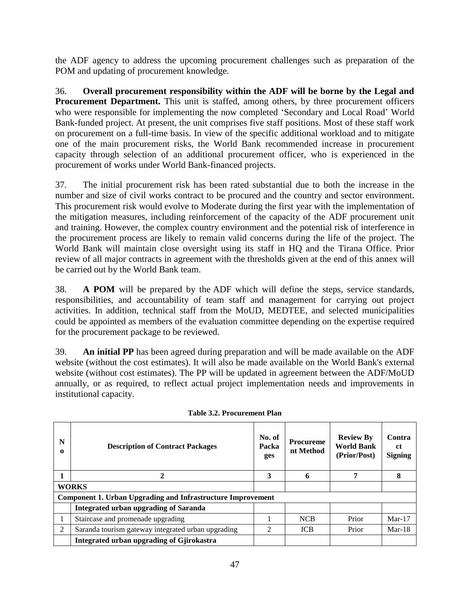the ADF agency to address the upcoming procurement challenges such as preparation of the POM and updating of procurement knowledge.

36. **Overall procurement responsibility within the ADF will be borne by the Legal and Procurement Department.** This unit is staffed, among others, by three procurement officers who were responsible for implementing the now completed 'Secondary and Local Road' World Bank-funded project. At present, the unit comprises five staff positions. Most of these staff work on procurement on a full-time basis. In view of the specific additional workload and to mitigate one of the main procurement risks, the World Bank recommended increase in procurement capacity through selection of an additional procurement officer, who is experienced in the procurement of works under World Bank-financed projects.

37. The initial procurement risk has been rated substantial due to both the increase in the number and size of civil works contract to be procured and the country and sector environment. This procurement risk would evolve to Moderate during the first year with the implementation of the mitigation measures, including reinforcement of the capacity of the ADF procurement unit and training. However, the complex country environment and the potential risk of interference in the procurement process are likely to remain valid concerns during the life of the project. The World Bank will maintain close oversight using its staff in HQ and the Tirana Office. Prior review of all major contracts in agreement with the thresholds given at the end of this annex will be carried out by the World Bank team.

38. **A POM** will be prepared by the ADF which will define the steps, service standards, responsibilities, and accountability of team staff and management for carrying out project activities. In addition, technical staff from the MoUD, MEDTEE, and selected municipalities could be appointed as members of the evaluation committee depending on the expertise required for the procurement package to be reviewed.

39. **An initial PP** has been agreed during preparation and will be made available on the ADF website (without the cost estimates). It will also be made available on the World Bank's external website (without cost estimates). The PP will be updated in agreement between the ADF/MoUD annually, or as required, to reflect actual project implementation needs and improvements in institutional capacity.

| N<br>0 | <b>Description of Contract Packages</b>                            | No. of<br>Packa<br>ges | <b>Procureme</b><br>nt Method | <b>Review By</b><br><b>World Bank</b><br>(Prior/Post) | Contra<br>.ct<br><b>Signing</b> |
|--------|--------------------------------------------------------------------|------------------------|-------------------------------|-------------------------------------------------------|---------------------------------|
|        | 2                                                                  | 3                      | 6                             | 7                                                     | 8                               |
|        | <b>WORKS</b>                                                       |                        |                               |                                                       |                                 |
|        | <b>Component 1. Urban Upgrading and Infrastructure Improvement</b> |                        |                               |                                                       |                                 |
|        | <b>Integrated urban upgrading of Saranda</b>                       |                        |                               |                                                       |                                 |
|        | Staircase and promenade upgrading                                  |                        | <b>NCB</b>                    | Prior                                                 | $Mar-17$                        |
| 2      | Saranda tourism gateway integrated urban upgrading                 | $\mathfrak{D}$         | <b>ICB</b>                    | Prior                                                 | $Mar-18$                        |
|        | Integrated urban upgrading of Gjirokastra                          |                        |                               |                                                       |                                 |

**Table 3.2. Procurement Plan**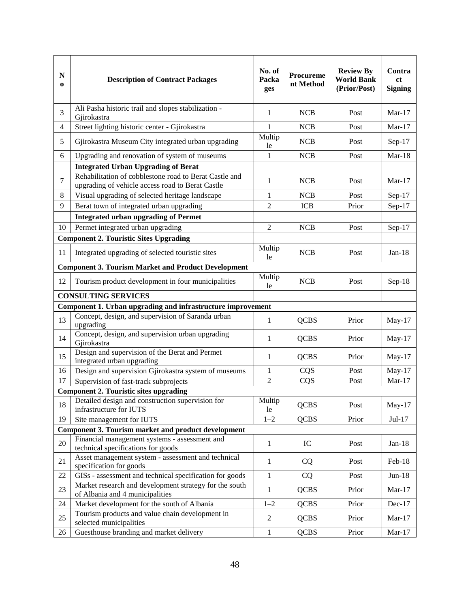| $\mathbf N$<br>0 | <b>Description of Contract Packages</b>                                                                    | No. of<br>Packa<br>ges | Procureme<br>nt Method | <b>Review By</b><br><b>World Bank</b><br>(Prior/Post) | Contra<br><sub>ct</sub><br><b>Signing</b> |
|------------------|------------------------------------------------------------------------------------------------------------|------------------------|------------------------|-------------------------------------------------------|-------------------------------------------|
| 3                | Ali Pasha historic trail and slopes stabilization -<br>Gjirokastra                                         | 1                      | <b>NCB</b>             | Post                                                  | Mar- $17$                                 |
| $\overline{4}$   | Street lighting historic center - Gjirokastra                                                              | $\mathbf{1}$           | <b>NCB</b>             | Post                                                  | $Mar-17$                                  |
| 5                | Gjirokastra Museum City integrated urban upgrading                                                         | Multip<br>le           | <b>NCB</b>             | Post                                                  | $Sep-17$                                  |
| 6                | Upgrading and renovation of system of museums                                                              | $\mathbf{1}$           | <b>NCB</b>             | Post                                                  | $Mar-18$                                  |
|                  | <b>Integrated Urban Upgrading of Berat</b>                                                                 |                        |                        |                                                       |                                           |
| 7                | Rehabilitation of cobblestone road to Berat Castle and<br>upgrading of vehicle access road to Berat Castle | 1                      | <b>NCB</b>             | Post                                                  | $Mar-17$                                  |
| 8                | Visual upgrading of selected heritage landscape                                                            | 1                      | NCB                    | Post                                                  | $Sep-17$                                  |
| 9                | Berat town of integrated urban upgrading                                                                   | 2                      | <b>ICB</b>             | Prior                                                 | Sep-17                                    |
|                  | <b>Integrated urban upgrading of Permet</b>                                                                |                        |                        |                                                       |                                           |
| 10               | Permet integrated urban upgrading                                                                          | $\overline{2}$         | NCB                    | Post                                                  | $Sep-17$                                  |
|                  | <b>Component 2. Touristic Sites Upgrading</b>                                                              |                        |                        |                                                       |                                           |
| 11               | Integrated upgrading of selected touristic sites                                                           | Multip<br>le           | <b>NCB</b>             | Post                                                  | $Jan-18$                                  |
|                  | <b>Component 3. Tourism Market and Product Development</b>                                                 |                        |                        |                                                       |                                           |
| 12               | Tourism product development in four municipalities                                                         | Multip<br>le           | <b>NCB</b>             | Post                                                  | $Sep-18$                                  |
|                  | <b>CONSULTING SERVICES</b>                                                                                 |                        |                        |                                                       |                                           |
|                  | Component 1. Urban upgrading and infrastructure improvement                                                |                        |                        |                                                       |                                           |
| 13               | Concept, design, and supervision of Saranda urban<br>upgrading                                             | 1                      | <b>QCBS</b>            | Prior                                                 | May-17                                    |
| 14               | Concept, design, and supervision urban upgrading<br>Gjirokastra                                            | 1                      | <b>QCBS</b>            | Prior                                                 | $May-17$                                  |
| 15               | Design and supervision of the Berat and Permet<br>integrated urban upgrading                               | 1                      | <b>QCBS</b>            | Prior                                                 | $May-17$                                  |
| 16               | Design and supervision Gjirokastra system of museums                                                       | $\mathbf{1}$           | CQS                    | Post                                                  | May-17                                    |
| 17               | Supervision of fast-track subprojects                                                                      | $\overline{2}$         | CQS                    | Post                                                  | $Mar-17$                                  |
|                  | <b>Component 2. Touristic sites upgrading</b>                                                              |                        |                        |                                                       |                                           |
| 18               | Detailed design and construction supervision for<br>infrastructure for IUTS                                | Multip<br>le           | <b>QCBS</b>            | Post                                                  | $May-17$                                  |
| 19               | Site management for IUTS                                                                                   | $1 - 2$                | <b>QCBS</b>            | Prior                                                 | Jul-17                                    |
|                  | <b>Component 3. Tourism market and product development</b>                                                 |                        |                        |                                                       |                                           |
| 20               | Financial management systems - assessment and<br>technical specifications for goods                        | 1                      | IC                     | Post                                                  | $Jan-18$                                  |
| 21               | Asset management system - assessment and technical<br>specification for goods                              | 1                      | <b>CQ</b>              | Post                                                  | Feb-18                                    |
| 22               | GISs - assessment and technical specification for goods                                                    | $\mathbf{1}$           | CQ                     | Post                                                  | $Jun-18$                                  |
| 23               | Market research and development strategy for the south<br>of Albania and 4 municipalities                  | $\mathbf{1}$           | <b>QCBS</b>            | Prior                                                 | $Mar-17$                                  |
| 24               | Market development for the south of Albania                                                                | $1 - 2$                | <b>QCBS</b>            | Prior                                                 | Dec-17                                    |
| 25               | Tourism products and value chain development in<br>selected municipalities                                 | $\mathfrak{2}$         | <b>QCBS</b>            | Prior                                                 | $Mar-17$                                  |
| 26               | Guesthouse branding and market delivery                                                                    | $\mathbf{1}$           | <b>QCBS</b>            | Prior                                                 | $Mar-17$                                  |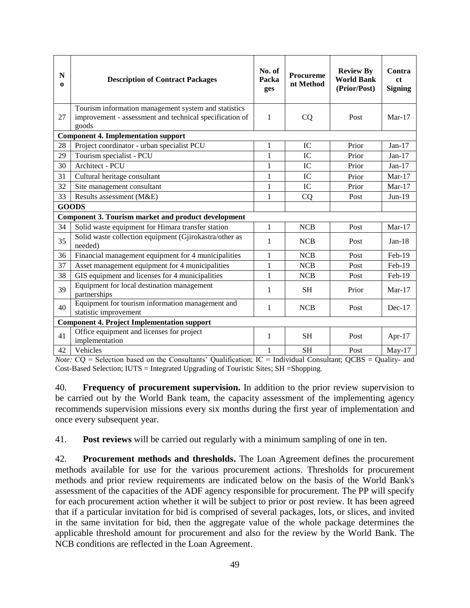| $\mathbf N$<br>$\bf{0}$ | <b>Description of Contract Packages</b>                                                                                  | No. of<br>Packa<br>ges | Procureme<br>nt Method | <b>Review By</b><br><b>World Bank</b><br>(Prior/Post) | Contra<br><sub>ct</sub><br><b>Signing</b> |
|-------------------------|--------------------------------------------------------------------------------------------------------------------------|------------------------|------------------------|-------------------------------------------------------|-------------------------------------------|
| 27                      | Tourism information management system and statistics<br>improvement - assessment and technical specification of<br>goods | 1                      | CQ                     | Post                                                  | $Mar-17$                                  |
|                         | <b>Component 4. Implementation support</b>                                                                               |                        |                        |                                                       |                                           |
| 28                      | Project coordinator - urban specialist PCU                                                                               | $\mathbf{1}$           | IC                     | Prior                                                 | $Jan-17$                                  |
| 29                      | Tourism specialist - PCU                                                                                                 | $\mathbf{1}$           | IC                     | Prior                                                 | $Jan-17$                                  |
| 30                      | Architect - PCU                                                                                                          | 1                      | IC                     | Prior                                                 | $Jan-17$                                  |
| 31                      | Cultural heritage consultant                                                                                             | $\mathbf{1}$           | IC                     | Prior                                                 | $Mar-17$                                  |
| 32                      | Site management consultant                                                                                               | 1                      | IC                     | Prior                                                 | $Mar-17$                                  |
| 33                      | Results assessment (M&E)                                                                                                 | 1                      | CQ                     | Post                                                  | $Jun-19$                                  |
|                         | <b>GOODS</b>                                                                                                             |                        |                        |                                                       |                                           |
|                         | Component 3. Tourism market and product development                                                                      |                        |                        |                                                       |                                           |
| 34                      | Solid waste equipment for Himara transfer station                                                                        | 1                      | <b>NCB</b>             | Post                                                  | $Mar-17$                                  |
| 35                      | Solid waste collection equipment (Gjirokastra/other as<br>needed)                                                        | 1                      | <b>NCB</b>             | Post                                                  | $Jan-18$                                  |
| 36                      | Financial management equipment for 4 municipalities                                                                      | 1                      | <b>NCB</b>             | Post                                                  | Feb-19                                    |
| 37                      | Asset management equipment for 4 municipalities                                                                          | 1                      | <b>NCB</b>             | Post                                                  | Feb-19                                    |
| 38                      | GIS equipment and licenses for 4 municipalities                                                                          | $\mathbf{1}$           | <b>NCB</b>             | Post                                                  | Feb-19                                    |
| 39                      | Equipment for local destination management<br>partnerships                                                               | 1                      | <b>SH</b>              | Prior                                                 | $Mar-17$                                  |
| 40                      | Equipment for tourism information management and<br>statistic improvement                                                | 1                      | <b>NCB</b>             | Post                                                  | $Dec-17$                                  |
|                         | <b>Component 4. Project Implementation support</b>                                                                       |                        |                        |                                                       |                                           |
| 41                      | Office equipment and licenses for project<br>implementation                                                              | $\mathbf{1}$           | <b>SH</b>              | Post                                                  | Apr-17                                    |
| 42                      | Vehicles                                                                                                                 | $\mathbf{1}$           | <b>SH</b>              | Post                                                  | $May-17$                                  |

*Note:*  $CO =$  Selection based on the Consultants' Qualification; IC = Individual Consultant; OCBS = Quality- and Cost-Based Selection; IUTS = Integrated Upgrading of Touristic Sites; SH =Shopping.

40. **Frequency of procurement supervision.** In addition to the prior review supervision to be carried out by the World Bank team, the capacity assessment of the implementing agency recommends supervision missions every six months during the first year of implementation and once every subsequent year.

41. **Post reviews** will be carried out regularly with a minimum sampling of one in ten.

42. **Procurement methods and thresholds.** The Loan Agreement defines the procurement methods available for use for the various procurement actions. Thresholds for procurement methods and prior review requirements are indicated below on the basis of the World Bank's assessment of the capacities of the ADF agency responsible for procurement. The PP will specify for each procurement action whether it will be subject to prior or post review. It has been agreed that if a particular invitation for bid is comprised of several packages, lots, or slices, and invited in the same invitation for bid, then the aggregate value of the whole package determines the applicable threshold amount for procurement and also for the review by the World Bank. The NCB conditions are reflected in the Loan Agreement.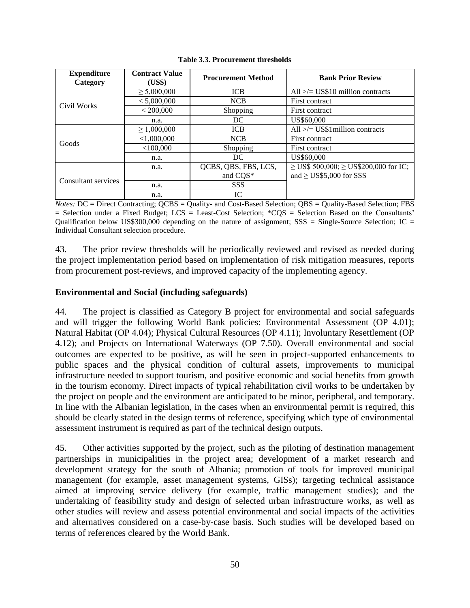| <b>Expenditure</b><br>Category | <b>Contract Value</b><br>(US\$) | <b>Procurement Method</b> | <b>Bank Prior Review</b>                        |
|--------------------------------|---------------------------------|---------------------------|-------------------------------------------------|
|                                | $\geq 5,000,000$                | <b>ICB</b>                | All $\ge$ /= US\$10 million contracts           |
| Civil Works                    | < 5,000,000                     | <b>NCB</b>                | First contract                                  |
|                                | < 200,000                       | <b>Shopping</b>           | First contract                                  |
|                                | n.a.                            | DC                        | US\$60,000                                      |
|                                | $\geq 1,000,000$                | <b>ICB</b>                | All $\ge$ /= US\$1 million contracts            |
| Goods                          | < 1,000,000                     | <b>NCB</b>                | First contract                                  |
|                                | $<$ 100,000                     | Shopping                  | First contract                                  |
|                                | n.a.                            | DC                        | US\$60,000                                      |
|                                | n.a.                            | QCBS, QBS, FBS, LCS,      | $\geq$ US\$ 500,000; $\geq$ US\$200,000 for IC; |
| Consultant services            |                                 | and CQS*                  | and $\geq$ US\$5,000 for SSS                    |
|                                | n.a.                            | <b>SSS</b>                |                                                 |
|                                | n.a.                            | IC                        |                                                 |

**Table 3.3. Procurement thresholds**

*Notes:* DC = Direct Contracting; QCBS = Quality- and Cost-Based Selection; QBS = Quality-Based Selection; FBS  $=$  Selection under a Fixed Budget; LCS  $=$  Least-Cost Selection; \*CQS  $=$  Selection Based on the Consultants' Qualification below US\$300,000 depending on the nature of assignment;  $SSS = Single-Source$  Selection; IC = Individual Consultant selection procedure.

43. The prior review thresholds will be periodically reviewed and revised as needed during the project implementation period based on implementation of risk mitigation measures, reports from procurement post-reviews, and improved capacity of the implementing agency.

### **Environmental and Social (including safeguards)**

44. The project is classified as Category B project for environmental and social safeguards and will trigger the following World Bank policies: Environmental Assessment (OP 4.01); Natural Habitat (OP 4.04); Physical Cultural Resources (OP 4.11); Involuntary Resettlement (OP 4.12); and Projects on International Waterways (OP 7.50). Overall environmental and social outcomes are expected to be positive, as will be seen in project-supported enhancements to public spaces and the physical condition of cultural assets, improvements to municipal infrastructure needed to support tourism, and positive economic and social benefits from growth in the tourism economy. Direct impacts of typical rehabilitation civil works to be undertaken by the project on people and the environment are anticipated to be minor, peripheral, and temporary. In line with the Albanian legislation, in the cases when an environmental permit is required, this should be clearly stated in the design terms of reference, specifying which type of environmental assessment instrument is required as part of the technical design outputs.

45. Other activities supported by the project, such as the piloting of destination management partnerships in municipalities in the project area; development of a market research and development strategy for the south of Albania; promotion of tools for improved municipal management (for example, asset management systems, GISs); targeting technical assistance aimed at improving service delivery (for example, traffic management studies); and the undertaking of feasibility study and design of selected urban infrastructure works, as well as other studies will review and assess potential environmental and social impacts of the activities and alternatives considered on a case-by-case basis. Such studies will be developed based on terms of references cleared by the World Bank.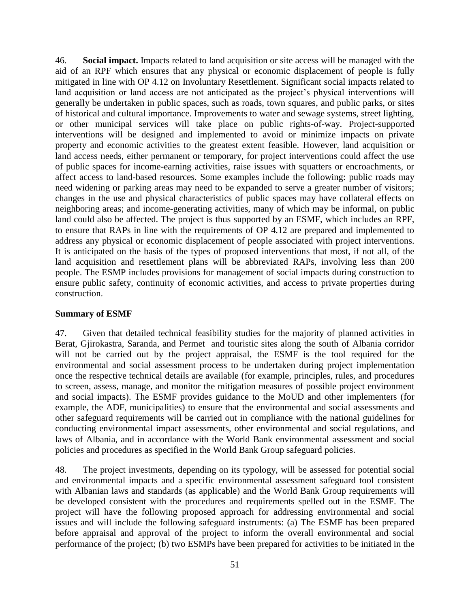46. **Social impact.** Impacts related to land acquisition or site access will be managed with the aid of an RPF which ensures that any physical or economic displacement of people is fully mitigated in line with OP 4.12 on Involuntary Resettlement. Significant social impacts related to land acquisition or land access are not anticipated as the project's physical interventions will generally be undertaken in public spaces, such as roads, town squares, and public parks, or sites of historical and cultural importance. Improvements to water and sewage systems, street lighting, or other municipal services will take place on public rights-of-way. Project-supported interventions will be designed and implemented to avoid or minimize impacts on private property and economic activities to the greatest extent feasible. However, land acquisition or land access needs, either permanent or temporary, for project interventions could affect the use of public spaces for income-earning activities, raise issues with squatters or encroachments, or affect access to land-based resources. Some examples include the following: public roads may need widening or parking areas may need to be expanded to serve a greater number of visitors; changes in the use and physical characteristics of public spaces may have collateral effects on neighboring areas; and income-generating activities, many of which may be informal, on public land could also be affected. The project is thus supported by an ESMF, which includes an RPF, to ensure that RAPs in line with the requirements of OP 4.12 are prepared and implemented to address any physical or economic displacement of people associated with project interventions. It is anticipated on the basis of the types of proposed interventions that most, if not all, of the land acquisition and resettlement plans will be abbreviated RAPs, involving less than 200 people. The ESMP includes provisions for management of social impacts during construction to ensure public safety, continuity of economic activities, and access to private properties during construction.

### **Summary of ESMF**

47. Given that detailed technical feasibility studies for the majority of planned activities in Berat, Gjirokastra, Saranda, and Permet and touristic sites along the south of Albania corridor will not be carried out by the project appraisal, the ESMF is the tool required for the environmental and social assessment process to be undertaken during project implementation once the respective technical details are available (for example, principles, rules, and procedures to screen, assess, manage, and monitor the mitigation measures of possible project environment and social impacts). The ESMF provides guidance to the MoUD and other implementers (for example, the ADF, municipalities) to ensure that the environmental and social assessments and other safeguard requirements will be carried out in compliance with the national guidelines for conducting environmental impact assessments, other environmental and social regulations, and laws of Albania, and in accordance with the World Bank environmental assessment and social policies and procedures as specified in the World Bank Group safeguard policies.

48. The project investments, depending on its typology, will be assessed for potential social and environmental impacts and a specific environmental assessment safeguard tool consistent with Albanian laws and standards (as applicable) and the World Bank Group requirements will be developed consistent with the procedures and requirements spelled out in the ESMF. The project will have the following proposed approach for addressing environmental and social issues and will include the following safeguard instruments: (a) The ESMF has been prepared before appraisal and approval of the project to inform the overall environmental and social performance of the project; (b) two ESMPs have been prepared for activities to be initiated in the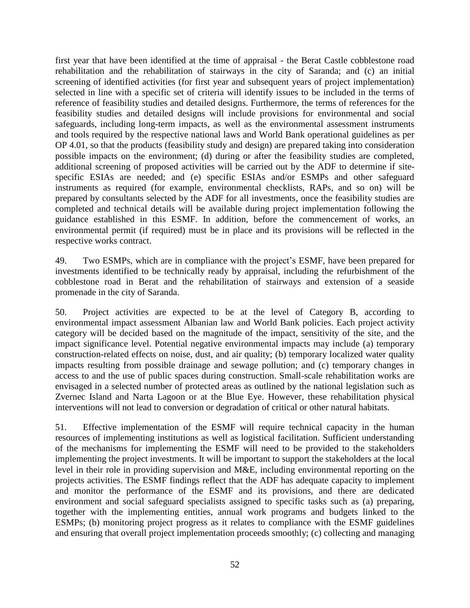first year that have been identified at the time of appraisal - the Berat Castle cobblestone road rehabilitation and the rehabilitation of stairways in the city of Saranda; and (c) an initial screening of identified activities (for first year and subsequent years of project implementation) selected in line with a specific set of criteria will identify issues to be included in the terms of reference of feasibility studies and detailed designs. Furthermore, the terms of references for the feasibility studies and detailed designs will include provisions for environmental and social safeguards, including long-term impacts, as well as the environmental assessment instruments and tools required by the respective national laws and World Bank operational guidelines as per OP 4.01, so that the products (feasibility study and design) are prepared taking into consideration possible impacts on the environment; (d) during or after the feasibility studies are completed, additional screening of proposed activities will be carried out by the ADF to determine if sitespecific ESIAs are needed; and (e) specific ESIAs and/or ESMPs and other safeguard instruments as required (for example, environmental checklists, RAPs, and so on) will be prepared by consultants selected by the ADF for all investments, once the feasibility studies are completed and technical details will be available during project implementation following the guidance established in this ESMF. In addition, before the commencement of works, an environmental permit (if required) must be in place and its provisions will be reflected in the respective works contract.

49. Two ESMPs, which are in compliance with the project's ESMF, have been prepared for investments identified to be technically ready by appraisal, including the refurbishment of the cobblestone road in Berat and the rehabilitation of stairways and extension of a seaside promenade in the city of Saranda.

50. Project activities are expected to be at the level of Category B, according to environmental impact assessment Albanian law and World Bank policies. Each project activity category will be decided based on the magnitude of the impact, sensitivity of the site, and the impact significance level. Potential negative environmental impacts may include (a) temporary construction-related effects on noise, dust, and air quality; (b) temporary localized water quality impacts resulting from possible drainage and sewage pollution; and (c) temporary changes in access to and the use of public spaces during construction. Small-scale rehabilitation works are envisaged in a selected number of protected areas as outlined by the national legislation such as Zvernec Island and Narta Lagoon or at the Blue Eye. However, these rehabilitation physical interventions will not lead to conversion or degradation of critical or other natural habitats.

51. Effective implementation of the ESMF will require technical capacity in the human resources of implementing institutions as well as logistical facilitation. Sufficient understanding of the mechanisms for implementing the ESMF will need to be provided to the stakeholders implementing the project investments. It will be important to support the stakeholders at the local level in their role in providing supervision and M&E, including environmental reporting on the projects activities. The ESMF findings reflect that the ADF has adequate capacity to implement and monitor the performance of the ESMF and its provisions, and there are dedicated environment and social safeguard specialists assigned to specific tasks such as (a) preparing, together with the implementing entities, annual work programs and budgets linked to the ESMPs; (b) monitoring project progress as it relates to compliance with the ESMF guidelines and ensuring that overall project implementation proceeds smoothly; (c) collecting and managing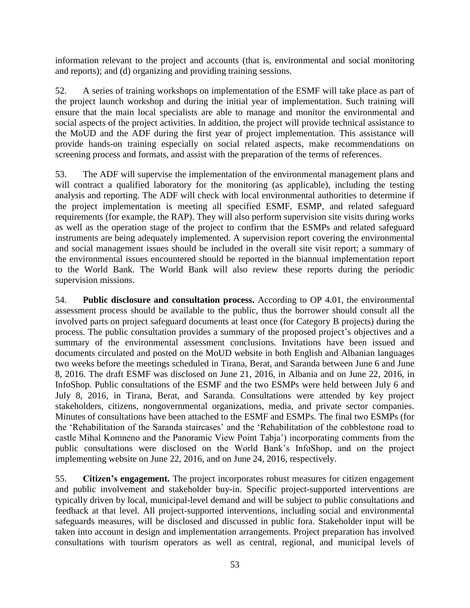information relevant to the project and accounts (that is, environmental and social monitoring and reports); and (d) organizing and providing training sessions.

52. A series of training workshops on implementation of the ESMF will take place as part of the project launch workshop and during the initial year of implementation. Such training will ensure that the main local specialists are able to manage and monitor the environmental and social aspects of the project activities. In addition, the project will provide technical assistance to the MoUD and the ADF during the first year of project implementation. This assistance will provide hands-on training especially on social related aspects, make recommendations on screening process and formats, and assist with the preparation of the terms of references.

53. The ADF will supervise the implementation of the environmental management plans and will contract a qualified laboratory for the monitoring (as applicable), including the testing analysis and reporting. The ADF will check with local environmental authorities to determine if the project implementation is meeting all specified ESMF, ESMP, and related safeguard requirements (for example, the RAP). They will also perform supervision site visits during works as well as the operation stage of the project to confirm that the ESMPs and related safeguard instruments are being adequately implemented. A supervision report covering the environmental and social management issues should be included in the overall site visit report; a summary of the environmental issues encountered should be reported in the biannual implementation report to the World Bank. The World Bank will also review these reports during the periodic supervision missions.

54. **Public disclosure and consultation process.** According to OP 4.01, the environmental assessment process should be available to the public, thus the borrower should consult all the involved parts on project safeguard documents at least once (for Category B projects) during the process. The public consultation provides a summary of the proposed project's objectives and a summary of the environmental assessment conclusions. Invitations have been issued and documents circulated and posted on the MoUD website in both English and Albanian languages two weeks before the meetings scheduled in Tirana, Berat, and Saranda between June 6 and June 8, 2016. The draft ESMF was disclosed on June 21, 2016, in Albania and on June 22, 2016, in InfoShop. Public consultations of the ESMF and the two ESMPs were held between July 6 and July 8, 2016, in Tirana, Berat, and Saranda. Consultations were attended by key project stakeholders, citizens, nongovernmental organizations, media, and private sector companies. Minutes of consultations have been attached to the ESMF and ESMPs. The final two ESMPs (for the 'Rehabilitation of the Saranda staircases' and the 'Rehabilitation of the cobblestone road to castle Mihal Komneno and the Panoramic View Point Tabja') incorporating comments from the public consultations were disclosed on the World Bank's InfoShop, and on the project implementing website on June 22, 2016, and on June 24, 2016, respectively.

55. **Citizen's engagement.** The project incorporates robust measures for citizen engagement and public involvement and stakeholder buy-in. Specific project-supported interventions are typically driven by local, municipal-level demand and will be subject to public consultations and feedback at that level. All project-supported interventions, including social and environmental safeguards measures, will be disclosed and discussed in public fora. Stakeholder input will be taken into account in design and implementation arrangements. Project preparation has involved consultations with tourism operators as well as central, regional, and municipal levels of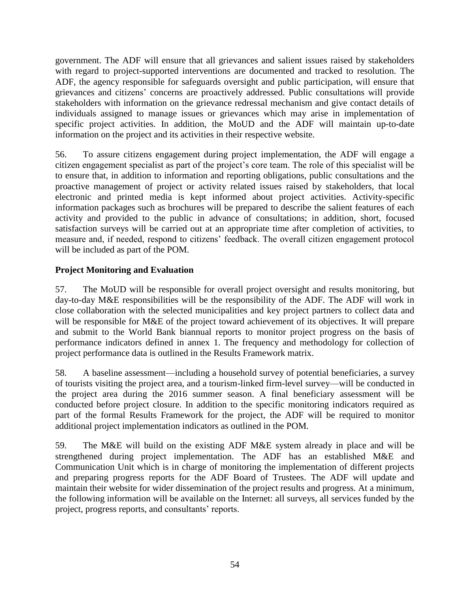government. The ADF will ensure that all grievances and salient issues raised by stakeholders with regard to project-supported interventions are documented and tracked to resolution. The ADF, the agency responsible for safeguards oversight and public participation, will ensure that grievances and citizens' concerns are proactively addressed. Public consultations will provide stakeholders with information on the grievance redressal mechanism and give contact details of individuals assigned to manage issues or grievances which may arise in implementation of specific project activities. In addition, the MoUD and the ADF will maintain up-to-date information on the project and its activities in their respective website.

56. To assure citizens engagement during project implementation, the ADF will engage a citizen engagement specialist as part of the project's core team. The role of this specialist will be to ensure that, in addition to information and reporting obligations, public consultations and the proactive management of project or activity related issues raised by stakeholders, that local electronic and printed media is kept informed about project activities. Activity-specific information packages such as brochures will be prepared to describe the salient features of each activity and provided to the public in advance of consultations; in addition, short, focused satisfaction surveys will be carried out at an appropriate time after completion of activities, to measure and, if needed, respond to citizens' feedback. The overall citizen engagement protocol will be included as part of the POM.

# **Project Monitoring and Evaluation**

57. The MoUD will be responsible for overall project oversight and results monitoring, but day-to-day M&E responsibilities will be the responsibility of the ADF. The ADF will work in close collaboration with the selected municipalities and key project partners to collect data and will be responsible for M&E of the project toward achievement of its objectives. It will prepare and submit to the World Bank biannual reports to monitor project progress on the basis of performance indicators defined in annex 1. The frequency and methodology for collection of project performance data is outlined in the Results Framework matrix.

58. A baseline assessment—including a household survey of potential beneficiaries, a survey of tourists visiting the project area, and a tourism-linked firm-level survey—will be conducted in the project area during the 2016 summer season. A final beneficiary assessment will be conducted before project closure. In addition to the specific monitoring indicators required as part of the formal Results Framework for the project, the ADF will be required to monitor additional project implementation indicators as outlined in the POM.

59. The M&E will build on the existing ADF M&E system already in place and will be strengthened during project implementation. The ADF has an established M&E and Communication Unit which is in charge of monitoring the implementation of different projects and preparing progress reports for the ADF Board of Trustees. The ADF will update and maintain their website for wider dissemination of the project results and progress. At a minimum, the following information will be available on the Internet: all surveys, all services funded by the project, progress reports, and consultants' reports.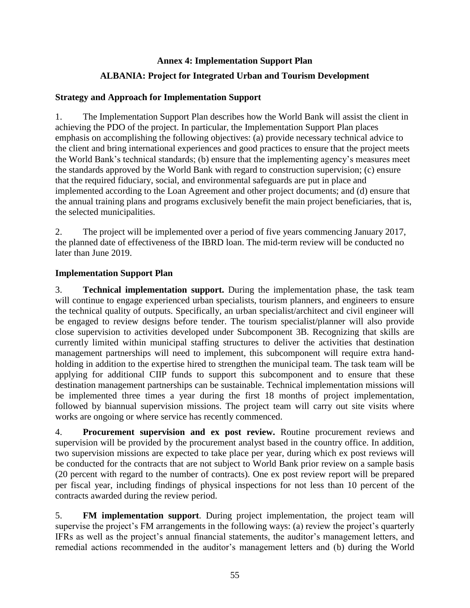### **Annex 4: Implementation Support Plan**

# **ALBANIA: Project for Integrated Urban and Tourism Development**

# **Strategy and Approach for Implementation Support**

1. The Implementation Support Plan describes how the World Bank will assist the client in achieving the PDO of the project. In particular, the Implementation Support Plan places emphasis on accomplishing the following objectives: (a) provide necessary technical advice to the client and bring international experiences and good practices to ensure that the project meets the World Bank's technical standards; (b) ensure that the implementing agency's measures meet the standards approved by the World Bank with regard to construction supervision; (c) ensure that the required fiduciary, social, and environmental safeguards are put in place and implemented according to the Loan Agreement and other project documents; and (d) ensure that the annual training plans and programs exclusively benefit the main project beneficiaries, that is, the selected municipalities.

2. The project will be implemented over a period of five years commencing January 2017, the planned date of effectiveness of the IBRD loan. The mid-term review will be conducted no later than June 2019.

### **Implementation Support Plan**

3. **Technical implementation support.** During the implementation phase, the task team will continue to engage experienced urban specialists, tourism planners, and engineers to ensure the technical quality of outputs. Specifically, an urban specialist/architect and civil engineer will be engaged to review designs before tender. The tourism specialist/planner will also provide close supervision to activities developed under Subcomponent 3B. Recognizing that skills are currently limited within municipal staffing structures to deliver the activities that destination management partnerships will need to implement, this subcomponent will require extra handholding in addition to the expertise hired to strengthen the municipal team. The task team will be applying for additional CIIP funds to support this subcomponent and to ensure that these destination management partnerships can be sustainable. Technical implementation missions will be implemented three times a year during the first 18 months of project implementation, followed by biannual supervision missions. The project team will carry out site visits where works are ongoing or where service has recently commenced.

4. **Procurement supervision and ex post review.** Routine procurement reviews and supervision will be provided by the procurement analyst based in the country office. In addition, two supervision missions are expected to take place per year, during which ex post reviews will be conducted for the contracts that are not subject to World Bank prior review on a sample basis (20 percent with regard to the number of contracts). One ex post review report will be prepared per fiscal year, including findings of physical inspections for not less than 10 percent of the contracts awarded during the review period.

5. **FM implementation support**. During project implementation, the project team will supervise the project's FM arrangements in the following ways: (a) review the project's quarterly IFRs as well as the project's annual financial statements, the auditor's management letters, and remedial actions recommended in the auditor's management letters and (b) during the World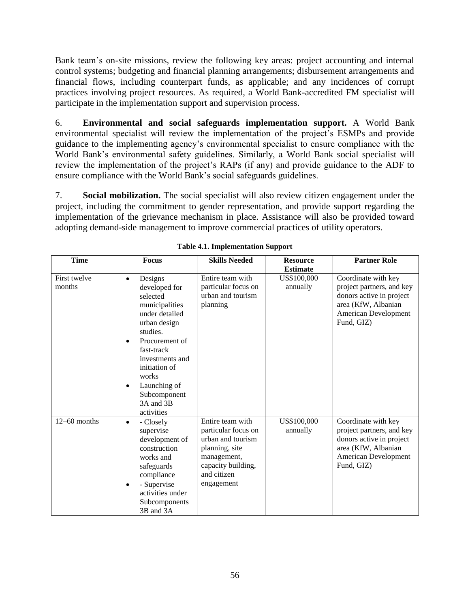Bank team's on-site missions, review the following key areas: project accounting and internal control systems; budgeting and financial planning arrangements; disbursement arrangements and financial flows, including counterpart funds, as applicable; and any incidences of corrupt practices involving project resources. As required, a World Bank-accredited FM specialist will participate in the implementation support and supervision process.

6. **Environmental and social safeguards implementation support.** A World Bank environmental specialist will review the implementation of the project's ESMPs and provide guidance to the implementing agency's environmental specialist to ensure compliance with the World Bank's environmental safety guidelines. Similarly, a World Bank social specialist will review the implementation of the project's RAPs (if any) and provide guidance to the ADF to ensure compliance with the World Bank's social safeguards guidelines.

7. **Social mobilization.** The social specialist will also review citizen engagement under the project, including the commitment to gender representation, and provide support regarding the implementation of the grievance mechanism in place. Assistance will also be provided toward adopting demand-side management to improve commercial practices of utility operators.

| <b>Time</b>            | <b>Focus</b>                                                                                                                                                                                                                                                           | <b>Skills Needed</b>                                                                                                                             | <b>Resource</b><br><b>Estimate</b> | <b>Partner Role</b>                                                                                                                       |
|------------------------|------------------------------------------------------------------------------------------------------------------------------------------------------------------------------------------------------------------------------------------------------------------------|--------------------------------------------------------------------------------------------------------------------------------------------------|------------------------------------|-------------------------------------------------------------------------------------------------------------------------------------------|
| First twelve<br>months | Designs<br>$\bullet$<br>developed for<br>selected<br>municipalities<br>under detailed<br>urban design<br>studies.<br>Procurement of<br>fast-track<br>investments and<br>initiation of<br>works<br>Launching of<br>$\bullet$<br>Subcomponent<br>3A and 3B<br>activities | Entire team with<br>particular focus on<br>urban and tourism<br>planning                                                                         | US\$100,000<br>annually            | Coordinate with key<br>project partners, and key<br>donors active in project<br>area (KfW, Albanian<br>American Development<br>Fund, GIZ) |
| $12-60$ months         | - Closely<br>$\bullet$<br>supervise<br>development of<br>construction<br>works and<br>safeguards<br>compliance<br>- Supervise<br>$\bullet$<br>activities under<br>Subcomponents<br>3B and 3A                                                                           | Entire team with<br>particular focus on<br>urban and tourism<br>planning, site<br>management,<br>capacity building,<br>and citizen<br>engagement | US\$100,000<br>annually            | Coordinate with key<br>project partners, and key<br>donors active in project<br>area (KfW, Albanian<br>American Development<br>Fund, GIZ) |

| <b>Table 4.1. Implementation Support</b> |  |
|------------------------------------------|--|
|                                          |  |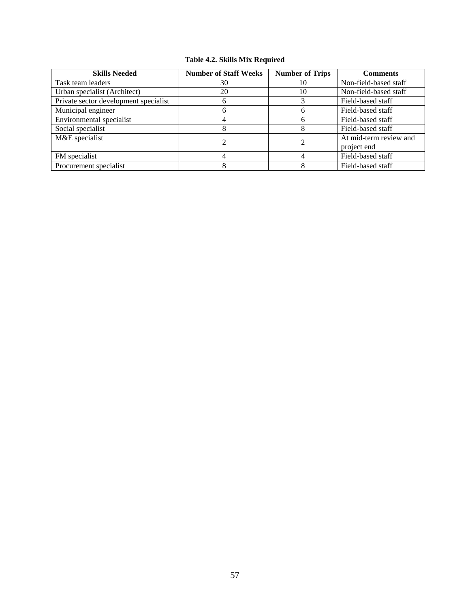### **Table 4.2. Skills Mix Required**

| <b>Skills Needed</b>                  | <b>Number of Staff Weeks</b> | <b>Number of Trips</b> | <b>Comments</b>        |  |
|---------------------------------------|------------------------------|------------------------|------------------------|--|
| Task team leaders                     | 30                           | 10                     | Non-field-based staff  |  |
| Urban specialist (Architect)          | 20                           | 10                     | Non-field-based staff  |  |
| Private sector development specialist | b                            |                        | Field-based staff      |  |
| Municipal engineer                    | h                            | h                      | Field-based staff      |  |
| Environmental specialist              |                              | h                      | Field-based staff      |  |
| Social specialist                     |                              |                        | Field-based staff      |  |
| M&E specialist                        |                              |                        | At mid-term review and |  |
|                                       |                              |                        | project end            |  |
| FM specialist                         |                              |                        | Field-based staff      |  |
| Procurement specialist                |                              |                        | Field-based staff      |  |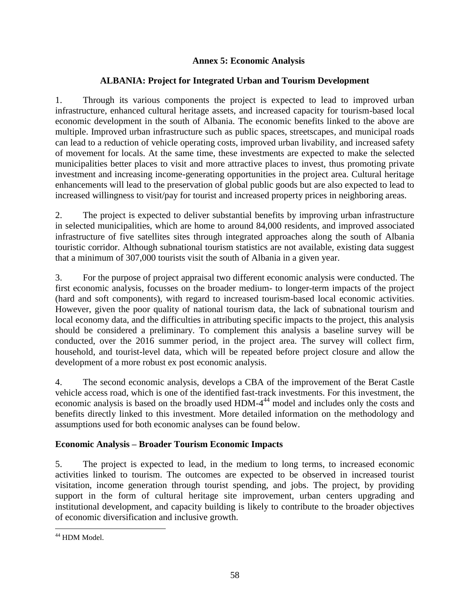# **Annex 5: Economic Analysis**

# **ALBANIA: Project for Integrated Urban and Tourism Development**

1. Through its various components the project is expected to lead to improved urban infrastructure, enhanced cultural heritage assets, and increased capacity for tourism-based local economic development in the south of Albania. The economic benefits linked to the above are multiple. Improved urban infrastructure such as public spaces, streetscapes, and municipal roads can lead to a reduction of vehicle operating costs, improved urban livability, and increased safety of movement for locals. At the same time, these investments are expected to make the selected municipalities better places to visit and more attractive places to invest, thus promoting private investment and increasing income-generating opportunities in the project area. Cultural heritage enhancements will lead to the preservation of global public goods but are also expected to lead to increased willingness to visit/pay for tourist and increased property prices in neighboring areas.

2. The project is expected to deliver substantial benefits by improving urban infrastructure in selected municipalities, which are home to around 84,000 residents, and improved associated infrastructure of five satellites sites through integrated approaches along the south of Albania touristic corridor. Although subnational tourism statistics are not available, existing data suggest that a minimum of 307,000 tourists visit the south of Albania in a given year.

3. For the purpose of project appraisal two different economic analysis were conducted. The first economic analysis, focusses on the broader medium- to longer-term impacts of the project (hard and soft components), with regard to increased tourism-based local economic activities. However, given the poor quality of national tourism data, the lack of subnational tourism and local economy data, and the difficulties in attributing specific impacts to the project, this analysis should be considered a preliminary. To complement this analysis a baseline survey will be conducted, over the 2016 summer period, in the project area. The survey will collect firm, household, and tourist-level data, which will be repeated before project closure and allow the development of a more robust ex post economic analysis.

4. The second economic analysis, develops a CBA of the improvement of the Berat Castle vehicle access road, which is one of the identified fast-track investments. For this investment, the economic analysis is based on the broadly used HDM-4<sup>44</sup> model and includes only the costs and benefits directly linked to this investment. More detailed information on the methodology and assumptions used for both economic analyses can be found below.

# **Economic Analysis – Broader Tourism Economic Impacts**

5. The project is expected to lead, in the medium to long terms, to increased economic activities linked to tourism. The outcomes are expected to be observed in increased tourist visitation, income generation through tourist spending, and jobs. The project, by providing support in the form of cultural heritage site improvement, urban centers upgrading and institutional development, and capacity building is likely to contribute to the broader objectives of economic diversification and inclusive growth.

 $\overline{a}$ <sup>44</sup> HDM Model.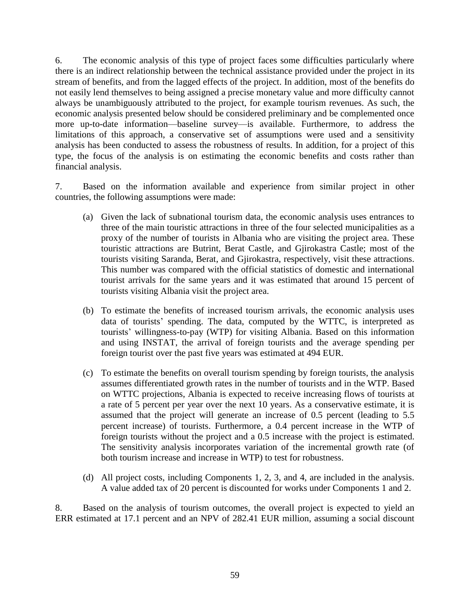6. The economic analysis of this type of project faces some difficulties particularly where there is an indirect relationship between the technical assistance provided under the project in its stream of benefits, and from the lagged effects of the project. In addition, most of the benefits do not easily lend themselves to being assigned a precise monetary value and more difficulty cannot always be unambiguously attributed to the project, for example tourism revenues. As such, the economic analysis presented below should be considered preliminary and be complemented once more up-to-date information—baseline survey—is available. Furthermore, to address the limitations of this approach, a conservative set of assumptions were used and a sensitivity analysis has been conducted to assess the robustness of results. In addition, for a project of this type, the focus of the analysis is on estimating the economic benefits and costs rather than financial analysis.

7. Based on the information available and experience from similar project in other countries, the following assumptions were made:

- (a) Given the lack of subnational tourism data, the economic analysis uses entrances to three of the main touristic attractions in three of the four selected municipalities as a proxy of the number of tourists in Albania who are visiting the project area. These touristic attractions are Butrint, Berat Castle, and Gjirokastra Castle; most of the tourists visiting Saranda, Berat, and Gjirokastra, respectively, visit these attractions. This number was compared with the official statistics of domestic and international tourist arrivals for the same years and it was estimated that around 15 percent of tourists visiting Albania visit the project area.
- (b) To estimate the benefits of increased tourism arrivals, the economic analysis uses data of tourists' spending. The data, computed by the WTTC, is interpreted as tourists' willingness-to-pay (WTP) for visiting Albania. Based on this information and using INSTAT, the arrival of foreign tourists and the average spending per foreign tourist over the past five years was estimated at 494 EUR.
- (c) To estimate the benefits on overall tourism spending by foreign tourists, the analysis assumes differentiated growth rates in the number of tourists and in the WTP. Based on WTTC projections, Albania is expected to receive increasing flows of tourists at a rate of 5 percent per year over the next 10 years. As a conservative estimate, it is assumed that the project will generate an increase of 0.5 percent (leading to 5.5 percent increase) of tourists. Furthermore, a 0.4 percent increase in the WTP of foreign tourists without the project and a 0.5 increase with the project is estimated. The sensitivity analysis incorporates variation of the incremental growth rate (of both tourism increase and increase in WTP) to test for robustness.
- (d) All project costs, including Components 1, 2, 3, and 4, are included in the analysis. A value added tax of 20 percent is discounted for works under Components 1 and 2.

8. Based on the analysis of tourism outcomes, the overall project is expected to yield an ERR estimated at 17.1 percent and an NPV of 282.41 EUR million, assuming a social discount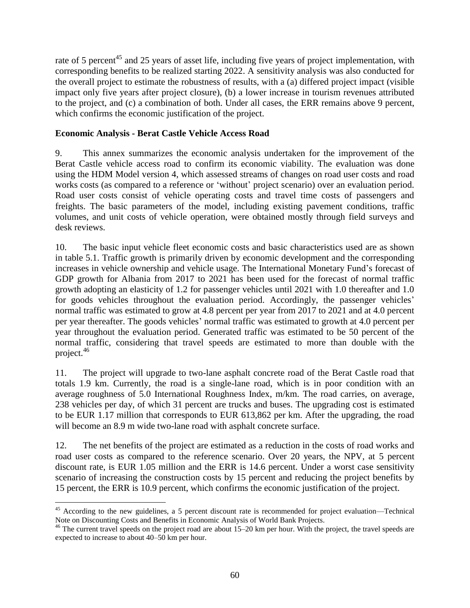rate of 5 percent<sup>45</sup> and 25 years of asset life, including five years of project implementation, with corresponding benefits to be realized starting 2022. A sensitivity analysis was also conducted for the overall project to estimate the robustness of results, with a (a) differed project impact (visible impact only five years after project closure), (b) a lower increase in tourism revenues attributed to the project, and (c) a combination of both. Under all cases, the ERR remains above 9 percent, which confirms the economic justification of the project.

# **Economic Analysis - Berat Castle Vehicle Access Road**

 $\overline{a}$ 

9. This annex summarizes the economic analysis undertaken for the improvement of the Berat Castle vehicle access road to confirm its economic viability. The evaluation was done using the HDM Model version 4, which assessed streams of changes on road user costs and road works costs (as compared to a reference or 'without' project scenario) over an evaluation period. Road user costs consist of vehicle operating costs and travel time costs of passengers and freights. The basic parameters of the model, including existing pavement conditions, traffic volumes, and unit costs of vehicle operation, were obtained mostly through field surveys and desk reviews.

10. The basic input vehicle fleet economic costs and basic characteristics used are as shown in table 5.1. Traffic growth is primarily driven by economic development and the corresponding increases in vehicle ownership and vehicle usage. The International Monetary Fund's forecast of GDP growth for Albania from 2017 to 2021 has been used for the forecast of normal traffic growth adopting an elasticity of 1.2 for passenger vehicles until 2021 with 1.0 thereafter and 1.0 for goods vehicles throughout the evaluation period. Accordingly, the passenger vehicles' normal traffic was estimated to grow at 4.8 percent per year from 2017 to 2021 and at 4.0 percent per year thereafter. The goods vehicles' normal traffic was estimated to growth at 4.0 percent per year throughout the evaluation period. Generated traffic was estimated to be 50 percent of the normal traffic, considering that travel speeds are estimated to more than double with the project. 46

11. The project will upgrade to two-lane asphalt concrete road of the Berat Castle road that totals 1.9 km. Currently, the road is a single-lane road, which is in poor condition with an average roughness of 5.0 International Roughness Index, m/km. The road carries, on average, 238 vehicles per day, of which 31 percent are trucks and buses. The upgrading cost is estimated to be EUR 1.17 million that corresponds to EUR 613,862 per km. After the upgrading, the road will become an 8.9 m wide two-lane road with asphalt concrete surface.

12. The net benefits of the project are estimated as a reduction in the costs of road works and road user costs as compared to the reference scenario. Over 20 years, the NPV, at 5 percent discount rate, is EUR 1.05 million and the ERR is 14.6 percent. Under a worst case sensitivity scenario of increasing the construction costs by 15 percent and reducing the project benefits by 15 percent, the ERR is 10.9 percent, which confirms the economic justification of the project.

<sup>&</sup>lt;sup>45</sup> According to the new guidelines, a 5 percent discount rate is recommended for project evaluation—Technical Note on Discounting Costs and Benefits in Economic Analysis of World Bank Projects*.*

 $46$  The current travel speeds on the project road are about 15–20 km per hour. With the project, the travel speeds are expected to increase to about 40–50 km per hour.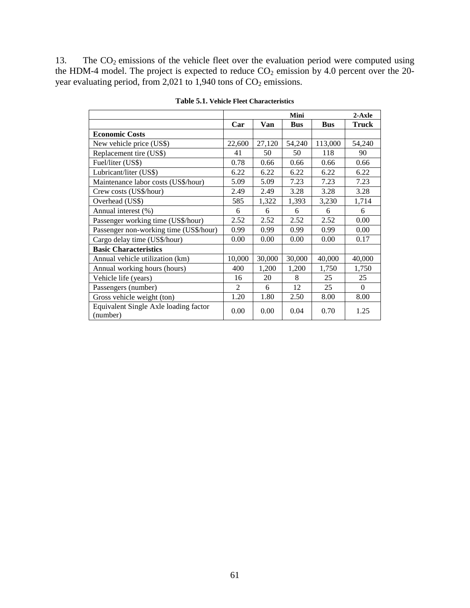13. The  $CO<sub>2</sub>$  emissions of the vehicle fleet over the evaluation period were computed using the HDM-4 model. The project is expected to reduce  $CO<sub>2</sub>$  emission by 4.0 percent over the 20year evaluating period, from 2,021 to 1,940 tons of  $CO<sub>2</sub>$  emissions.

|                                                   | Mini                   |        |            |            | $2-Axle$ |
|---------------------------------------------------|------------------------|--------|------------|------------|----------|
|                                                   | Car                    | Van    | <b>Bus</b> | <b>Bus</b> | Truck    |
| <b>Economic Costs</b>                             |                        |        |            |            |          |
| New vehicle price (US\$)                          | 22,600                 | 27,120 | 54,240     | 113,000    | 54,240   |
| Replacement tire (US\$)                           | 41                     | 50     | 50         | 118        | 90       |
| Fuel/liter (US\$)                                 | 0.78                   | 0.66   | 0.66       | 0.66       | 0.66     |
| Lubricant/liter (US\$)                            | 6.22                   | 6.22   | 6.22       | 6.22       | 6.22     |
| Maintenance labor costs (US\$/hour)               | 5.09                   | 5.09   | 7.23       | 7.23       | 7.23     |
| Crew costs (US\$/hour)                            | 2.49                   | 2.49   | 3.28       | 3.28       | 3.28     |
| Overhead (US\$)                                   | 585                    | 1,322  | 1,393      | 3,230      | 1,714    |
| Annual interest (%)                               | 6                      | 6      | 6          | 6          | 6        |
| Passenger working time (US\$/hour)                | 2.52                   | 2.52   | 2.52       | 2.52       | 0.00     |
| Passenger non-working time (US\$/hour)            | 0.99                   | 0.99   | 0.99       | 0.99       | 0.00     |
| Cargo delay time (US\$/hour)                      | 0.00                   | 0.00   | 0.00       | 0.00       | 0.17     |
| <b>Basic Characteristics</b>                      |                        |        |            |            |          |
| Annual vehicle utilization (km)                   | 10,000                 | 30,000 | 30,000     | 40,000     | 40,000   |
| Annual working hours (hours)                      | 400                    | 1,200  | 1,200      | 1,750      | 1,750    |
| Vehicle life (years)                              | 16                     | 20     | 8          | 25         | 25       |
| Passengers (number)                               | $\mathcal{D}_{\alpha}$ | 6      | 12         | 25         | $\Omega$ |
| Gross vehicle weight (ton)                        | 1.20                   | 1.80   | 2.50       | 8.00       | 8.00     |
| Equivalent Single Axle loading factor<br>(number) | 0.00                   | 0.00   | 0.04       | 0.70       | 1.25     |

**Table 5.1. Vehicle Fleet Characteristics**